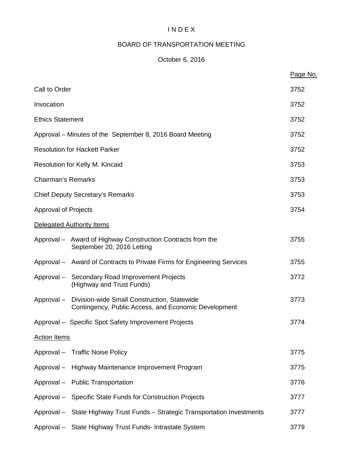# I N D E X

# BOARD OF TRANSPORTATION MEETING

## October 6, 2016

|                             |                                                                                                     | Page No. |
|-----------------------------|-----------------------------------------------------------------------------------------------------|----------|
| Call to Order               |                                                                                                     | 3752     |
| Invocation                  |                                                                                                     | 3752     |
| <b>Ethics Statement</b>     |                                                                                                     | 3752     |
|                             | Approval – Minutes of the September 8, 2016 Board Meeting                                           | 3752     |
|                             | <b>Resolution for Hackett Parker</b>                                                                | 3752     |
|                             | Resolution for Kelly M. Kincaid                                                                     | 3753     |
| <b>Chairman's Remarks</b>   |                                                                                                     | 3753     |
|                             | <b>Chief Deputy Secretary's Remarks</b>                                                             | 3753     |
| <b>Approval of Projects</b> |                                                                                                     | 3754     |
|                             | Delegated Authority Items                                                                           |          |
|                             | Approval - Award of Highway Construction Contracts from the<br>September 20, 2016 Letting           | 3755     |
|                             | Approval – Award of Contracts to Private Firms for Engineering Services                             | 3755     |
|                             | Approval - Secondary Road Improvement Projects<br>(Highway and Trust Funds)                         | 3772     |
| Approval –                  | Division-wide Small Construction, Statewide<br>Contingency, Public Access, and Economic Development | 3773     |
|                             | Approval - Specific Spot Safety Improvement Projects                                                | 3774     |
| <b>Action Items</b>         |                                                                                                     |          |
|                             | Approval - Traffic Noise Policy                                                                     | 3775     |
|                             | Approval - Highway Maintenance Improvement Program                                                  | 3775     |
|                             | Approval - Public Transportation                                                                    | 3776     |
|                             | Approval - Specific State Funds for Construction Projects                                           | 3777     |
|                             | Approval - State Highway Trust Funds - Strategic Transportation Investments                         | 3777     |
|                             | Approval - State Highway Trust Funds- Intrastate System                                             | 3779     |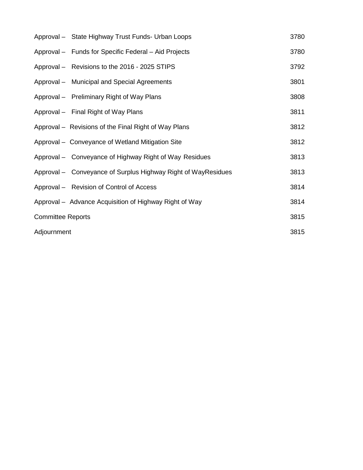|                          | Approval - State Highway Trust Funds- Urban Loops             | 3780 |
|--------------------------|---------------------------------------------------------------|------|
|                          | Approval - Funds for Specific Federal - Aid Projects          | 3780 |
|                          | Approval - Revisions to the 2016 - 2025 STIPS                 | 3792 |
|                          | Approval – Municipal and Special Agreements                   | 3801 |
|                          | Approval - Preliminary Right of Way Plans                     | 3808 |
|                          | Approval - Final Right of Way Plans                           | 3811 |
|                          | Approval - Revisions of the Final Right of Way Plans          | 3812 |
|                          | Approval – Conveyance of Wetland Mitigation Site              | 3812 |
|                          | Approval – Conveyance of Highway Right of Way Residues        | 3813 |
|                          | Approval - Conveyance of Surplus Highway Right of WayResidues | 3813 |
|                          | Approval - Revision of Control of Access                      | 3814 |
|                          | Approval – Advance Acquisition of Highway Right of Way        | 3814 |
| <b>Committee Reports</b> |                                                               | 3815 |
| Adjournment              |                                                               | 3815 |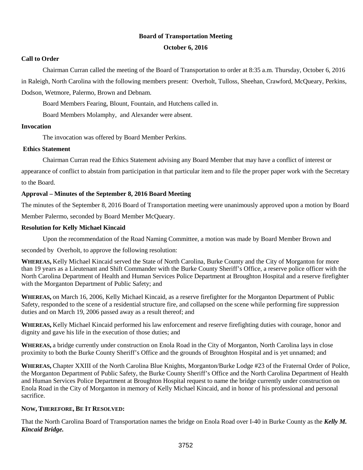#### **Board of Transportation Meeting**

#### **October 6, 2016**

#### **Call to Order**

Chairman Curran called the meeting of the Board of Transportation to order at 8:35 a.m. Thursday, October 6, 2016 in Raleigh, North Carolina with the following members present: Overholt, Tulloss, Sheehan, Crawford, McQueary, Perkins,

Dodson, Wetmore, Palermo, Brown and Debnam.

Board Members Fearing, Blount, Fountain, and Hutchens called in.

Board Members Molamphy, and Alexander were absent.

#### **Invocation**

The invocation was offered by Board Member Perkins.

#### **Ethics Statement**

Chairman Curran read the Ethics Statement advising any Board Member that may have a conflict of interest or

appearance of conflict to abstain from participation in that particular item and to file the proper paper work with the Secretary to the Board.

#### **Approval – Minutes of the September 8, 2016 Board Meeting**

The minutes of the September 8, 2016 Board of Transportation meeting were unanimously approved upon a motion by Board

Member Palermo, seconded by Board Member McQueary.

#### **Resolution for Kelly Michael Kincaid**

Upon the recommendation of the Road Naming Committee, a motion was made by Board Member Brown and

seconded by Overholt, to approve the following resolution:

**WHEREAS,** Kelly Michael Kincaid served the State of North Carolina, Burke County and the City of Morganton for more than 19 years as a Lieutenant and Shift Commander with the Burke County Sheriff's Office, a reserve police officer with the North Carolina Department of Health and Human Services Police Department at Broughton Hospital and a reserve firefighter with the Morganton Department of Public Safety; and

**WHEREAS,** on March 16, 2006, Kelly Michael Kincaid, as a reserve firefighter for the Morganton Department of Public Safety, responded to the scene of a residential structure fire, and collapsed on the scene while performing fire suppression duties and on March 19, 2006 passed away as a result thereof; and

**WHEREAS,** Kelly Michael Kincaid performed his law enforcement and reserve firefighting duties with courage, honor and dignity and gave his life in the execution of those duties; and

**WHEREAS,** a bridge currently under construction on Enola Road in the City of Morganton, North Carolina lays in close proximity to both the Burke County Sheriff's Office and the grounds of Broughton Hospital and is yet unnamed; and

**WHEREAS,** Chapter XXIII of the North Carolina Blue Knights, Morganton/Burke Lodge #23 of the Fraternal Order of Police, the Morganton Department of Public Safety, the Burke County Sheriff's Office and the North Carolina Department of Health and Human Services Police Department at Broughton Hospital request to name the bridge currently under construction on Enola Road in the City of Morganton in memory of Kelly Michael Kincaid, and in honor of his professional and personal sacrifice.

#### **NOW, THEREFORE, BE IT RESOLVED:**

That the North Carolina Board of Transportation names the bridge on Enola Road over I-40 in Burke County as the *Kelly M. Kincaid Bridge.*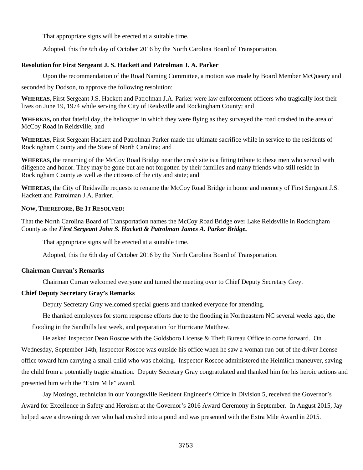That appropriate signs will be erected at a suitable time.

Adopted, this the 6th day of October 2016 by the North Carolina Board of Transportation.

#### **Resolution for First Sergeant J. S. Hackett and Patrolman J. A. Parker**

Upon the recommendation of the Road Naming Committee, a motion was made by Board Member McQueary and

seconded by Dodson, to approve the following resolution:

**WHEREAS,** First Sergeant J.S. Hackett and Patrolman J.A. Parker were law enforcement officers who tragically lost their lives on June 19, 1974 while serving the City of Reidsville and Rockingham County; and

**WHEREAS,** on that fateful day, the helicopter in which they were flying as they surveyed the road crashed in the area of McCoy Road in Reidsville; and

**WHEREAS,** First Sergeant Hackett and Patrolman Parker made the ultimate sacrifice while in service to the residents of Rockingham County and the State of North Carolina; and

**WHEREAS,** the renaming of the McCoy Road Bridge near the crash site is a fitting tribute to these men who served with diligence and honor. They may be gone but are not forgotten by their families and many friends who still reside in Rockingham County as well as the citizens of the city and state; and

**WHEREAS,** the City of Reidsville requests to rename the McCoy Road Bridge in honor and memory of First Sergeant J.S. Hackett and Patrolman J.A. Parker.

#### **NOW, THEREFORE, BE IT RESOLVED:**

That the North Carolina Board of Transportation names the McCoy Road Bridge over Lake Reidsville in Rockingham County as the *First Sergeant John S. Hackett & Patrolman James A. Parker Bridge.* 

That appropriate signs will be erected at a suitable time.

Adopted, this the 6th day of October 2016 by the North Carolina Board of Transportation.

#### **Chairman Curran's Remarks**

Chairman Curran welcomed everyone and turned the meeting over to Chief Deputy Secretary Grey.

#### **Chief Deputy Secretary Gray's Remarks**

Deputy Secretary Gray welcomed special guests and thanked everyone for attending.

He thanked employees for storm response efforts due to the flooding in Northeastern NC several weeks ago, the

flooding in the Sandhills last week, and preparation for Hurricane Matthew.

He asked Inspector Dean Roscoe with the Goldsboro License & Theft Bureau Office to come forward. On Wednesday, September 14th, Inspector Roscoe was outside his office when he saw a woman run out of the driver license office toward him carrying a small child who was choking. Inspector Roscoe administered the Heimlich maneuver, saving the child from a potentially tragic situation. Deputy Secretary Gray congratulated and thanked him for his heroic actions and presented him with the "Extra Mile" award.

 Jay Mozingo, technician in our Youngsville Resident Engineer's Office in Division 5, received the Governor's Award for Excellence in Safety and Heroism at the Governor's 2016 Award Ceremony in September. In August 2015, Jay helped save a drowning driver who had crashed into a pond and was presented with the Extra Mile Award in 2015.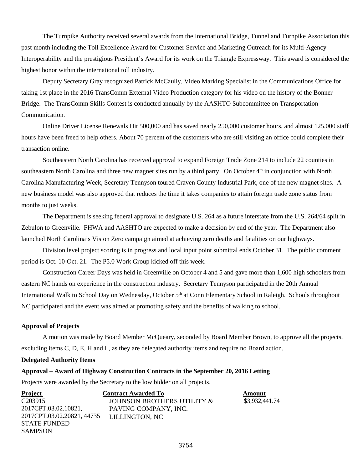The Turnpike Authority received several awards from the International Bridge, Tunnel and Turnpike Association this past month including the Toll Excellence Award for Customer Service and Marketing Outreach for its Multi-Agency Interoperability and the prestigious President's Award for its work on the Triangle Expressway. This award is considered the highest honor within the international toll industry.

Deputy Secretary Gray recognized Patrick McCaully, Video Marking Specialist in the Communications Office for taking 1st place in the 2016 TransComm External Video Production category for his video on the history of the Bonner Bridge. The TransComm Skills Contest is conducted annually by the AASHTO Subcommittee on Transportation Communication.

Online Driver License Renewals Hit 500,000 and has saved nearly 250,000 customer hours, and almost 125,000 staff hours have been freed to help others. About 70 percent of the customers who are still visiting an office could complete their transaction online.

 Southeastern North Carolina has received approval to expand Foreign Trade Zone 214 to include 22 counties in southeastern North Carolina and three new magnet sites run by a third party. On October 4<sup>th</sup> in conjunction with North Carolina Manufacturing Week, Secretary Tennyson toured Craven County Industrial Park, one of the new magnet sites. A new business model was also approved that reduces the time it takes companies to attain foreign trade zone status from months to just weeks.

The Department is seeking federal approval to designate U.S. 264 as a future interstate from the U.S. 264/64 split in Zebulon to Greenville. FHWA and AASHTO are expected to make a decision by end of the year. The Department also launched North Carolina's Vision Zero campaign aimed at achieving zero deaths and fatalities on our highways.

Division level project scoring is in progress and local input point submittal ends October 31. The public comment period is Oct. 10-Oct. 21. The P5.0 Work Group kicked off this week.

 Construction Career Days was held in Greenville on October 4 and 5 and gave more than 1,600 high schoolers from eastern NC hands on experience in the construction industry. Secretary Tennyson participated in the 20th Annual International Walk to School Day on Wednesday, October 5<sup>th</sup> at Conn Elementary School in Raleigh. Schools throughout NC participated and the event was aimed at promoting safety and the benefits of walking to school.

#### **Approval of Projects**

A motion was made by Board Member McQueary, seconded by Board Member Brown, to approve all the projects, excluding items C, D, E, H and L, as they are delegated authority items and require no Board action.

#### **Delegated Authority Items**

#### **Approval – Award of Highway Construction Contracts in the September 20, 2016 Letting**

Projects were awarded by the Secretary to the low bidder on all projects.

| <b>Project</b>             | <b>Contract Awarded To</b> | Amount         |
|----------------------------|----------------------------|----------------|
| C <sub>20</sub> 3915       | JOHNSON BROTHERS UTILITY & | \$3,932,441.74 |
| 2017CPT.03.02.10821,       | PAVING COMPANY, INC.       |                |
| 2017CPT.03.02.20821, 44735 | LILLINGTON, NC             |                |
| <b>STATE FUNDED</b>        |                            |                |
| <b>SAMPSON</b>             |                            |                |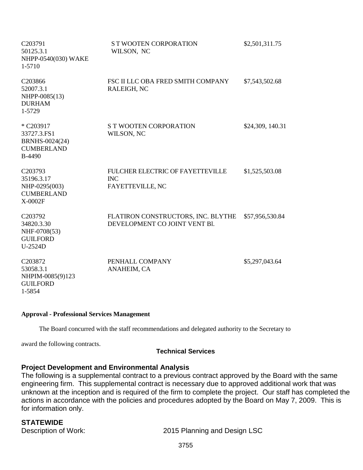| C203791<br>50125.3.1<br>NHPP-0540(030) WAKE<br>1-5710                             | <b>ST WOOTEN CORPORATION</b><br>WILSON, NC                          | \$2,501,311.75   |
|-----------------------------------------------------------------------------------|---------------------------------------------------------------------|------------------|
| C203866<br>52007.3.1<br>NHPP-0085(13)<br><b>DURHAM</b><br>1-5729                  | FSC II LLC OBA FRED SMITH COMPANY<br>RALEIGH, NC                    | \$7,543,502.68   |
| * C203917<br>33727.3.FS1<br>BRNHS-0024(24)<br><b>CUMBERLAND</b><br><b>B-4490</b>  | <b>S T WOOTEN CORPORATION</b><br>WILSON, NC                         | \$24,309, 140.31 |
| C203793<br>35196.3.17<br>NHP-0295(003)<br><b>CUMBERLAND</b><br>X-0002F            | FULCHER ELECTRIC OF FAYETTEVILLE<br><b>INC</b><br>FAYETTEVILLE, NC  | \$1,525,503.08   |
| C203792<br>34820.3.30<br>NHF-0708(53)<br><b>GUILFORD</b><br>U-2524D               | FLATIRON CONSTRUCTORS, INC. BLYTHE<br>DEVELOPMENT CO JOINT VENT Bl. | \$57,956,530.84  |
| C <sub>203872</sub><br>53058.3.1<br>NHPIM-0085(9)123<br><b>GUILFORD</b><br>1-5854 | PENHALL COMPANY<br>ANAHEIM, CA                                      | \$5,297,043.64   |

#### **Approval - Professional Services Management**

The Board concurred with the staff recommendations and delegated authority to the Secretary to

award the following contracts.

#### **Technical Services**

## **Project Development and Environmental Analysis**

The following is a supplemental contract to a previous contract approved by the Board with the same engineering firm. This supplemental contract is necessary due to approved additional work that was unknown at the inception and is required of the firm to complete the project. Our staff has completed the actions in accordance with the policies and procedures adopted by the Board on May 7, 2009. This is for information only.

**STATEWIDE**<br>Description of Work:

2015 Planning and Design LSC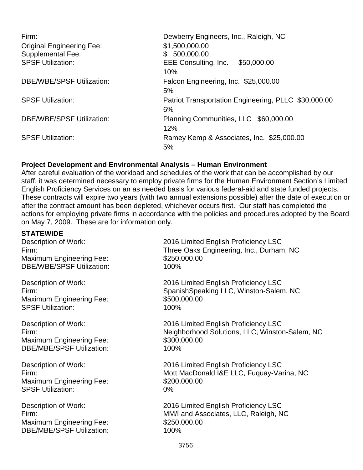| Firm:                            | Dewberry Engineers, Inc., Raleigh, NC                |
|----------------------------------|------------------------------------------------------|
| <b>Original Engineering Fee:</b> | \$1,500,000.00                                       |
| <b>Supplemental Fee:</b>         | \$500,000.00                                         |
| <b>SPSF Utilization:</b>         | EEE Consulting, Inc. \$50,000.00                     |
|                                  | 10%                                                  |
| <b>DBE/WBE/SPSF Utilization:</b> | Falcon Engineering, Inc. \$25,000.00                 |
|                                  | 5%                                                   |
| <b>SPSF Utilization:</b>         | Patriot Transportation Engineering, PLLC \$30,000.00 |
|                                  | 6%                                                   |
| <b>DBE/WBE/SPSF Utilization:</b> | Planning Communities, LLC \$60,000.00                |
|                                  | 12%                                                  |
| <b>SPSF Utilization:</b>         | Ramey Kemp & Associates, Inc. \$25,000.00            |
|                                  | 5%                                                   |
|                                  |                                                      |

## **Project Development and Environmental Analysis – Human Environment**

After careful evaluation of the workload and schedules of the work that can be accomplished by our staff, it was determined necessary to employ private firms for the Human Environment Section's Limited English Proficiency Services on an as needed basis for various federal-aid and state funded projects. These contracts will expire two years (with two annual extensions possible) after the date of execution or after the contract amount has been depleted, whichever occurs first. Our staff has completed the actions for employing private firms in accordance with the policies and procedures adopted by the Board on May 7, 2009. These are for information only.

**STATEWIDE** Maximum Engineering Fee: DBE/WBE/SPSF Utilization: 100%

Maximum Engineering Fee: \$500,000.00 SPSF Utilization: 100%

Maximum Engineering Fee: \$300,000.000 DBE/MBE/SPSE Utilization: 100%

Maximum Engineering Fee: \$200,000.00 SPSF Utilization: 0%

Maximum Engineering Fee: \$250,000.00 DBE/MBE/SPSF Utilization: 100%

2016 Limited English Proficiency LSC Firm:<br>
Maximum Engineering Fee:<br>
\$250,000.00

Description of Work: 2016 Limited English Proficiency LSC Firm: SpanishSpeaking LLC, Winston-Salem, NC

Description of Work: 2016 Limited English Proficiency LSC Firm: Neighborhood Solutions, LLC, Winston-Salem, NC

Description of Work: 2016 Limited English Proficiency LSC Firm: Mott MacDonald I&E LLC, Fuquay-Varina, NC

Description of Work: 2016 Limited English Proficiency LSC Firm: **Firm:** The MM/I and Associates, LLC, Raleigh, NC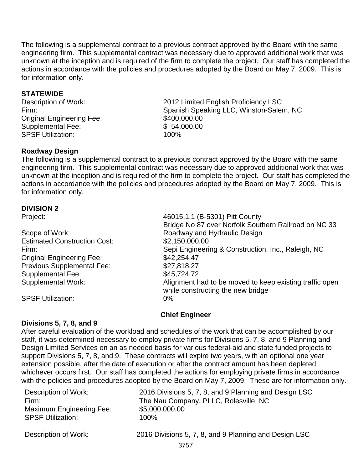The following is a supplemental contract to a previous contract approved by the Board with the same engineering firm. This supplemental contract was necessary due to approved additional work that was unknown at the inception and is required of the firm to complete the project. Our staff has completed the actions in accordance with the policies and procedures adopted by the Board on May 7, 2009. This is for information only.

## **STATEWIDE**

Original Engineering Fee: Supplemental Fee:  $$ 54,000.00$ <br>SPSF Utilization:  $100\%$ SPSF Utilization:

Description of Work: 2012 Limited English Proficiency LSC Firm:<br>
Spanish Speaking LLC, Winston-Salem, NC<br>
S400,000.00

## **Roadway Design**

The following is a supplemental contract to a previous contract approved by the Board with the same engineering firm. This supplemental contract was necessary due to approved additional work that was unknown at the inception and is required of the firm to complete the project. Our staff has completed the actions in accordance with the policies and procedures adopted by the Board on May 7, 2009. This is for information only.

## **DIVISION 2**

| Scope of Work:                      |
|-------------------------------------|
| <b>Estimated Construction Cost:</b> |
| Firm:                               |
| <b>Original Engineering Fee:</b>    |
| <b>Previous Supplemental Fee:</b>   |
| <b>Supplemental Fee:</b>            |
| <b>Supplemental Work:</b>           |
|                                     |

SPSF Utilization: 0%

Project: 46015.1.1 (B-5301) Pitt County Bridge No 87 over Norfolk Southern Railroad on NC 33 Roadway and Hydraulic Design  $$2,150,000.00$ Sepi Engineering & Construction, Inc., Raleigh, NC  $$42,254.47$  $$27,818.27$ \$45,724.72 Alignment had to be moved to keep existing traffic open while constructing the new bridge

## **Chief Engineer**

## **Divisions 5, 7, 8, and 9**

After careful evaluation of the workload and schedules of the work that can be accomplished by our staff, it was determined necessary to employ private firms for Divisions 5, 7, 8, and 9 Planning and Design Limited Services on an as needed basis for various federal-aid and state funded projects to support Divisions 5, 7, 8, and 9. These contracts will expire two years, with an optional one year extension possible, after the date of execution or after the contract amount has been depleted, whichever occurs first. Our staff has completed the actions for employing private firms in accordance with the policies and procedures adopted by the Board on May 7, 2009. These are for information only.

| Description of Work:     | 2016 Divisions 5, 7, 8, and 9 Planning and Design LSC |
|--------------------------|-------------------------------------------------------|
| Firm:                    | The Nau Company, PLLC, Rolesville, NC                 |
| Maximum Engineering Fee: | \$5,000,000.00                                        |
| <b>SPSF Utilization:</b> | $100\%$                                               |
|                          |                                                       |

Description of Work: 2016 Divisions 5, 7, 8, and 9 Planning and Design LSC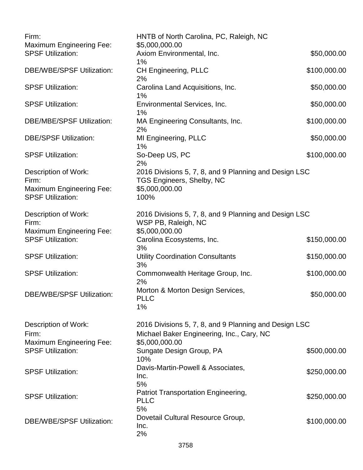| Firm:<br><b>Maximum Engineering Fee:</b>                    | HNTB of North Carolina, PC, Raleigh, NC<br>\$5,000,000.00                          |              |
|-------------------------------------------------------------|------------------------------------------------------------------------------------|--------------|
| <b>SPSF Utilization:</b>                                    | Axiom Environmental, Inc.                                                          | \$50,000.00  |
| <b>DBE/WBE/SPSF Utilization:</b>                            | 1%<br><b>CH Engineering, PLLC</b><br>2%                                            | \$100,000.00 |
| <b>SPSF Utilization:</b>                                    | Carolina Land Acquisitions, Inc.<br>$1\%$                                          | \$50,000.00  |
| <b>SPSF Utilization:</b>                                    | Environmental Services, Inc.<br>1%                                                 | \$50,000.00  |
| <b>DBE/MBE/SPSF Utilization:</b>                            | MA Engineering Consultants, Inc.<br>2%                                             | \$100,000.00 |
| <b>DBE/SPSF Utilization:</b>                                | MI Engineering, PLLC<br>1%                                                         | \$50,000.00  |
| <b>SPSF Utilization:</b>                                    | So-Deep US, PC<br>2%                                                               | \$100,000.00 |
| Description of Work:<br>Firm:                               | 2016 Divisions 5, 7, 8, and 9 Planning and Design LSC<br>TGS Engineers, Shelby, NC |              |
| <b>Maximum Engineering Fee:</b><br><b>SPSF Utilization:</b> | \$5,000,000.00<br>100%                                                             |              |
| Description of Work:<br>Firm:                               | 2016 Divisions 5, 7, 8, and 9 Planning and Design LSC<br>WSP PB, Raleigh, NC       |              |
| <b>Maximum Engineering Fee:</b><br><b>SPSF Utilization:</b> | \$5,000,000.00<br>Carolina Ecosystems, Inc.<br>3%                                  | \$150,000.00 |
| <b>SPSF Utilization:</b>                                    | <b>Utility Coordination Consultants</b><br>3%                                      | \$150,000.00 |
| <b>SPSF Utilization:</b>                                    | Commonwealth Heritage Group, Inc.<br>2%                                            | \$100,000.00 |
| <b>DBE/WBE/SPSF Utilization:</b>                            | Morton & Morton Design Services,<br><b>PLLC</b><br>$1\%$                           | \$50,000.00  |
| Description of Work:                                        | 2016 Divisions 5, 7, 8, and 9 Planning and Design LSC                              |              |
| Firm:<br><b>Maximum Engineering Fee:</b>                    | Michael Baker Engineering, Inc., Cary, NC<br>\$5,000,000.00                        |              |
| <b>SPSF Utilization:</b>                                    | Sungate Design Group, PA<br>10%                                                    | \$500,000.00 |
| <b>SPSF Utilization:</b>                                    | Davis-Martin-Powell & Associates,<br>Inc.<br>5%                                    | \$250,000.00 |
| <b>SPSF Utilization:</b>                                    | Patriot Transportation Engineering,<br><b>PLLC</b><br>5%                           | \$250,000.00 |
| <b>DBE/WBE/SPSF Utilization:</b>                            | Dovetail Cultural Resource Group,<br>Inc.<br>2%                                    | \$100,000.00 |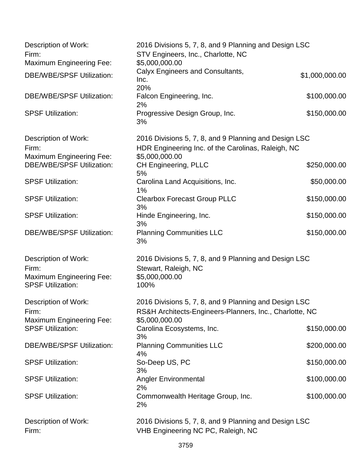| Description of Work:<br>Firm:                                                                | 2016 Divisions 5, 7, 8, and 9 Planning and Design LSC<br>STV Engineers, Inc., Charlotte, NC                                   |                |
|----------------------------------------------------------------------------------------------|-------------------------------------------------------------------------------------------------------------------------------|----------------|
| <b>Maximum Engineering Fee:</b>                                                              | \$5,000,000.00                                                                                                                |                |
| <b>DBE/WBE/SPSF Utilization:</b>                                                             | Calyx Engineers and Consultants,<br>Inc.<br>20%                                                                               | \$1,000,000.00 |
| <b>DBE/WBE/SPSF Utilization:</b>                                                             | Falcon Engineering, Inc.<br>2%                                                                                                | \$100,000.00   |
| <b>SPSF Utilization:</b>                                                                     | Progressive Design Group, Inc.<br>3%                                                                                          | \$150,000.00   |
| Description of Work:<br>Firm:<br><b>Maximum Engineering Fee:</b>                             | 2016 Divisions 5, 7, 8, and 9 Planning and Design LSC<br>HDR Engineering Inc. of the Carolinas, Raleigh, NC<br>\$5,000,000.00 |                |
| <b>DBE/WBE/SPSF Utilization:</b>                                                             | <b>CH Engineering, PLLC</b><br>5%                                                                                             | \$250,000.00   |
| <b>SPSF Utilization:</b>                                                                     | Carolina Land Acquisitions, Inc.<br>$1\%$                                                                                     | \$50,000.00    |
| <b>SPSF Utilization:</b>                                                                     | <b>Clearbox Forecast Group PLLC</b><br>3%                                                                                     | \$150,000.00   |
| <b>SPSF Utilization:</b>                                                                     | Hinde Engineering, Inc.<br>3%                                                                                                 | \$150,000.00   |
| <b>DBE/WBE/SPSF Utilization:</b>                                                             | <b>Planning Communities LLC</b><br>3%                                                                                         | \$150,000.00   |
| Description of Work:<br>Firm:<br><b>Maximum Engineering Fee:</b><br><b>SPSF Utilization:</b> | 2016 Divisions 5, 7, 8, and 9 Planning and Design LSC<br>Stewart, Raleigh, NC<br>\$5,000,000.00<br>100%                       |                |
| Description of Work:<br>Firm:                                                                | 2016 Divisions 5, 7, 8, and 9 Planning and Design LSC<br>RS&H Architects-Engineers-Planners, Inc., Charlotte, NC              |                |
| <b>Maximum Engineering Fee:</b><br><b>SPSF Utilization:</b>                                  | \$5,000,000.00<br>Carolina Ecosystems, Inc.<br>3%                                                                             | \$150,000.00   |
| <b>DBE/WBE/SPSF Utilization:</b>                                                             | <b>Planning Communities LLC</b><br>4%                                                                                         | \$200,000.00   |
| <b>SPSF Utilization:</b>                                                                     | So-Deep US, PC<br>3%                                                                                                          | \$150,000.00   |
| <b>SPSF Utilization:</b>                                                                     | <b>Angler Environmental</b><br>2%                                                                                             | \$100,000.00   |
| <b>SPSF Utilization:</b>                                                                     | Commonwealth Heritage Group, Inc.<br>2%                                                                                       | \$100,000.00   |
| Description of Work:<br>Firm:                                                                | 2016 Divisions 5, 7, 8, and 9 Planning and Design LSC<br>VHB Engineering NC PC, Raleigh, NC                                   |                |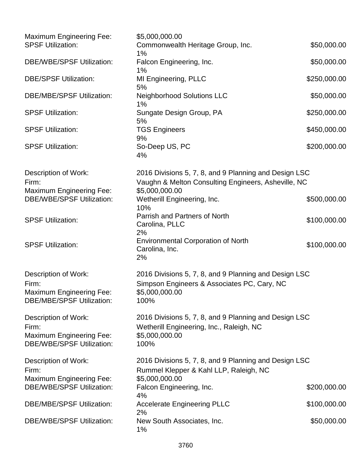| <b>Maximum Engineering Fee:</b>                                                                      | \$5,000,000.00                                                                                                                 |              |
|------------------------------------------------------------------------------------------------------|--------------------------------------------------------------------------------------------------------------------------------|--------------|
| <b>SPSF Utilization:</b>                                                                             | Commonwealth Heritage Group, Inc.<br>1%                                                                                        | \$50,000.00  |
| <b>DBE/WBE/SPSF Utilization:</b>                                                                     | Falcon Engineering, Inc.<br>1%                                                                                                 | \$50,000.00  |
| <b>DBE/SPSF Utilization:</b>                                                                         | MI Engineering, PLLC<br>5%                                                                                                     | \$250,000.00 |
| <b>DBE/MBE/SPSF Utilization:</b>                                                                     | <b>Neighborhood Solutions LLC</b><br>$1\%$                                                                                     | \$50,000.00  |
| <b>SPSF Utilization:</b>                                                                             | Sungate Design Group, PA<br>5%                                                                                                 | \$250,000.00 |
| <b>SPSF Utilization:</b>                                                                             | <b>TGS Engineers</b><br>9%                                                                                                     | \$450,000.00 |
| <b>SPSF Utilization:</b>                                                                             | So-Deep US, PC<br>4%                                                                                                           | \$200,000.00 |
| <b>Description of Work:</b><br>Firm:<br><b>Maximum Engineering Fee:</b>                              | 2016 Divisions 5, 7, 8, and 9 Planning and Design LSC<br>Vaughn & Melton Consulting Engineers, Asheville, NC<br>\$5,000,000.00 |              |
| <b>DBE/WBE/SPSF Utilization:</b>                                                                     | Wetherill Engineering, Inc.<br>10%                                                                                             | \$500,000.00 |
| <b>SPSF Utilization:</b>                                                                             | Parrish and Partners of North<br>Carolina, PLLC<br>2%                                                                          | \$100,000.00 |
| <b>SPSF Utilization:</b>                                                                             | <b>Environmental Corporation of North</b><br>Carolina, Inc.<br>2%                                                              | \$100,000.00 |
| <b>Description of Work:</b><br>Firm:<br><b>Maximum Engineering Fee:</b><br>DBE/MBE/SPSF Utilization: | 2016 Divisions 5, 7, 8, and 9 Planning and Design LSC<br>Simpson Engineers & Associates PC, Cary, NC<br>\$5,000,000.00<br>100% |              |
| Description of Work:<br>Firm:<br><b>Maximum Engineering Fee:</b><br><b>DBE/WBE/SPSF Utilization:</b> | 2016 Divisions 5, 7, 8, and 9 Planning and Design LSC<br>Wetherill Engineering, Inc., Raleigh, NC<br>\$5,000,000.00<br>100%    |              |
| Description of Work:<br>Firm:                                                                        | 2016 Divisions 5, 7, 8, and 9 Planning and Design LSC<br>Rummel Klepper & Kahl LLP, Raleigh, NC                                |              |
| <b>Maximum Engineering Fee:</b><br><b>DBE/WBE/SPSF Utilization:</b>                                  | \$5,000,000.00<br>Falcon Engineering, Inc.                                                                                     | \$200,000.00 |
| <b>DBE/MBE/SPSF Utilization:</b>                                                                     | 4%<br><b>Accelerate Engineering PLLC</b>                                                                                       | \$100,000.00 |
| <b>DBE/WBE/SPSF Utilization:</b>                                                                     | 2%<br>New South Associates, Inc.<br>1%                                                                                         | \$50,000.00  |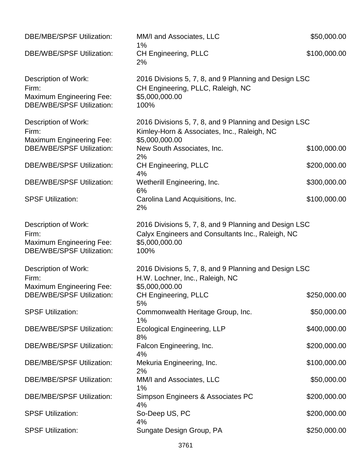| <b>DBE/MBE/SPSF Utilization:</b>                                                                     | MM/I and Associates, LLC<br>$1\%$                                                                                                    | \$50,000.00  |
|------------------------------------------------------------------------------------------------------|--------------------------------------------------------------------------------------------------------------------------------------|--------------|
| <b>DBE/WBE/SPSF Utilization:</b>                                                                     | <b>CH Engineering, PLLC</b><br>2%                                                                                                    | \$100,000.00 |
| Description of Work:<br>Firm:<br><b>Maximum Engineering Fee:</b><br><b>DBE/WBE/SPSF Utilization:</b> | 2016 Divisions 5, 7, 8, and 9 Planning and Design LSC<br>CH Engineering, PLLC, Raleigh, NC<br>\$5,000,000.00<br>100%                 |              |
| Description of Work:<br>Firm:<br><b>Maximum Engineering Fee:</b>                                     | 2016 Divisions 5, 7, 8, and 9 Planning and Design LSC<br>Kimley-Horn & Associates, Inc., Raleigh, NC<br>\$5,000,000.00               |              |
| <b>DBE/WBE/SPSF Utilization:</b>                                                                     | New South Associates, Inc.<br>2%                                                                                                     | \$100,000.00 |
| <b>DBE/WBE/SPSF Utilization:</b>                                                                     | <b>CH Engineering, PLLC</b><br>4%                                                                                                    | \$200,000.00 |
| <b>DBE/WBE/SPSF Utilization:</b>                                                                     | Wetherill Engineering, Inc.<br>6%                                                                                                    | \$300,000.00 |
| <b>SPSF Utilization:</b>                                                                             | Carolina Land Acquisitions, Inc.<br>2%                                                                                               | \$100,000.00 |
| Description of Work:<br>Firm:<br><b>Maximum Engineering Fee:</b><br><b>DBE/WBE/SPSF Utilization:</b> | 2016 Divisions 5, 7, 8, and 9 Planning and Design LSC<br>Calyx Engineers and Consultants Inc., Raleigh, NC<br>\$5,000,000.00<br>100% |              |
| Description of Work:<br>Firm:                                                                        | 2016 Divisions 5, 7, 8, and 9 Planning and Design LSC<br>H.W. Lochner, Inc., Raleigh, NC                                             |              |
| <b>Maximum Engineering Fee:</b><br>DBE/WBE/SPSF Utilization:                                         | \$5,000,000.00<br><b>CH Engineering, PLLC</b><br>5%                                                                                  | \$250,000.00 |
| <b>SPSF Utilization:</b>                                                                             | Commonwealth Heritage Group, Inc.<br>1%                                                                                              | \$50,000.00  |
| <b>DBE/WBE/SPSF Utilization:</b>                                                                     | <b>Ecological Engineering, LLP</b><br>8%                                                                                             | \$400,000.00 |
| <b>DBE/WBE/SPSF Utilization:</b>                                                                     | Falcon Engineering, Inc.<br>4%                                                                                                       | \$200,000.00 |
| <b>DBE/MBE/SPSF Utilization:</b>                                                                     | Mekuria Engineering, Inc.<br>2%                                                                                                      | \$100,000.00 |
| <b>DBE/MBE/SPSF Utilization:</b>                                                                     | MM/I and Associates, LLC<br>1%                                                                                                       | \$50,000.00  |
| <b>DBE/MBE/SPSF Utilization:</b>                                                                     | Simpson Engineers & Associates PC<br>4%                                                                                              | \$200,000.00 |
| <b>SPSF Utilization:</b>                                                                             | So-Deep US, PC<br>4%                                                                                                                 | \$200,000.00 |
| <b>SPSF Utilization:</b>                                                                             | Sungate Design Group, PA                                                                                                             | \$250,000.00 |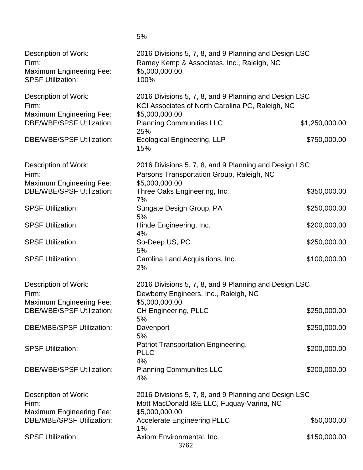| Description of Work:<br>Firm:<br><b>Maximum Engineering Fee:</b><br><b>SPSF Utilization:</b> | 2016 Divisions 5, 7, 8, and 9 Planning and Design LSC<br>Ramey Kemp & Associates, Inc., Raleigh, NC<br>\$5,000,000.00<br>100% |                |
|----------------------------------------------------------------------------------------------|-------------------------------------------------------------------------------------------------------------------------------|----------------|
| Description of Work:<br>Firm:<br><b>Maximum Engineering Fee:</b>                             | 2016 Divisions 5, 7, 8, and 9 Planning and Design LSC<br>KCI Associates of North Carolina PC, Raleigh, NC<br>\$5,000,000.00   |                |
| <b>DBE/WBE/SPSF Utilization:</b>                                                             | <b>Planning Communities LLC</b><br>25%                                                                                        | \$1,250,000.00 |
| <b>DBE/WBE/SPSF Utilization:</b>                                                             | <b>Ecological Engineering, LLP</b><br>15%                                                                                     | \$750,000.00   |
| Description of Work:<br>Firm:<br><b>Maximum Engineering Fee:</b>                             | 2016 Divisions 5, 7, 8, and 9 Planning and Design LSC<br>Parsons Transportation Group, Raleigh, NC<br>\$5,000,000.00          |                |
| <b>DBE/WBE/SPSF Utilization:</b>                                                             | Three Oaks Engineering, Inc.<br>7%                                                                                            | \$350,000.00   |
| <b>SPSF Utilization:</b>                                                                     | Sungate Design Group, PA<br>5%                                                                                                | \$250,000.00   |
| <b>SPSF Utilization:</b>                                                                     | Hinde Engineering, Inc.<br>4%                                                                                                 | \$200,000.00   |
| <b>SPSF Utilization:</b>                                                                     | So-Deep US, PC<br>5%                                                                                                          | \$250,000.00   |
| <b>SPSF Utilization:</b>                                                                     | Carolina Land Acquisitions, Inc.<br>2%                                                                                        | \$100,000.00   |
| Description of Work:<br>Firm:<br><b>Maximum Engineering Fee:</b>                             | 2016 Divisions 5, 7, 8, and 9 Planning and Design LSC<br>Dewberry Engineers, Inc., Raleigh, NC<br>\$5,000,000.00              |                |
| <b>DBE/WBE/SPSF Utilization:</b>                                                             | CH Engineering, PLLC<br>5%                                                                                                    | \$250,000.00   |
| <b>DBE/MBE/SPSF Utilization:</b>                                                             | Davenport<br>5%                                                                                                               | \$250,000.00   |
| <b>SPSF Utilization:</b>                                                                     | Patriot Transportation Engineering,<br><b>PLLC</b><br>4%                                                                      | \$200,000.00   |
| <b>DBE/WBE/SPSF Utilization:</b>                                                             | <b>Planning Communities LLC</b><br>4%                                                                                         | \$200,000.00   |
| Description of Work:<br>Firm:<br><b>Maximum Engineering Fee:</b>                             | 2016 Divisions 5, 7, 8, and 9 Planning and Design LSC<br>Mott MacDonald I&E LLC, Fuquay-Varina, NC<br>\$5,000,000.00          |                |
| <b>DBE/MBE/SPSF Utilization:</b>                                                             | <b>Accelerate Engineering PLLC</b><br>1%                                                                                      | \$50,000.00    |
| <b>SPSF Utilization:</b>                                                                     | Axiom Environmental, Inc.<br>3762                                                                                             | \$150,000.00   |

5%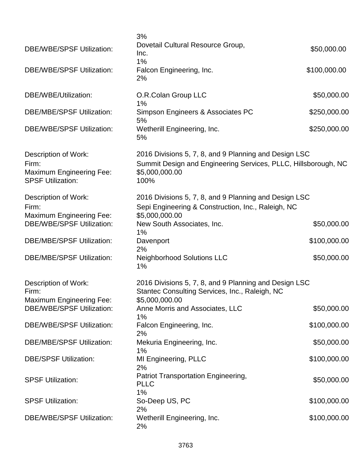| <b>DBE/WBE/SPSF Utilization:</b>                                                             | 3%<br>Dovetail Cultural Resource Group,<br>Inc.                                                                                                   | \$50,000.00  |
|----------------------------------------------------------------------------------------------|---------------------------------------------------------------------------------------------------------------------------------------------------|--------------|
| <b>DBE/WBE/SPSF Utilization:</b>                                                             | 1%<br>Falcon Engineering, Inc.<br>2%                                                                                                              | \$100,000.00 |
| DBE/WBE/Utilization:                                                                         | O.R.Colan Group LLC<br>1%                                                                                                                         | \$50,000.00  |
| <b>DBE/MBE/SPSF Utilization:</b>                                                             | Simpson Engineers & Associates PC<br>5%                                                                                                           | \$250,000.00 |
| <b>DBE/WBE/SPSF Utilization:</b>                                                             | Wetherill Engineering, Inc.<br>5%                                                                                                                 | \$250,000.00 |
| Description of Work:<br>Firm:<br><b>Maximum Engineering Fee:</b><br><b>SPSF Utilization:</b> | 2016 Divisions 5, 7, 8, and 9 Planning and Design LSC<br>Summit Design and Engineering Services, PLLC, Hillsborough, NC<br>\$5,000,000.00<br>100% |              |
| Description of Work:<br>Firm:                                                                | 2016 Divisions 5, 7, 8, and 9 Planning and Design LSC<br>Sepi Engineering & Construction, Inc., Raleigh, NC                                       |              |
| <b>Maximum Engineering Fee:</b><br><b>DBE/WBE/SPSF Utilization:</b>                          | \$5,000,000.00<br>New South Associates, Inc.<br>1%                                                                                                | \$50,000.00  |
| <b>DBE/MBE/SPSF Utilization:</b>                                                             | Davenport<br>2%                                                                                                                                   | \$100,000.00 |
| <b>DBE/MBE/SPSF Utilization:</b>                                                             | <b>Neighborhood Solutions LLC</b><br>$1\%$                                                                                                        | \$50,000.00  |
| Description of Work:<br>Firm:<br><b>Maximum Engineering Fee:</b>                             | 2016 Divisions 5, 7, 8, and 9 Planning and Design LSC<br>Stantec Consulting Services, Inc., Raleigh, NC<br>\$5,000,000.00                         |              |
| <b>DBE/WBE/SPSF Utilization:</b>                                                             | Anne Morris and Associates, LLC<br>1%                                                                                                             | \$50,000.00  |
| <b>DBE/WBE/SPSF Utilization:</b>                                                             | Falcon Engineering, Inc.<br>2%                                                                                                                    | \$100,000.00 |
| <b>DBE/MBE/SPSF Utilization:</b>                                                             | Mekuria Engineering, Inc.<br>$1\%$                                                                                                                | \$50,000.00  |
| <b>DBE/SPSF Utilization:</b>                                                                 | MI Engineering, PLLC<br>2%                                                                                                                        | \$100,000.00 |
| <b>SPSF Utilization:</b>                                                                     | Patriot Transportation Engineering,<br><b>PLLC</b><br>1%                                                                                          | \$50,000.00  |
| <b>SPSF Utilization:</b>                                                                     | So-Deep US, PC<br>2%                                                                                                                              | \$100,000.00 |
| <b>DBE/WBE/SPSF Utilization:</b>                                                             | Wetherill Engineering, Inc.<br>2%                                                                                                                 | \$100,000.00 |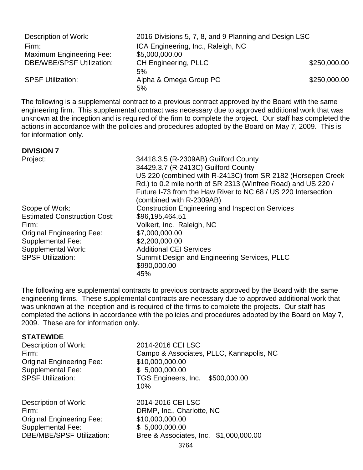| Description of Work:             | 2016 Divisions 5, 7, 8, and 9 Planning and Design LSC |              |
|----------------------------------|-------------------------------------------------------|--------------|
| Firm:                            | ICA Engineering, Inc., Raleigh, NC                    |              |
| <b>Maximum Engineering Fee:</b>  | \$5,000,000.00                                        |              |
| <b>DBE/WBE/SPSF Utilization:</b> | <b>CH Engineering, PLLC</b>                           | \$250,000.00 |
|                                  | 5%                                                    |              |
| <b>SPSF Utilization:</b>         | Alpha & Omega Group PC                                | \$250,000.00 |
|                                  | 5%                                                    |              |

The following is a supplemental contract to a previous contract approved by the Board with the same engineering firm. This supplemental contract was necessary due to approved additional work that was unknown at the inception and is required of the firm to complete the project. Our staff has completed the actions in accordance with the policies and procedures adopted by the Board on May 7, 2009. This is for information only.

## **DIVISION 7**

Project: 34418.3.5 (R-2309AB) Guilford County 34429.3.7 (R-2413C) Guilford County US 220 (combined with R-2413C) from SR 2182 (Horsepen Creek Rd.) to 0.2 mile north of SR 2313 (Winfree Road) and US 220 / Future I-73 from the Haw River to NC 68 / US 220 Intersection (combined with R-2309AB) Scope of Work: Construction Engineering and Inspection Services Estimated Construction Cost: \$96,195,464.51 Firm: Volkert, Inc. Raleigh, NC Original Engineering Fee: \$7,000,000.00<br>Supplemental Fee: \$2,200,000.00 Supplemental Fee: Supplemental Work: Additional CEI Services SPSF Utilization: Summit Design and Engineering Services, PLLC \$990,000.00 45%

The following are supplemental contracts to previous contracts approved by the Board with the same engineering firms. These supplemental contracts are necessary due to approved additional work that was unknown at the inception and is required of the firms to complete the projects. Our staff has completed the actions in accordance with the policies and procedures adopted by the Board on May 7, 2009. These are for information only.

## **STATEWIDE**

| Description of Work:<br>Firm:<br><b>Original Engineering Fee:</b><br><b>Supplemental Fee:</b><br><b>SPSF Utilization:</b> | 2014-2016 CEI LSC<br>Campo & Associates, PLLC, Kannapolis, NC<br>\$10,000,000.00<br>\$5,000,000.00<br>TGS Engineers, Inc. \$500,000.00<br>10% |
|---------------------------------------------------------------------------------------------------------------------------|-----------------------------------------------------------------------------------------------------------------------------------------------|
| Description of Work:                                                                                                      | 2014-2016 CEI LSC                                                                                                                             |
| Firm:                                                                                                                     | DRMP, Inc., Charlotte, NC                                                                                                                     |
| <b>Original Engineering Fee:</b>                                                                                          | \$10,000,000.00                                                                                                                               |
| <b>Supplemental Fee:</b>                                                                                                  | \$5,000,000.00                                                                                                                                |
| <b>DBE/MBE/SPSF Utilization:</b>                                                                                          | Bree & Associates, Inc. \$1,000,000.00                                                                                                        |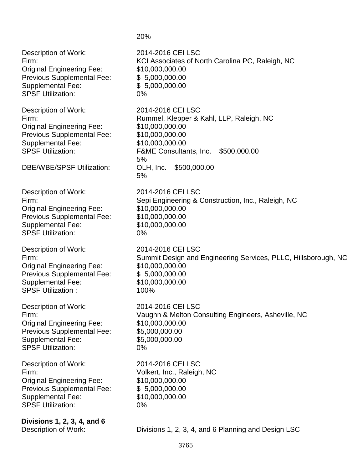Description of Work: 2014-2016 CEI LSC Firm: Entertainment Controller Controller KCI Associates of North Carolina PC, Raleigh, NC Original Engineering Fee: \$10,000,000.00 Previous Supplemental Fee: \$ 5,000,000.00 Supplemental Fee: \$ 5,000,000.00 SPSF Utilization: 0% Description of Work: 2014-2016 CEI LSC Firm: Rummel, Klepper & Kahl, LLP, Raleigh, NC Original Engineering Fee: \$10,000,000.00 Previous Supplemental Fee: \$10,000,000.00 Supplemental Fee: \$10,000,000.00 SPSF Utilization: F&ME Consultants, Inc. \$500,000.00 5% DBE/WBE/SPSF Utilization: OLH, Inc. \$500,000.00 5% Description of Work: 2014-2016 CEI LSC Firm: Sepi Engineering & Construction, Inc., Raleigh, NC Original Engineering Fee: \$10,000,000.00 Previous Supplemental Fee: \$10,000,000.00 Supplemental Fee: \$10,000,000.00 SPSF Utilization: 0% Description of Work: 2014-2016 CEI LSC Firm: Summit Design and Engineering Services, PLLC, Hillsborough, NC Original Engineering Fee: \$10,000,000.00 Previous Supplemental Fee: \$5,000,000.00 Supplemental Fee: \$10,000,000.00 SPSF Utilization : 100% Description of Work: 2014-2016 CEI LSC Firm: Vaughn & Melton Consulting Engineers, Asheville, NC Original Engineering Fee: \$10,000,000.00 Previous Supplemental Fee: \$5,000,000.00 Supplemental Fee: \$5,000,000.00 SPSF Utilization: 0% Description of Work: 2014-2016 CEI LSC Firm: Volkert, Inc., Raleigh, NC Original Engineering Fee: \$10,000,000.00 Previous Supplemental Fee: \$ 5,000,000.00 Supplemental Fee: \$10,000,000.00 SPSF Utilization: 0% **Divisions 1, 2, 3, 4, and 6** Description of Work: Divisions 1, 2, 3, 4, and 6 Planning and Design LSC

20%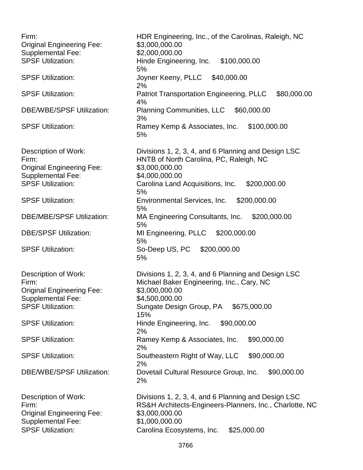Firm: HDR Engineering, Inc., of the Carolinas, Raleigh, NC Original Engineering Fee: \$3,000,000.00 Supplemental Fee: \$2,000,000.00 SPSF Utilization: **Hinde Engineering, Inc.** \$100,000.00 5% SPSF Utilization: Joyner Keeny, PLLC \$40,000.00 2% SPSF Utilization: Patriot Transportation Engineering, PLLC \$80,000.00 4% DBE/WBE/SPSF Utilization: Planning Communities, LLC \$60,000.00 3% SPSF Utilization: Ramey Kemp & Associates, Inc. \$100,000.00 5% Description of Work: Divisions 1, 2, 3, 4, and 6 Planning and Design LSC Firm: HNTB of North Carolina, PC, Raleigh, NC Original Engineering Fee: \$3,000,000.00 Supplemental Fee: \$4,000,000.00 SPSF Utilization: Carolina Land Acquisitions, Inc. \$200,000.00 5% SPSF Utilization: Environmental Services, Inc. \$200,000.00 5% DBE/MBE/SPSF Utilization: MA Engineering Consultants, Inc. \$200,000.00 5% DBE/SPSF Utilization: MI Engineering, PLLC \$200,000.00 5% SPSF Utilization: So-Deep US, PC \$200,000.00 5% Description of Work: Divisions 1, 2, 3, 4, and 6 Planning and Design LSC Firm: Michael Baker Engineering, Inc., Cary, NC Original Engineering Fee: \$3,000,000.00 Supplemental Fee: \$4,500,000.00 SPSF Utilization: Sungate Design Group, PA \$675,000.00 15% SPSF Utilization: **Hinde Engineering, Inc.** \$90,000.00 2% SPSF Utilization: Ramey Kemp & Associates, Inc. \$90,000.00 2% SPSF Utilization: Southeastern Right of Way, LLC \$90,000.00 2% DBE/WBE/SPSF Utilization: Dovetail Cultural Resource Group, Inc. \$90,000.00 2% Description of Work: Divisions 1, 2, 3, 4, and 6 Planning and Design LSC Firm: RS&H Architects-Engineers-Planners, Inc., Charlotte, NC Original Engineering Fee: \$3,000,000.00 Supplemental Fee: \$1,000,000.00 SPSF Utilization: Carolina Ecosystems, Inc. \$25,000.00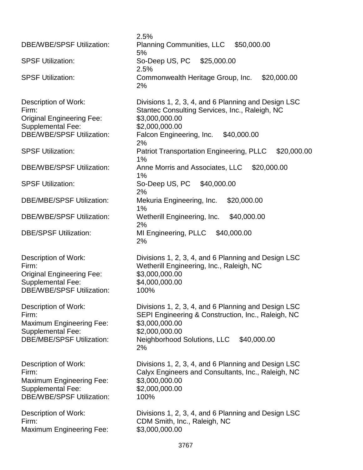| <b>DBE/WBE/SPSF Utilization:</b>                                                                                                  | 2.5%<br>Planning Communities, LLC \$50,000.00                                                                                                                                                     |
|-----------------------------------------------------------------------------------------------------------------------------------|---------------------------------------------------------------------------------------------------------------------------------------------------------------------------------------------------|
| <b>SPSF Utilization:</b>                                                                                                          | 5%<br>So-Deep US, PC \$25,000.00                                                                                                                                                                  |
|                                                                                                                                   | 2.5%                                                                                                                                                                                              |
| <b>SPSF Utilization:</b>                                                                                                          | Commonwealth Heritage Group, Inc.<br>\$20,000.00<br>2%                                                                                                                                            |
| Description of Work:<br>Firm:<br><b>Original Engineering Fee:</b><br><b>Supplemental Fee:</b><br><b>DBE/WBE/SPSF Utilization:</b> | Divisions 1, 2, 3, 4, and 6 Planning and Design LSC<br>Stantec Consulting Services, Inc., Raleigh, NC<br>\$3,000,000.00<br>\$2,000,000.00<br>Falcon Engineering, Inc.<br>\$40,000.00<br>2%        |
| <b>SPSF Utilization:</b>                                                                                                          | <b>Patriot Transportation Engineering, PLLC</b><br>\$20,000.00<br>1%                                                                                                                              |
| <b>DBE/WBE/SPSF Utilization:</b>                                                                                                  | Anne Morris and Associates, LLC \$20,000.00<br>1%                                                                                                                                                 |
| <b>SPSF Utilization:</b>                                                                                                          | \$40,000.00<br>So-Deep US, PC<br>2%                                                                                                                                                               |
| <b>DBE/MBE/SPSF Utilization:</b>                                                                                                  | \$20,000.00<br>Mekuria Engineering, Inc.<br>1%                                                                                                                                                    |
| <b>DBE/WBE/SPSF Utilization:</b>                                                                                                  | \$40,000.00<br>Wetherill Engineering, Inc.<br>2%                                                                                                                                                  |
| <b>DBE/SPSF Utilization:</b>                                                                                                      | MI Engineering, PLLC \$40,000.00<br>2%                                                                                                                                                            |
| Description of Work:<br>Firm:<br><b>Original Engineering Fee:</b><br><b>Supplemental Fee:</b><br><b>DBE/WBE/SPSF Utilization:</b> | Divisions 1, 2, 3, 4, and 6 Planning and Design LSC<br>Wetherill Engineering, Inc., Raleigh, NC<br>\$3,000,000.00<br>\$4,000,000.00<br>100%                                                       |
| Description of Work:<br>Firm:<br><b>Maximum Engineering Fee:</b><br><b>Supplemental Fee:</b><br><b>DBE/MBE/SPSF Utilization:</b>  | Divisions 1, 2, 3, 4, and 6 Planning and Design LSC<br>SEPI Engineering & Construction, Inc., Raleigh, NC<br>\$3,000,000.00<br>\$2,000,000.00<br>Neighborhood Solutions, LLC<br>\$40,000.00<br>2% |
| Description of Work:<br>Firm:<br>Maximum Engineering Fee:<br><b>Supplemental Fee:</b><br><b>DBE/WBE/SPSF Utilization:</b>         | Divisions 1, 2, 3, 4, and 6 Planning and Design LSC<br>Calyx Engineers and Consultants, Inc., Raleigh, NC<br>\$3,000,000.00<br>\$2,000,000.00<br>100%                                             |
| Description of Work:<br>Firm:<br><b>Maximum Engineering Fee:</b>                                                                  | Divisions 1, 2, 3, 4, and 6 Planning and Design LSC<br>CDM Smith, Inc., Raleigh, NC<br>\$3,000,000.00                                                                                             |
|                                                                                                                                   |                                                                                                                                                                                                   |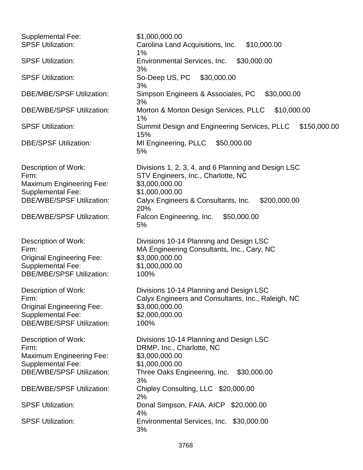| \$1,000,000.00                                                                                |
|-----------------------------------------------------------------------------------------------|
| Carolina Land Acquisitions, Inc.<br>\$10,000.00<br>1%                                         |
| \$30,000.00<br>Environmental Services, Inc.<br>3%                                             |
| So-Deep US, PC<br>\$30,000.00<br>3%                                                           |
| Simpson Engineers & Associates, PC<br>\$30,000.00<br>3%                                       |
| Morton & Morton Design Services, PLLC \$10,000.00<br>$1\%$                                    |
| Summit Design and Engineering Services, PLLC<br>\$150,000.00<br>15%                           |
| MI Engineering, PLLC<br>\$50,000.00<br>5%                                                     |
| Divisions 1, 2, 3, 4, and 6 Planning and Design LSC<br>STV Engineers, Inc., Charlotte, NC     |
| \$3,000,000.00                                                                                |
| \$1,000,000.00                                                                                |
| Calyx Engineers & Consultants, Inc.<br>\$200,000.00<br>20%                                    |
| Falcon Engineering, Inc.<br>\$50,000.00<br>5%                                                 |
| Divisions 10-14 Planning and Design LSC<br>MA Engineering Consultants, Inc., Cary, NC         |
| \$3,000,000.00                                                                                |
| \$1,000,000.00                                                                                |
| 100%                                                                                          |
| Divisions 10-14 Planning and Design LSC<br>Calyx Engineers and Consultants, Inc., Raleigh, NC |
| \$3,000,000.00                                                                                |
| \$2,000,000.00                                                                                |
| 100%                                                                                          |
| Divisions 10-14 Planning and Design LSC<br>DRMP, Inc., Charlotte, NC                          |
| \$3,000,000.00                                                                                |
| \$1,000,000.00                                                                                |
| Three Oaks Engineering, Inc. \$30,000.00                                                      |
| 3%<br>Chipley Consulting, LLC \$20,000.00<br>2%                                               |
| Donal Simpson, FAIA, AICP \$20,000.00<br>4%                                                   |
| Environmental Services, Inc. \$30,000.00<br>3%                                                |
|                                                                                               |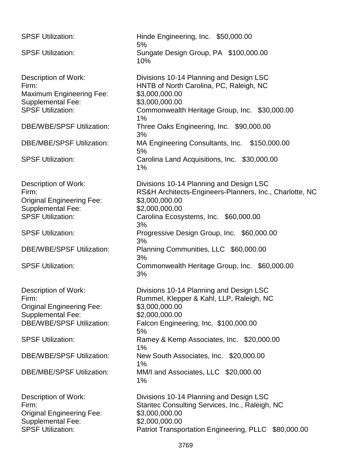| <b>SPSF Utilization:</b>                                                                                                                 | Hinde Engineering, Inc. \$50,000.00<br>5%                                                                                                                                             |
|------------------------------------------------------------------------------------------------------------------------------------------|---------------------------------------------------------------------------------------------------------------------------------------------------------------------------------------|
| <b>SPSF Utilization:</b>                                                                                                                 | Sungate Design Group, PA \$100,000.00<br>10%                                                                                                                                          |
| Description of Work:<br>Firm:<br><b>Maximum Engineering Fee:</b><br><b>Supplemental Fee:</b><br><b>SPSF Utilization:</b>                 | Divisions 10-14 Planning and Design LSC<br>HNTB of North Carolina, PC, Raleigh, NC<br>\$3,000,000.00<br>\$3,000,000.00<br>Commonwealth Heritage Group, Inc. \$30,000.00<br>1%         |
| <b>DBE/WBE/SPSF Utilization:</b>                                                                                                         | Three Oaks Engineering, Inc. \$90,000.00<br>3%                                                                                                                                        |
| <b>DBE/MBE/SPSF Utilization:</b>                                                                                                         | MA Engineering Consultants, Inc. \$150,000.00<br>5%                                                                                                                                   |
| <b>SPSF Utilization:</b>                                                                                                                 | Carolina Land Acquisitions, Inc. \$30,000.00<br>1%                                                                                                                                    |
| Description of Work:<br>Firm:<br><b>Original Engineering Fee:</b><br><b>Supplemental Fee:</b><br><b>SPSF Utilization:</b>                | Divisions 10-14 Planning and Design LSC<br>RS&H Architects-Engineers-Planners, Inc., Charlotte, NC<br>\$3,000,000.00<br>\$2,000,000.00<br>Carolina Ecosystems, Inc. \$60,000.00<br>3% |
| <b>SPSF Utilization:</b>                                                                                                                 | Progressive Design Group, Inc. \$60,000.00<br>3%                                                                                                                                      |
| <b>DBE/WBE/SPSF Utilization:</b>                                                                                                         | Planning Communities, LLC \$60,000.00<br>3%                                                                                                                                           |
| <b>SPSF Utilization:</b>                                                                                                                 | Commonwealth Heritage Group, Inc. \$60,000.00<br>3%                                                                                                                                   |
| <b>Description of Work:</b><br>Firm:<br><b>Original Engineering Fee:</b><br><b>Supplemental Fee:</b><br><b>DBE/WBE/SPSF Utilization:</b> | Divisions 10-14 Planning and Design LSC<br>Rummel, Klepper & Kahl, LLP, Raleigh, NC<br>\$3,000,000.00<br>\$2,000,000.00<br>Falcon Engineering, Inc. \$100,000.00<br>5%                |
| <b>SPSF Utilization:</b>                                                                                                                 | Ramey & Kemp Associates, Inc. \$20,000.00<br>1%                                                                                                                                       |
| <b>DBE/WBE/SPSF Utilization:</b>                                                                                                         | New South Associates, Inc. \$20,000.00<br>1%                                                                                                                                          |
| <b>DBE/MBE/SPSF Utilization:</b>                                                                                                         | MM/I and Associates, LLC \$20,000.00<br>1%                                                                                                                                            |
| Description of Work:<br>Firm:<br><b>Original Engineering Fee:</b><br><b>Supplemental Fee:</b><br><b>SPSF Utilization:</b>                | Divisions 10-14 Planning and Design LSC<br>Stantec Consulting Services, Inc., Raleigh, NC<br>\$3,000,000.00<br>\$2,000,000.00<br>Patriot Transportation Engineering, PLLC \$80,000.00 |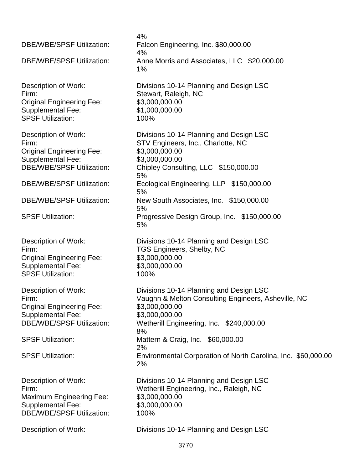4% DBE/WBE/SPSF Utilization: Falcon Engineering, Inc. \$80,000.00 4% DBE/WBE/SPSF Utilization: Anne Morris and Associates, LLC \$20,000.00 1% Description of Work: Divisions 10-14 Planning and Design LSC Firm: Stewart, Raleigh, NC Original Engineering Fee: \$3,000,000.00 Supplemental Fee: \$1,000,000.00 SPSF Utilization: 100% Description of Work: Divisions 10-14 Planning and Design LSC Firm: STV Engineers, Inc., Charlotte, NC Original Engineering Fee: \$3,000,000.00 Supplemental Fee: \$3,000,000.00 DBE/WBE/SPSF Utilization: Chipley Consulting, LLC \$150,000.00 5% DBE/WBE/SPSF Utilization: Ecological Engineering, LLP \$150,000.00 5% DBE/WBE/SPSF Utilization: New South Associates, Inc. \$150,000.00 5% SPSF Utilization: Progressive Design Group, Inc. \$150,000.00 5% Description of Work: Divisions 10-14 Planning and Design LSC Firm: TGS Engineers, Shelby, NC Original Engineering Fee: \$3,000,000.00 Supplemental Fee: \$3,000,000.00 SPSF Utilization: 100% Description of Work: Divisions 10-14 Planning and Design LSC Firm: Vaughn & Melton Consulting Engineers, Asheville, NC Original Engineering Fee: \$3,000,000.00 Supplemental Fee: \$3,000,000.00 DBE/WBE/SPSF Utilization: Wetherill Engineering, Inc. \$240,000.00 8% SPSF Utilization: Mattern & Craig, Inc. \$60,000.00 2% SPSF Utilization: Environmental Corporation of North Carolina, Inc. \$60,000.00 2% Description of Work: Divisions 10-14 Planning and Design LSC Firm: Wetherill Engineering, Inc., Raleigh, NC Maximum Engineering Fee: \$3,000,000.00 Supplemental Fee: \$3,000,000.00 DBE/WBE/SPSF Utilization: 100% Description of Work: Divisions 10-14 Planning and Design LSC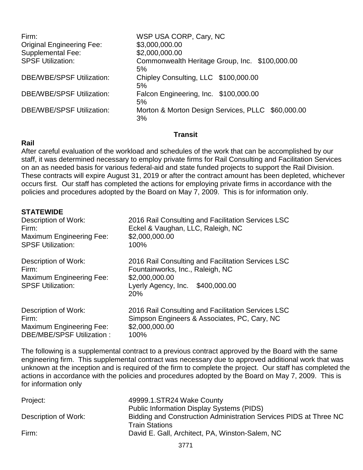| Firm:<br><b>Original Engineering Fee:</b><br><b>Supplemental Fee:</b><br><b>SPSF Utilization:</b> | WSP USA CORP, Cary, NC<br>\$3,000,000.00<br>\$2,000,000.00<br>Commonwealth Heritage Group, Inc. \$100,000.00 |
|---------------------------------------------------------------------------------------------------|--------------------------------------------------------------------------------------------------------------|
| <b>DBE/WBE/SPSF Utilization:</b>                                                                  | 5%<br>Chipley Consulting, LLC \$100,000.00<br>5%                                                             |
| <b>DBE/WBE/SPSF Utilization:</b>                                                                  | Falcon Engineering, Inc. \$100,000.00<br>5%                                                                  |
| <b>DBE/WBE/SPSF Utilization:</b>                                                                  | Morton & Morton Design Services, PLLC \$60,000.00<br>3%                                                      |

## **Transit**

## **Rail**

After careful evaluation of the workload and schedules of the work that can be accomplished by our staff, it was determined necessary to employ private firms for Rail Consulting and Facilitation Services on an as needed basis for various federal-aid and state funded projects to support the Rail Division. These contracts will expire August 31, 2019 or after the contract amount has been depleted, whichever occurs first. Our staff has completed the actions for employing private firms in accordance with the policies and procedures adopted by the Board on May 7, 2009. This is for information only.

## **STATEWIDE**

| Description of Work:                                                                         | 2016 Rail Consulting and Facilitation Services LSC                                                                                                     |
|----------------------------------------------------------------------------------------------|--------------------------------------------------------------------------------------------------------------------------------------------------------|
| Firm:                                                                                        | Eckel & Vaughan, LLC, Raleigh, NC                                                                                                                      |
| <b>Maximum Engineering Fee:</b>                                                              | \$2,000,000.00                                                                                                                                         |
| <b>SPSF Utilization:</b>                                                                     | 100%                                                                                                                                                   |
| Description of Work:<br>Firm:<br><b>Maximum Engineering Fee:</b><br><b>SPSF Utilization:</b> | 2016 Rail Consulting and Facilitation Services LSC<br>Fountainworks, Inc., Raleigh, NC<br>\$2,000,000.00<br>Lyerly Agency, Inc.<br>\$400,000.00<br>20% |
| Description of Work:                                                                         | 2016 Rail Consulting and Facilitation Services LSC                                                                                                     |
| Firm:                                                                                        | Simpson Engineers & Associates, PC, Cary, NC                                                                                                           |
| <b>Maximum Engineering Fee:</b>                                                              | \$2,000,000.00                                                                                                                                         |
| DBE/MBE/SPSF Utilization:                                                                    | 100%                                                                                                                                                   |

The following is a supplemental contract to a previous contract approved by the Board with the same engineering firm. This supplemental contract was necessary due to approved additional work that was unknown at the inception and is required of the firm to complete the project. Our staff has completed the actions in accordance with the policies and procedures adopted by the Board on May 7, 2009. This is for information only

| Project:             | 49999.1.STR24 Wake County                                         |
|----------------------|-------------------------------------------------------------------|
|                      | Public Information Display Systems (PIDS)                         |
| Description of Work: | Bidding and Construction Administration Services PIDS at Three NC |
|                      | <b>Train Stations</b>                                             |
| Firm:                | David E. Gall, Architect, PA, Winston-Salem, NC                   |
|                      |                                                                   |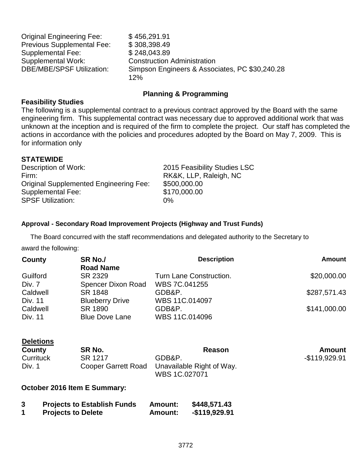| <b>Original Engineering Fee:</b> | \$456,291.91                                   |
|----------------------------------|------------------------------------------------|
| Previous Supplemental Fee:       | \$308,398.49                                   |
| Supplemental Fee:                | \$248,043.89                                   |
| Supplemental Work:               | <b>Construction Administration</b>             |
| DBE/MBE/SPSF Utilization:        | Simpson Engineers & Associates, PC \$30,240.28 |
|                                  | 12%                                            |

### **Planning & Programming**

## **Feasibility Studies**

The following is a supplemental contract to a previous contract approved by the Board with the same engineering firm. This supplemental contract was necessary due to approved additional work that was unknown at the inception and is required of the firm to complete the project. Our staff has completed the actions in accordance with the policies and procedures adopted by the Board on May 7, 2009. This is for information only

### **STATEWIDE**

Description of Work: 2015 Feasibility Studies LSC Firm: Firm: RK&K, LLP, Raleigh, NC Original Supplemented Engineering Fee: \$500,000.00 Supplemental Fee: \$170,000.00 SPSF Utilization: 0%

### **Approval - Secondary Road Improvement Projects (Highway and Trust Funds)**

The Board concurred with the staff recommendations and delegated authority to the Secretary to

award the following:

| County   | SR No./<br><b>Road Name</b> | <b>Description</b>      | <b>Amount</b> |
|----------|-----------------------------|-------------------------|---------------|
| Guilford | SR 2329                     | Turn Lane Construction. | \$20,000.00   |
| Div. 7   | Spencer Dixon Road          | WBS 7C.041255           |               |
| Caldwell | SR 1848                     | GDB&P.                  | \$287,571.43  |
| Div. 11  | <b>Blueberry Drive</b>      | WBS 11C.014097          |               |
| Caldwell | SR 1890                     | GDB&P.                  | \$141,000.00  |
| Div. 11  | <b>Blue Dove Lane</b>       | WBS 11C.014096          |               |

| <b>Deletions</b> |                            |                                            |                |
|------------------|----------------------------|--------------------------------------------|----------------|
| County           | SR No.                     | Reason                                     | Amount         |
| Currituck        | SR 1217                    | GDB&P.                                     | $-$119.929.91$ |
| Div. 1           | <b>Cooper Garrett Road</b> | Unavailable Right of Way.<br>WBS 1C.027071 |                |

#### **October 2016 Item E Summary:**

| 3 | <b>Projects to Establish Funds</b> | <b>Amount:</b> | \$448,571.43   |
|---|------------------------------------|----------------|----------------|
|   | <b>Projects to Delete</b>          | <b>Amount:</b> | $-$119,929.91$ |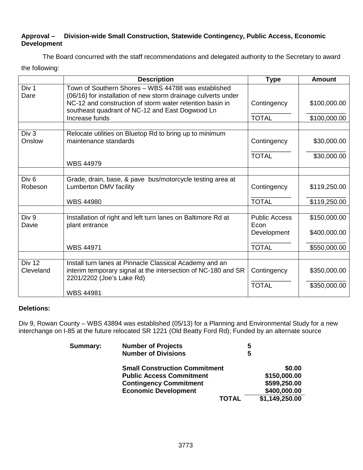## **Approval – Division-wide Small Construction, Statewide Contingency, Public Access, Economic Development**

The Board concurred with the staff recommendations and delegated authority to the Secretary to award the following:

|                             | <b>Description</b>                                                                                                                                    | <b>Type</b>                  | <b>Amount</b> |
|-----------------------------|-------------------------------------------------------------------------------------------------------------------------------------------------------|------------------------------|---------------|
| Div 1<br>Dare               | Town of Southern Shores - WBS 44788 was established<br>(06/16) for installation of new storm drainage culverts under                                  |                              |               |
|                             | NC-12 and construction of storm water retention basin in<br>southeast quadrant of NC-12 and East Dogwood Ln                                           | Contingency                  | \$100,000.00  |
|                             | Increase funds                                                                                                                                        | <b>TOTAL</b>                 | \$100,000.00  |
| Div 3                       |                                                                                                                                                       |                              |               |
| Onslow                      | Relocate utilities on Bluetop Rd to bring up to minimum<br>maintenance standards                                                                      | Contingency                  | \$30,000.00   |
|                             |                                                                                                                                                       | <b>TOTAL</b>                 | \$30,000.00   |
|                             | <b>WBS 44979</b>                                                                                                                                      |                              |               |
|                             |                                                                                                                                                       |                              |               |
| Div <sub>6</sub><br>Robeson | Grade, drain, base, & pave bus/motorcycle testing area at<br>Lumberton DMV facility                                                                   | Contingency                  | \$119,250.00  |
|                             | <b>WBS 44980</b>                                                                                                                                      | <b>TOTAL</b>                 | \$119,250.00  |
|                             |                                                                                                                                                       |                              |               |
| Div 9<br>Davie              | Installation of right and left turn lanes on Baltimore Rd at<br>plant entrance                                                                        | <b>Public Access</b><br>Econ | \$150,000.00  |
|                             |                                                                                                                                                       | Development                  | \$400,000.00  |
|                             | <b>WBS 44971</b>                                                                                                                                      | <b>TOTAL</b>                 | \$550,000.00  |
|                             |                                                                                                                                                       |                              |               |
| Div 12<br>Cleveland         | Install turn lanes at Pinnacle Classical Academy and an<br>interim temporary signal at the intersection of NC-180 and SR<br>2201/2202 (Joe's Lake Rd) | Contingency                  | \$350,000.00  |
|                             |                                                                                                                                                       | <b>TOTAL</b>                 | \$350,000.00  |
|                             | <b>WBS 44981</b>                                                                                                                                      |                              |               |

## **Deletions:**

Div 9, Rowan County – WBS 43894 was established (05/13) for a Planning and Environmental Study for a new interchange on I-85 at the future relocated SR 1221 (Old Beatty Ford Rd); Funded by an alternate source

| Summary: | <b>Number of Projects</b>            | 5 |                |
|----------|--------------------------------------|---|----------------|
|          | <b>Number of Divisions</b>           | 5 |                |
|          | <b>Small Construction Commitment</b> |   | \$0.00         |
|          | <b>Public Access Commitment</b>      |   | \$150,000.00   |
|          | <b>Contingency Commitment</b>        |   | \$599,250.00   |
|          | <b>Economic Development</b>          |   | \$400,000.00   |
|          | <b>TOTAL</b>                         |   | \$1,149,250.00 |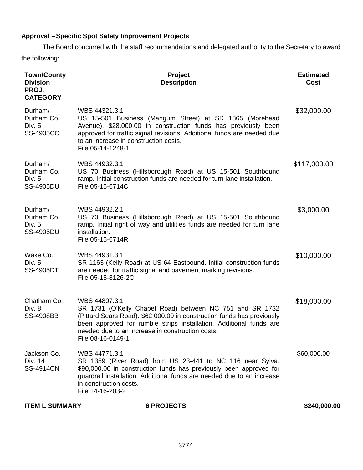# **Approval – Specific Spot Safety Improvement Projects**

The Board concurred with the staff recommendations and delegated authority to the Secretary to award the following:

| <b>Town/County</b><br><b>Division</b><br>PROJ.<br><b>CATEGORY</b> | Project<br><b>Description</b>                                                                                                                                                                                                                                                                      | <b>Estimated</b><br>Cost |
|-------------------------------------------------------------------|----------------------------------------------------------------------------------------------------------------------------------------------------------------------------------------------------------------------------------------------------------------------------------------------------|--------------------------|
| Durham/<br>Durham Co.<br>Div. 5<br>SS-4905CO                      | WBS 44321.3.1<br>US 15-501 Business (Mangum Street) at SR 1365 (Morehead<br>Avenue). \$28,000.00 in construction funds has previously been<br>approved for traffic signal revisions. Additional funds are needed due<br>to an increase in construction costs.<br>File 05-14-1248-1                 | \$32,000.00              |
| Durham/<br>Durham Co.<br>Div. 5<br><b>SS-4905DU</b>               | WBS 44932.3.1<br>US 70 Business (Hillsborough Road) at US 15-501 Southbound<br>ramp. Initial construction funds are needed for turn lane installation.<br>File 05-15-6714C                                                                                                                         | \$117,000.00             |
| Durham/<br>Durham Co.<br>Div. 5<br><b>SS-4905DU</b>               | WBS 44932.2.1<br>US 70 Business (Hillsborough Road) at US 15-501 Southbound<br>ramp. Initial right of way and utilities funds are needed for turn lane<br>installation.<br>File 05-15-6714R                                                                                                        | \$3,000.00               |
| Wake Co.<br>Div. 5<br><b>SS-4905DT</b>                            | WBS 44931.3.1<br>SR 1163 (Kelly Road) at US 64 Eastbound. Initial construction funds<br>are needed for traffic signal and pavement marking revisions.<br>File 05-15-8126-2C                                                                                                                        | \$10,000.00              |
| Chatham Co.<br>Div. 8<br><b>SS-4908BB</b>                         | WBS 44807.3.1<br>SR 1731 (O'Kelly Chapel Road) between NC 751 and SR 1732<br>(Pittard Sears Road). \$62,000.00 in construction funds has previously<br>been approved for rumble strips installation. Additional funds are<br>needed due to an increase in construction costs.<br>File 08-16-0149-1 | \$18,000.00              |
| Jackson Co.<br>Div. 14<br><b>SS-4914CN</b>                        | WBS 44771.3.1<br>SR 1359 (River Road) from US 23-441 to NC 116 near Sylva.<br>\$90,000.00 in construction funds has previously been approved for<br>guardrail installation. Additional funds are needed due to an increase<br>in construction costs.<br>File 14-16-203-2                           | \$60,000.00              |
| <b>ITEM L SUMMARY</b>                                             | <b>6 PROJECTS</b>                                                                                                                                                                                                                                                                                  | \$240,000.00             |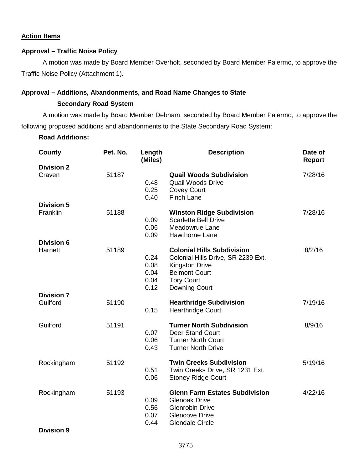#### **Action Items**

## **Approval – Traffic Noise Policy**

A motion was made by Board Member Overholt, seconded by Board Member Palermo, to approve the Traffic Noise Policy (Attachment 1).

#### **Approval – Additions, Abandonments, and Road Name Changes to State**

#### **Secondary Road System**

A motion was made by Board Member Debnam, seconded by Board Member Palermo, to approve the following proposed additions and abandonments to the State Secondary Road System:

**Road Additions:**

| County                          | Pet. No. | Length<br>(Miles)                    | <b>Description</b>                                                                                                                                             | Date of<br>Report |
|---------------------------------|----------|--------------------------------------|----------------------------------------------------------------------------------------------------------------------------------------------------------------|-------------------|
| <b>Division 2</b>               |          |                                      |                                                                                                                                                                |                   |
| Craven                          | 51187    | 0.48<br>0.25<br>0.40                 | <b>Quail Woods Subdivision</b><br><b>Quail Woods Drive</b><br><b>Covey Court</b><br><b>Finch Lane</b>                                                          | 7/28/16           |
| <b>Division 5</b>               |          |                                      |                                                                                                                                                                |                   |
| Franklin                        | 51188    | 0.09<br>0.06<br>0.09                 | <b>Winston Ridge Subdivision</b><br><b>Scarlette Bell Drive</b><br>Meadowrue Lane<br><b>Hawthorne Lane</b>                                                     | 7/28/16           |
| <b>Division 6</b>               |          |                                      |                                                                                                                                                                |                   |
| Harnett                         | 51189    | 0.24<br>0.08<br>0.04<br>0.04<br>0.12 | <b>Colonial Hills Subdivision</b><br>Colonial Hills Drive, SR 2239 Ext.<br><b>Kingston Drive</b><br><b>Belmont Court</b><br><b>Tory Court</b><br>Downing Court | 8/2/16            |
| <b>Division 7</b>               |          |                                      |                                                                                                                                                                |                   |
| Guilford                        | 51190    | 0.15                                 | <b>Hearthridge Subdivision</b><br><b>Hearthridge Court</b>                                                                                                     | 7/19/16           |
| Guilford                        | 51191    | 0.07<br>0.06<br>0.43                 | <b>Turner North Subdivision</b><br><b>Deer Stand Court</b><br><b>Turner North Court</b><br><b>Turner North Drive</b>                                           | 8/9/16            |
| Rockingham                      | 51192    | 0.51<br>0.06                         | <b>Twin Creeks Subdivision</b><br>Twin Creeks Drive, SR 1231 Ext.<br><b>Stoney Ridge Court</b>                                                                 | 5/19/16           |
| Rockingham<br><b>Division 9</b> | 51193    | 0.09<br>0.56<br>0.07<br>0.44         | <b>Glenn Farm Estates Subdivision</b><br><b>Glenoak Drive</b><br><b>Glenrobin Drive</b><br><b>Glencove Drive</b><br><b>Glendale Circle</b>                     | 4/22/16           |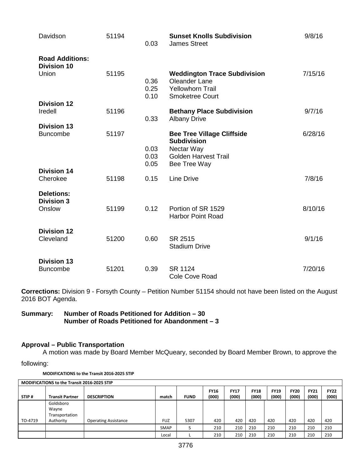| Davidson                                     | 51194 | 0.03                 | <b>Sunset Knolls Subdivision</b><br><b>James Street</b>                                                          | 9/8/16  |
|----------------------------------------------|-------|----------------------|------------------------------------------------------------------------------------------------------------------|---------|
| <b>Road Additions:</b><br><b>Division 10</b> |       |                      |                                                                                                                  |         |
| Union                                        | 51195 | 0.36<br>0.25<br>0.10 | <b>Weddington Trace Subdivision</b><br><b>Oleander Lane</b><br><b>Yellowhorn Trail</b><br><b>Smoketree Court</b> | 7/15/16 |
| <b>Division 12</b><br>Iredell                | 51196 | 0.33                 | <b>Bethany Place Subdivision</b><br><b>Albany Drive</b>                                                          | 9/7/16  |
| <b>Division 13</b><br><b>Buncombe</b>        | 51197 | 0.03                 | <b>Bee Tree Village Cliffside</b><br><b>Subdivision</b><br>Nectar Way                                            | 6/28/16 |
|                                              |       | 0.03<br>0.05         | <b>Golden Harvest Trail</b><br>Bee Tree Way                                                                      |         |
| <b>Division 14</b><br>Cherokee               | 51198 | 0.15                 | <b>Line Drive</b>                                                                                                | 7/8/16  |
| <b>Deletions:</b><br><b>Division 3</b>       |       |                      |                                                                                                                  |         |
| Onslow                                       | 51199 | 0.12                 | Portion of SR 1529<br><b>Harbor Point Road</b>                                                                   | 8/10/16 |
| <b>Division 12</b><br>Cleveland              | 51200 | 0.60                 | SR 2515<br><b>Stadium Drive</b>                                                                                  | 9/1/16  |
| <b>Division 13</b><br><b>Buncombe</b>        | 51201 | 0.39                 | SR 1124<br>Cole Cove Road                                                                                        | 7/20/16 |

**Corrections:** Division 9 - Forsyth County – Petition Number 51154 should not have been listed on the August 2016 BOT Agenda.

**Summary: Number of Roads Petitioned for Addition – 30 Number of Roads Petitioned for Abandonment – 3** 

## **Approval – Public Transportation**

A motion was made by Board Member McQueary, seconded by Board Member Brown, to approve the

following:

**MODIFICATIONS to the Transit 2016-2025 STIP**

| <b>MODIFICATIONS to the Transit 2016-2025 STIP</b> |                                      |                             |             |             |                      |                      |                      |                      |                      |                      |                      |
|----------------------------------------------------|--------------------------------------|-----------------------------|-------------|-------------|----------------------|----------------------|----------------------|----------------------|----------------------|----------------------|----------------------|
| STIP#                                              | <b>Transit Partner</b>               | <b>DESCRIPTION</b>          | match       | <b>FUND</b> | <b>FY16</b><br>(000) | <b>FY17</b><br>(000) | <b>FY18</b><br>(000) | <b>FY19</b><br>(000) | <b>FY20</b><br>(000) | <b>FY21</b><br>(000) | <b>FY22</b><br>(000) |
|                                                    | Goldsboro<br>Wayne<br>Transportation |                             |             |             |                      |                      |                      |                      |                      |                      |                      |
| TO-4719                                            | Authority                            | <b>Operating Assistance</b> | <b>FUZ</b>  | 5307        | 420                  | 420                  | 420                  | 420                  | 420                  | 420                  | 420                  |
|                                                    |                                      |                             | <b>SMAP</b> |             | 210                  | 210                  | 210                  | 210                  | 210                  | 210                  | 210                  |
|                                                    |                                      |                             | Local       |             | 210                  | 210                  | 210                  | 210                  | 210                  | 210                  | 210                  |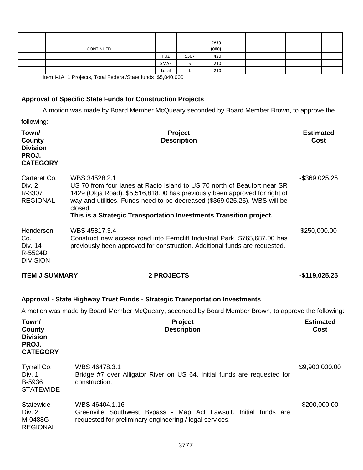|  | CONTINUED |            |      | <b>FY23</b><br>(000) |  |  |  |
|--|-----------|------------|------|----------------------|--|--|--|
|  |           | <b>FUZ</b> | 5307 | 420                  |  |  |  |
|  |           | SMAP       |      | 210                  |  |  |  |
|  |           | Local      |      | 210                  |  |  |  |

Item I-1A, 1 Projects, Total Federal/State funds \$5,040,000

# **Approval of Specific State Funds for Construction Projects**

A motion was made by Board Member McQueary seconded by Board Member Brown, to approve the

following:

| Town/<br>County<br><b>Division</b><br>PROJ.<br><b>CATEGORY</b>        | Project<br><b>Description</b>                                                                                                                                                                                                                                                                                                         | <b>Estimated</b><br>Cost |  |  |
|-----------------------------------------------------------------------|---------------------------------------------------------------------------------------------------------------------------------------------------------------------------------------------------------------------------------------------------------------------------------------------------------------------------------------|--------------------------|--|--|
| Carteret Co.<br>Div. 2<br>R-3307<br><b>REGIONAL</b>                   | WBS 34528.2.1<br>US 70 from four lanes at Radio Island to US 70 north of Beaufort near SR<br>1429 (Olga Road). \$5,516,818.00 has previously been approved for right of<br>way and utilities. Funds need to be decreased (\$369,025.25). WBS will be<br>closed.<br>This is a Strategic Transportation Investments Transition project. |                          |  |  |
| Henderson<br>Co.<br>Div. 14<br>R-5524D<br><b>DIVISION</b>             | WBS 45817.3.4<br>Construct new access road into Ferncliff Industrial Park. \$765,687.00 has<br>previously been approved for construction. Additional funds are requested.                                                                                                                                                             | \$250,000.00             |  |  |
| <b>ITEM J SUMMARY</b>                                                 | <b>2 PROJECTS</b>                                                                                                                                                                                                                                                                                                                     | -\$119,025.25            |  |  |
|                                                                       | Approval - State Highway Trust Funds - Strategic Transportation Investments                                                                                                                                                                                                                                                           |                          |  |  |
|                                                                       | A motion was made by Board Member McQueary, seconded by Board Member Brown, to approve the following:                                                                                                                                                                                                                                 |                          |  |  |
| Town/<br><b>County</b><br><b>Division</b><br>PROJ.<br><b>CATEGORY</b> | Project<br><b>Description</b>                                                                                                                                                                                                                                                                                                         | <b>Estimated</b><br>Cost |  |  |
| Tyrrell Co.<br>Div. 1<br>B-5936<br><b>STATEWIDE</b>                   | WBS 46478.3.1<br>Bridge #7 over Alligator River on US 64. Initial funds are requested for<br>construction.                                                                                                                                                                                                                            | \$9,900,000.00           |  |  |
| <b>Statewide</b><br>Div. 2<br>M-0488G<br><b>REGIONAL</b>              | WBS 46404.1.16<br>Greenville Southwest Bypass - Map Act Lawsuit. Initial funds are<br>requested for preliminary engineering / legal services.                                                                                                                                                                                         | \$200,000.00             |  |  |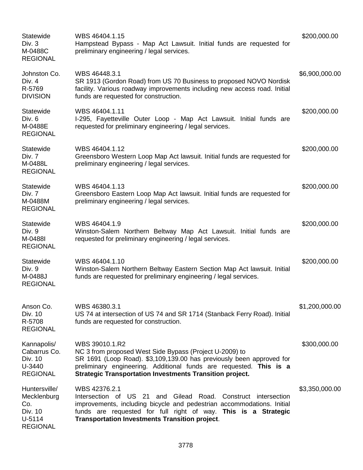| <b>Statewide</b><br>Div. 3<br>M-0488C<br><b>REGIONAL</b>                    | WBS 46404.1.15<br>Hampstead Bypass - Map Act Lawsuit. Initial funds are requested for<br>preliminary engineering / legal services.                                                                                                                                                         | \$200,000.00   |
|-----------------------------------------------------------------------------|--------------------------------------------------------------------------------------------------------------------------------------------------------------------------------------------------------------------------------------------------------------------------------------------|----------------|
| Johnston Co.<br>Div. 4<br>R-5769<br><b>DIVISION</b>                         | WBS 46448.3.1<br>SR 1913 (Gordon Road) from US 70 Business to proposed NOVO Nordisk<br>facility. Various roadway improvements including new access road. Initial<br>funds are requested for construction.                                                                                  | \$6,900,000.00 |
| Statewide<br>Div. 6<br>M-0488E<br><b>REGIONAL</b>                           | WBS 46404.1.11<br>I-295, Fayetteville Outer Loop - Map Act Lawsuit. Initial funds are<br>requested for preliminary engineering / legal services.                                                                                                                                           | \$200,000.00   |
| <b>Statewide</b><br>Div. 7<br>M-0488L<br><b>REGIONAL</b>                    | WBS 46404.1.12<br>Greensboro Western Loop Map Act lawsuit. Initial funds are requested for<br>preliminary engineering / legal services.                                                                                                                                                    | \$200,000.00   |
| Statewide<br>Div. 7<br>M-0488M<br><b>REGIONAL</b>                           | WBS 46404.1.13<br>Greensboro Eastern Loop Map Act lawsuit. Initial funds are requested for<br>preliminary engineering / legal services.                                                                                                                                                    | \$200,000.00   |
| <b>Statewide</b><br>Div. 9<br>M-0488I<br><b>REGIONAL</b>                    | WBS 46404.1.9<br>Winston-Salem Northern Beltway Map Act Lawsuit. Initial funds are<br>requested for preliminary engineering / legal services.                                                                                                                                              | \$200,000.00   |
| <b>Statewide</b><br>Div. 9<br>M-0488J<br><b>REGIONAL</b>                    | WBS 46404.1.10<br>Winston-Salem Northern Beltway Eastern Section Map Act lawsuit. Initial<br>funds are requested for preliminary engineering / legal services.                                                                                                                             | \$200,000.00   |
| Anson Co.<br>Div. 10<br>R-5708<br><b>REGIONAL</b>                           | WBS 46380.3.1<br>US 74 at intersection of US 74 and SR 1714 (Stanback Ferry Road). Initial<br>funds are requested for construction.                                                                                                                                                        | \$1,200,000.00 |
| Kannapolis/<br>Cabarrus Co.<br>Div. 10<br>U-3440<br><b>REGIONAL</b>         | WBS 39010.1.R2<br>NC 3 from proposed West Side Bypass (Project U-2009) to<br>SR 1691 (Loop Road). \$3,109,139.00 has previously been approved for<br>preliminary engineering. Additional funds are requested. This is a<br><b>Strategic Transportation Investments Transition project.</b> | \$300,000.00   |
| Huntersville/<br>Mecklenburg<br>Co.<br>Div. 10<br>U-5114<br><b>REGIONAL</b> | WBS 42376.2.1<br>Intersection of US 21 and Gilead Road. Construct intersection<br>improvements, including bicycle and pedestrian accommodations. Initial<br>funds are requested for full right of way. This is a Strategic<br><b>Transportation Investments Transition project.</b>        | \$3,350,000.00 |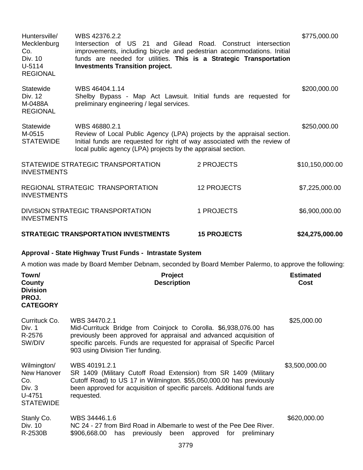| Huntersville/<br>Mecklenburg<br>Co.<br>Div. 10<br>$U-5114$<br><b>REGIONAL</b> | WBS 42376.2.2<br>Intersection of US 21 and Gilead Road. Construct intersection<br>improvements, including bicycle and pedestrian accommodations. Initial<br>funds are needed for utilities. This is a Strategic Transportation<br><b>Investments Transition project.</b> |                                | \$775,000.00             |
|-------------------------------------------------------------------------------|--------------------------------------------------------------------------------------------------------------------------------------------------------------------------------------------------------------------------------------------------------------------------|--------------------------------|--------------------------|
| Statewide<br>Div. 12<br>M-0488A<br><b>REGIONAL</b>                            | WBS 46404.1.14<br>Shelby Bypass - Map Act Lawsuit. Initial funds are requested for<br>preliminary engineering / legal services.                                                                                                                                          |                                | \$200,000.00             |
| <b>Statewide</b><br>M-0515<br><b>STATEWIDE</b>                                | WBS 46880.2.1<br>Review of Local Public Agency (LPA) projects by the appraisal section.<br>Initial funds are requested for right of way associated with the review of<br>local public agency (LPA) projects by the appraisal section.                                    |                                | \$250,000.00             |
| <b>INVESTMENTS</b>                                                            | STATEWIDE STRATEGIC TRANSPORTATION                                                                                                                                                                                                                                       | 2 PROJECTS                     | \$10,150,000.00          |
| <b>INVESTMENTS</b>                                                            | REGIONAL STRATEGIC TRANSPORTATION                                                                                                                                                                                                                                        | <b>12 PROJECTS</b>             | \$7,225,000.00           |
| <b>INVESTMENTS</b>                                                            | DIVISION STRATEGIC TRANSPORTATION                                                                                                                                                                                                                                        | 1 PROJECTS                     | \$6,900,000.00           |
|                                                                               | <b>STRATEGIC TRANSPORTATION INVESTMENTS</b>                                                                                                                                                                                                                              | <b>15 PROJECTS</b>             | \$24,275,000.00          |
|                                                                               | Approval - State Highway Trust Funds - Intrastate System                                                                                                                                                                                                                 |                                |                          |
|                                                                               | A motion was made by Board Member Debnam, seconded by Board Member Palermo, to approve the following:                                                                                                                                                                    |                                |                          |
| Town/<br><b>County</b><br><b>Division</b><br><b>PROJ.</b><br><b>CATEGORY</b>  | <b>Project</b><br><b>Description</b>                                                                                                                                                                                                                                     |                                | <b>Estimated</b><br>Cost |
| Currituck Co.<br>Div. 1<br>R-2576<br>SW/DIV                                   | WBS 34470.2.1<br>Mid-Currituck Bridge from Coinjock to Corolla. \$6,938,076.00 has<br>previously been approved for appraisal and advanced acquisition of<br>specific parcels. Funds are requested for appraisal of Specific Parcel<br>903 using Division Tier funding.   |                                | \$25,000.00              |
| Wilmington/<br>New Hanover<br>Co.<br>Div. 3<br>$U-4751$<br><b>STATEWIDE</b>   | \$3,500,000.00                                                                                                                                                                                                                                                           |                                |                          |
| Stanly Co.<br>Div. 10<br>R-2530B                                              | WBS 34446.1.6<br>NC 24 - 27 from Bird Road in Albemarle to west of the Pee Dee River.<br>\$906,668.00<br>previously<br>has<br>been                                                                                                                                       | preliminary<br>approved<br>for | \$620,000.00             |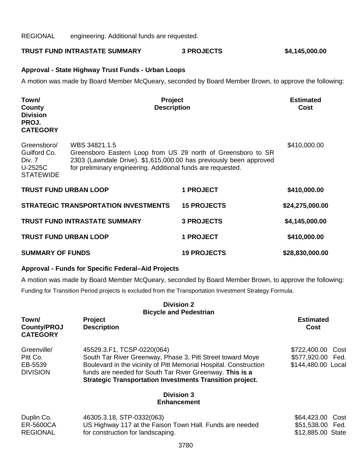REGIONAL engineering. Additional funds are requested.

**TRUST FUND INTRASTATE SUMMARY 3 PROJECTS \$4,145,000.00**

#### **Approval - State Highway Trust Funds - Urban Loops**

A motion was made by Board Member McQueary, seconded by Board Member Brown, to approve the following:

| Town/<br>County<br><b>Division</b><br>PROJ.<br><b>CATEGORY</b>       | Project<br><b>Description</b>                                                                                                                                                                                       |                    | <b>Estimated</b><br>Cost |
|----------------------------------------------------------------------|---------------------------------------------------------------------------------------------------------------------------------------------------------------------------------------------------------------------|--------------------|--------------------------|
| Greensboro/<br>Guilford Co.<br>Div. 7<br>U-2525C<br><b>STATEWIDE</b> | WBS 34821.1.5<br>Greensboro Eastern Loop from US 29 north of Greensboro to SR<br>2303 (Lawndale Drive). \$1,615,000.00 has previously been approved<br>for preliminary engineering. Additional funds are requested. | \$410,000.00       |                          |
| <b>TRUST FUND URBAN LOOP</b>                                         |                                                                                                                                                                                                                     | <b>1 PROJECT</b>   | \$410,000.00             |
|                                                                      | <b>STRATEGIC TRANSPORTATION INVESTMENTS</b>                                                                                                                                                                         | <b>15 PROJECTS</b> | \$24,275,000.00          |
|                                                                      | <b>TRUST FUND INTRASTATE SUMMARY</b>                                                                                                                                                                                | <b>3 PROJECTS</b>  | \$4,145,000.00           |
| <b>TRUST FUND URBAN LOOP</b>                                         |                                                                                                                                                                                                                     | <b>1 PROJECT</b>   | \$410,000.00             |
| <b>SUMMARY OF FUNDS</b>                                              |                                                                                                                                                                                                                     | <b>19 PROJECTS</b> | \$28,830,000.00          |

#### **Approval - Funds for Specific Federal–Aid Projects**

A motion was made by Board Member McQueary, seconded by Board Member Brown, to approve the following: Funding for Transition Period projects is excluded from the Transportation Investment Strategy Formula.

|                                                       | <b>Division 2</b>                                                                                                                                                                                                                                                                            |                                                                 |
|-------------------------------------------------------|----------------------------------------------------------------------------------------------------------------------------------------------------------------------------------------------------------------------------------------------------------------------------------------------|-----------------------------------------------------------------|
|                                                       | <b>Bicycle and Pedestrian</b>                                                                                                                                                                                                                                                                |                                                                 |
| Town/<br><b>County/PROJ</b><br><b>CATEGORY</b>        | <b>Project</b><br><b>Description</b>                                                                                                                                                                                                                                                         | <b>Estimated</b><br>Cost                                        |
| Greenville/<br>Pitt Co.<br>EB-5539<br><b>DIVISION</b> | 45529.3.F1, TCSP-0220(064)<br>South Tar River Greenway, Phase 3, Pitt Street toward Moye<br>Boulevard in the vicinity of Pitt Memorial Hospital. Construction<br>funds are needed for South Tar River Greenway. This is a<br><b>Strategic Transportation Investments Transition project.</b> | \$722,400.00<br>Cost<br>\$577,920.00 Fed.<br>\$144,480.00 Local |
|                                                       | <b>Division 3</b><br><b>Enhancement</b>                                                                                                                                                                                                                                                      |                                                                 |
| Duplin Co.<br><b>ER-5600CA</b><br><b>REGIONAL</b>     | 46305.3.18, STP-0332(063)<br>US Highway 117 at the Faison Town Hall. Funds are needed<br>for construction for landscaping.                                                                                                                                                                   | \$64,423.00<br>Cost<br>\$51,538.00 Fed.<br>\$12,885.00 State    |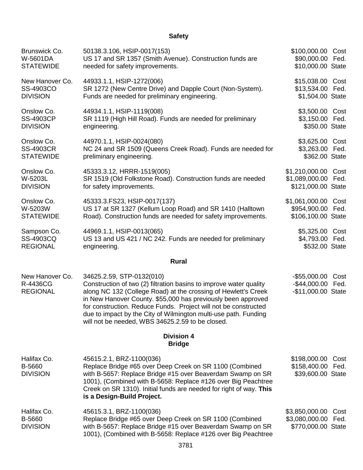## **Safety**

| Brunswick Co.                                  | 50138.3.106, HSIP-0017(153)                                                                                                                                                                                                                                                                                                                                                                                                 | \$100,000.00 Cost                                        |              |
|------------------------------------------------|-----------------------------------------------------------------------------------------------------------------------------------------------------------------------------------------------------------------------------------------------------------------------------------------------------------------------------------------------------------------------------------------------------------------------------|----------------------------------------------------------|--------------|
| W-5601DA                                       | US 17 and SR 1357 (Smith Avenue). Construction funds are                                                                                                                                                                                                                                                                                                                                                                    | \$90,000.00 Fed.                                         |              |
| <b>STATEWIDE</b>                               | needed for safety improvements.                                                                                                                                                                                                                                                                                                                                                                                             | \$10,000.00 State                                        |              |
| New Hanover Co.                                | 44933.1.1, HSIP-1272(006)                                                                                                                                                                                                                                                                                                                                                                                                   | \$15,038.00 Cost                                         |              |
| SS-4903CO                                      | SR 1272 (New Centre Drive) and Dapple Court (Non-System).                                                                                                                                                                                                                                                                                                                                                                   | \$13,534.00 Fed.                                         |              |
| <b>DIVISION</b>                                | Funds are needed for preliminary engineering.                                                                                                                                                                                                                                                                                                                                                                               | \$1,504.00 State                                         |              |
| Onslow Co.                                     | 44934.1.1, HSIP-1119(008)                                                                                                                                                                                                                                                                                                                                                                                                   | \$3,500.00 Cost                                          |              |
| <b>SS-4903CP</b>                               | SR 1119 (High Hill Road). Funds are needed for preliminary                                                                                                                                                                                                                                                                                                                                                                  | \$3,150.00 Fed.                                          |              |
| <b>DIVISION</b>                                | engineering.                                                                                                                                                                                                                                                                                                                                                                                                                | \$350.00 State                                           |              |
| Onslow Co.                                     | 44970.1.1, HSIP-0024(080)                                                                                                                                                                                                                                                                                                                                                                                                   | \$3,625.00 Cost                                          |              |
| <b>SS-4903CR</b>                               | NC 24 and SR 1509 (Queens Creek Road). Funds are needed for                                                                                                                                                                                                                                                                                                                                                                 | \$3,263.00 Fed.                                          |              |
| <b>STATEWIDE</b>                               | preliminary engineering.                                                                                                                                                                                                                                                                                                                                                                                                    | \$362.00 State                                           |              |
| Onslow Co.                                     | 45333.3.12, HRRR-1519(005)                                                                                                                                                                                                                                                                                                                                                                                                  | \$1,210,000.00 Cost                                      |              |
| W-5203L                                        | SR 1519 (Old Folkstone Road). Construction funds are needed                                                                                                                                                                                                                                                                                                                                                                 | \$1,089,000.00 Fed.                                      |              |
| <b>DIVISION</b>                                | for safety improvements.                                                                                                                                                                                                                                                                                                                                                                                                    | \$121,000.00 State                                       |              |
| Onslow Co.                                     | 45333.3.FS23, HSIP-0017(137)                                                                                                                                                                                                                                                                                                                                                                                                | \$1,061,000.00 Cost                                      |              |
| W-5203W                                        | US 17 at SR 1327 (Kellum Loop Road) and SR 1410 (Halltown                                                                                                                                                                                                                                                                                                                                                                   | \$954,900.00 Fed.                                        |              |
| <b>STATEWIDE</b>                               | Road). Construction funds are needed for safety improvements.                                                                                                                                                                                                                                                                                                                                                               | \$106,100.00 State                                       |              |
| Sampson Co.                                    | 44969.1.1, HSIP-0013(065)                                                                                                                                                                                                                                                                                                                                                                                                   | \$5,325.00 Cost                                          |              |
| SS-4903CQ                                      | US 13 and US 421 / NC 242. Funds are needed for preliminary                                                                                                                                                                                                                                                                                                                                                                 | \$4,793.00 Fed.                                          |              |
| <b>REGIONAL</b>                                | engineering.                                                                                                                                                                                                                                                                                                                                                                                                                | \$532.00 State                                           |              |
|                                                | <b>Rural</b>                                                                                                                                                                                                                                                                                                                                                                                                                |                                                          |              |
| New Hanover Co.<br>R-4436CG<br><b>REGIONAL</b> | 34625.2.59, STP-0132(010)<br>Construction of two (2) filtration basins to improve water quality<br>along NC 132 (College Road) at the crossing of Hewlett's Creek<br>in New Hanover County. \$55,000 has previously been approved<br>for construction. Reduce Funds. Project will not be constructed<br>due to impact by the City of Wilmington multi-use path. Funding<br>will not be needed, WBS 34625.2.59 to be closed. | $-$ \$55,000.00<br>$-$ \$44,000.00<br>-\$11,000.00 State | Cost<br>Fed. |
|                                                | <b>Division 4</b><br><b>Bridge</b>                                                                                                                                                                                                                                                                                                                                                                                          |                                                          |              |
| Halifax Co.<br>B-5660<br><b>DIVISION</b>       | 45615.2.1, BRZ-1100(036)<br>Replace Bridge #65 over Deep Creek on SR 1100 (Combined<br>with B-5657: Replace Bridge #15 over Beaverdam Swamp on SR<br>1001), (Combined with B-5658: Replace #126 over Big Peachtree<br>Creek on SR 1310). Initial funds are needed for right of way. This<br>is a Design-Build Project.                                                                                                      | \$198,000.00<br>\$158,400.00<br>\$39,600.00 State        | Cost<br>Fed. |
| Halifax Co.<br>B-5660<br><b>DIVISION</b>       | 45615.3.1, BRZ-1100(036)<br>Replace Bridge #65 over Deep Creek on SR 1100 (Combined<br>with B-5657: Replace Bridge #15 over Beaverdam Swamp on SR<br>1001), (Combined with B-5658: Replace #126 over Big Peachtree                                                                                                                                                                                                          | \$3,850,000.00<br>\$3,080,000.00<br>\$770,000.00 State   | Cost<br>Fed. |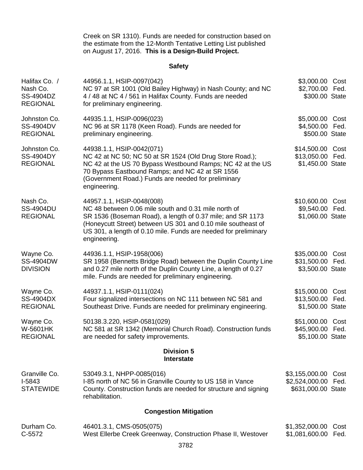Creek on SR 1310). Funds are needed for construction based on the estimate from the 12-Month Tentative Letting List published on August 17, 2016. **This is a Design-Build Project.**

## **Safety**

| Halifax Co. /<br>Nash Co.<br>SS-4904DZ<br><b>REGIONAL</b> | 44956.1.1, HSIP-0097(042)<br>NC 97 at SR 1001 (Old Bailey Highway) in Nash County; and NC<br>4 / 48 at NC 4 / 561 in Halifax County. Funds are needed<br>for preliminary engineering.                                                                                                              | \$3,000.00 Cost<br>\$2,700.00 Fed.<br>\$300.00 State     |              |
|-----------------------------------------------------------|----------------------------------------------------------------------------------------------------------------------------------------------------------------------------------------------------------------------------------------------------------------------------------------------------|----------------------------------------------------------|--------------|
| Johnston Co.<br>SS-4904DV<br><b>REGIONAL</b>              | 44935.1.1, HSIP-0096(023)<br>NC 96 at SR 1178 (Keen Road). Funds are needed for<br>preliminary engineering.                                                                                                                                                                                        | \$5,000.00 Cost<br>\$4,500.00 Fed.<br>\$500.00 State     |              |
| Johnston Co.<br><b>SS-4904DY</b><br><b>REGIONAL</b>       | 44938.1.1, HSIP-0042(071)<br>NC 42 at NC 50; NC 50 at SR 1524 (Old Drug Store Road.);<br>NC 42 at the US 70 Bypass Westbound Ramps; NC 42 at the US<br>70 Bypass Eastbound Ramps; and NC 42 at SR 1556<br>(Government Road.) Funds are needed for preliminary<br>engineering.                      | \$14,500.00 Cost<br>\$13,050.00 Fed.<br>\$1,450.00 State |              |
| Nash Co.<br><b>SS-4904DU</b><br><b>REGIONAL</b>           | 44957.1.1, HSIP-0048(008)<br>NC 48 between 0.06 mile south and 0.31 mile north of<br>SR 1536 (Boseman Road), a length of 0.37 mile; and SR 1173<br>(Honeycutt Street) between US 301 and 0.10 mile southeast of<br>US 301, a length of 0.10 mile. Funds are needed for preliminary<br>engineering. | \$10,600.00 Cost<br>\$9,540.00 Fed.<br>\$1,060.00 State  |              |
| Wayne Co.<br><b>SS-4904DW</b><br><b>DIVISION</b>          | 44936.1.1, HSIP-1958(006)<br>SR 1958 (Bennetts Bridge Road) between the Duplin County Line<br>and 0.27 mile north of the Duplin County Line, a length of 0.27<br>mile. Funds are needed for preliminary engineering.                                                                               | \$35,000.00 Cost<br>\$31,500.00 Fed.<br>\$3,500.00 State |              |
| Wayne Co.<br>SS-4904DX<br><b>REGIONAL</b>                 | 44937.1.1, HSIP-0111(024)<br>Four signalized intersections on NC 111 between NC 581 and<br>Southeast Drive. Funds are needed for preliminary engineering.                                                                                                                                          | \$15,000.00<br>\$13,500.00 Fed.<br>\$1,500.00 State      | Cost         |
| Wayne Co.<br><b>W-5601HK</b><br><b>REGIONAL</b>           | 50138.3.220, HSIP-0581(029)<br>NC 581 at SR 1342 (Memorial Church Road). Construction funds<br>are needed for safety improvements.                                                                                                                                                                 | \$51,000.00 Cost<br>\$45,900.00 Fed.<br>\$5,100.00 State |              |
|                                                           | <b>Division 5</b><br>Interstate                                                                                                                                                                                                                                                                    |                                                          |              |
| Granville Co.<br>I-5843<br><b>STATEWIDE</b>               | 53049.3.1, NHPP-0085(016)<br>I-85 north of NC 56 in Granville County to US 158 in Vance<br>County. Construction funds are needed for structure and signing<br>rehabilitation.                                                                                                                      | \$3,155,000.00<br>\$2,524,000.00<br>\$631,000.00 State   | Cost<br>Fed. |
| <b>Congestion Mitigation</b>                              |                                                                                                                                                                                                                                                                                                    |                                                          |              |
| Durham Co.<br>C-5572                                      | 46401.3.1, CMS-0505(075)<br>West Ellerbe Creek Greenway, Construction Phase II, Westover                                                                                                                                                                                                           | \$1,352,000.00<br>\$1,081,600.00                         | Cost<br>Fed. |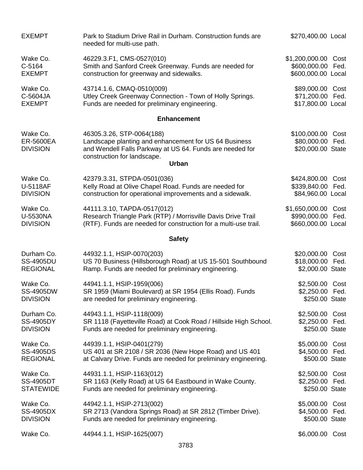| <b>EXEMPT</b>                                   | Park to Stadium Drive Rail in Durham. Construction funds are<br>needed for multi-use path.                                                                                    | \$270,400.00 Local                                         |      |
|-------------------------------------------------|-------------------------------------------------------------------------------------------------------------------------------------------------------------------------------|------------------------------------------------------------|------|
| Wake Co.                                        | 46229.3.F1, CMS-0527(010)                                                                                                                                                     | \$1,200,000.00                                             | Cost |
| C-5164                                          | Smith and Sanford Creek Greenway. Funds are needed for                                                                                                                        | \$600,000.00 Fed.                                          |      |
| <b>EXEMPT</b>                                   | construction for greenway and sidewalks.                                                                                                                                      | \$600,000.00 Local                                         |      |
| Wake Co.                                        | 43714.1.6, CMAQ-0510(009)                                                                                                                                                     | \$89,000.00 Cost                                           |      |
| C-5604JA                                        | Utley Creek Greenway Connection - Town of Holly Springs.                                                                                                                      | \$71,200.00 Fed.                                           |      |
| <b>EXEMPT</b>                                   | Funds are needed for preliminary engineering.                                                                                                                                 | \$17,800.00 Local                                          |      |
|                                                 | <b>Enhancement</b>                                                                                                                                                            |                                                            |      |
| Wake Co.<br><b>ER-5600EA</b><br><b>DIVISION</b> | 46305.3.26, STP-0064(188)<br>Landscape planting and enhancement for US 64 Business<br>and Wendell Falls Parkway at US 64. Funds are needed for<br>construction for landscape. | \$100,000.00 Cost<br>\$80,000.00 Fed.<br>\$20,000.00 State |      |
|                                                 | <b>Urban</b>                                                                                                                                                                  |                                                            |      |
| Wake Co.                                        | 42379.3.31, STPDA-0501(036)                                                                                                                                                   | \$424,800.00 Cost                                          |      |
| U-5118AF                                        | Kelly Road at Olive Chapel Road. Funds are needed for                                                                                                                         | \$339,840.00 Fed.                                          |      |
| <b>DIVISION</b>                                 | construction for operational improvements and a sidewalk.                                                                                                                     | \$84,960.00 Local                                          |      |
| Wake Co.                                        | 44111.3.10, TAPDA-0517(012)                                                                                                                                                   | \$1,650,000.00 Cost                                        |      |
| <b>U-5530NA</b>                                 | Research Triangle Park (RTP) / Morrisville Davis Drive Trail                                                                                                                  | \$990,000.00 Fed.                                          |      |
| <b>DIVISION</b>                                 | (RTF). Funds are needed for construction for a multi-use trail.                                                                                                               | \$660,000.00 Local                                         |      |
|                                                 | <b>Safety</b>                                                                                                                                                                 |                                                            |      |
| Durham Co.                                      | 44932.1.1, HSIP-0070(203)                                                                                                                                                     | \$20,000.00                                                | Cost |
| <b>SS-4905DU</b>                                | US 70 Business (Hillsborough Road) at US 15-501 Southbound                                                                                                                    | \$18,000.00 Fed.                                           |      |
| <b>REGIONAL</b>                                 | Ramp. Funds are needed for preliminary engineering.                                                                                                                           | \$2,000.00 State                                           |      |
| Wake Co.                                        | 44941.1.1, HSIP-1959(006)                                                                                                                                                     | \$2,500.00                                                 | Cost |
| SS-4905DW                                       | SR 1959 (Miami Boulevard) at SR 1954 (Ellis Road). Funds                                                                                                                      | \$2,250.00 Fed.                                            |      |
| <b>DIVISION</b>                                 | are needed for preliminary engineering.                                                                                                                                       | \$250.00 State                                             |      |
| Durham Co.                                      | 44943.1.1, HSIP-1118(009)                                                                                                                                                     | \$2,500.00 Cost                                            |      |
| SS-4905DY                                       | SR 1118 (Fayetteville Road) at Cook Road / Hillside High School.                                                                                                              | \$2,250.00 Fed.                                            |      |
| <b>DIVISION</b>                                 | Funds are needed for preliminary engineering.                                                                                                                                 | \$250.00 State                                             |      |
| Wake Co.                                        | 44939.1.1, HSIP-0401(279)                                                                                                                                                     | \$5,000.00 Cost                                            |      |
| <b>SS-4905DS</b>                                | US 401 at SR 2108 / SR 2036 (New Hope Road) and US 401                                                                                                                        | \$4,500.00 Fed.                                            |      |
| <b>REGIONAL</b>                                 | at Calvary Drive. Funds are needed for preliminary engineering.                                                                                                               | \$500.00 State                                             |      |
| Wake Co.                                        | 44931.1.1, HSIP-1163(012)                                                                                                                                                     | \$2,500.00 Cost                                            |      |
| <b>SS-4905DT</b>                                | SR 1163 (Kelly Road) at US 64 Eastbound in Wake County.                                                                                                                       | \$2,250.00 Fed.                                            |      |
| <b>STATEWIDE</b>                                | Funds are needed for preliminary engineering.                                                                                                                                 | \$250.00 State                                             |      |
| Wake Co.                                        | 44942.1.1, HSIP-2713(002)                                                                                                                                                     | \$5,000.00 Cost                                            |      |
| <b>SS-4905DX</b>                                | SR 2713 (Vandora Springs Road) at SR 2812 (Timber Drive).                                                                                                                     | \$4,500.00 Fed.                                            |      |
| <b>DIVISION</b>                                 | Funds are needed for preliminary engineering.                                                                                                                                 | \$500.00 State                                             |      |
| Wake Co.                                        | 44944.1.1, HSIP-1625(007)                                                                                                                                                     | \$6,000.00 Cost                                            |      |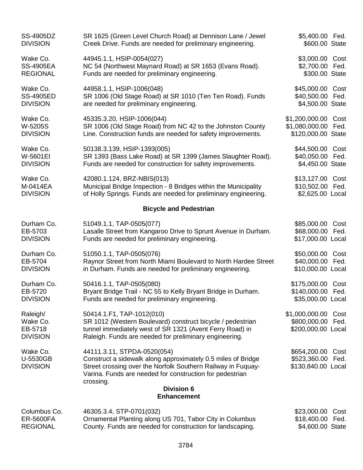| SS-4905DZ                                           | SR 1625 (Green Level Church Road) at Dennison Lane / Jewel                                                                                                                                                                           | \$5,400.00 Fed.                                                |
|-----------------------------------------------------|--------------------------------------------------------------------------------------------------------------------------------------------------------------------------------------------------------------------------------------|----------------------------------------------------------------|
| <b>DIVISION</b>                                     | Creek Drive. Funds are needed for preliminary engineering.                                                                                                                                                                           | \$600.00 State                                                 |
| Wake Co.                                            | 44945.1.1, HSIP-0054(027)                                                                                                                                                                                                            | \$3,000.00 Cost                                                |
| <b>SS-4905EA</b>                                    | NC 54 (Northwest Maynard Road) at SR 1653 (Evans Road).                                                                                                                                                                              | \$2,700.00 Fed.                                                |
| <b>REGIONAL</b>                                     | Funds are needed for preliminary engineering.                                                                                                                                                                                        | \$300.00 State                                                 |
| Wake Co.                                            | 44958.1.1, HSIP-1006(048)                                                                                                                                                                                                            | \$45,000.00 Cost                                               |
| <b>SS-4905ED</b>                                    | SR 1006 (Old Stage Road) at SR 1010 (Ten Ten Road). Funds                                                                                                                                                                            | \$40,500.00 Fed.                                               |
| <b>DIVISION</b>                                     | are needed for preliminary engineering.                                                                                                                                                                                              | \$4,500.00 State                                               |
| Wake Co.                                            | 45335.3.20, HSIP-1006(044)                                                                                                                                                                                                           | \$1,200,000.00 Cost                                            |
| W-5205S                                             | SR 1006 (Old Stage Road) from NC 42 to the Johnston County                                                                                                                                                                           | \$1,080,000.00 Fed.                                            |
| <b>DIVISION</b>                                     | Line. Construction funds are needed for safety improvements.                                                                                                                                                                         | \$120,000.00 State                                             |
| Wake Co.                                            | 50138.3.139, HSIP-1393(005)                                                                                                                                                                                                          | \$44,500.00 Cost                                               |
| W-5601EI                                            | SR 1393 (Bass Lake Road) at SR 1399 (James Slaughter Road).                                                                                                                                                                          | \$40,050.00 Fed.                                               |
| <b>DIVISION</b>                                     | Funds are needed for construction for safety improvements.                                                                                                                                                                           | \$4,450.00 State                                               |
| Wake Co.                                            | 42080.1.124, BRZ-NBIS(013)                                                                                                                                                                                                           | \$13,127.00 Cost                                               |
| M-0414EA                                            | Municipal Bridge Inspection - 8 Bridges within the Municipality                                                                                                                                                                      | \$10,502.00 Fed.                                               |
| <b>DIVISION</b>                                     | of Holly Springs. Funds are needed for preliminary engineering.                                                                                                                                                                      | \$2,625.00 Local                                               |
|                                                     | <b>Bicycle and Pedestrian</b>                                                                                                                                                                                                        |                                                                |
| Durham Co.                                          | 51049.1.1, TAP-0505(077)                                                                                                                                                                                                             | \$85,000.00 Cost                                               |
| EB-5703                                             | Lasalle Street from Kangaroo Drive to Sprunt Avenue in Durham.                                                                                                                                                                       | \$68,000.00 Fed.                                               |
| <b>DIVISION</b>                                     | Funds are needed for preliminary engineering.                                                                                                                                                                                        | \$17,000.00 Local                                              |
| Durham Co.                                          | 51050.1.1, TAP-0505(076)                                                                                                                                                                                                             | \$50,000.00 Cost                                               |
| EB-5704                                             | Raynor Street from North Miami Boulevard to North Hardee Street                                                                                                                                                                      | \$40,000.00 Fed.                                               |
| <b>DIVISION</b>                                     | in Durham. Funds are needed for preliminary engineering.                                                                                                                                                                             | \$10,000.00 Local                                              |
| Durham Co.                                          | 50416.1.1, TAP-0505(080)                                                                                                                                                                                                             | \$175,000.00 Cost                                              |
| EB-5720                                             | Bryant Bridge Trail - NC 55 to Kelly Bryant Bridge in Durham.                                                                                                                                                                        | \$140,000.00 Fed.                                              |
| <b>DIVISION</b>                                     | Funds are needed for preliminary engineering.                                                                                                                                                                                        | \$35,000.00 Local                                              |
| Raleigh/                                            | 50414.1.F1, TAP-1012(010)                                                                                                                                                                                                            | \$1,000,000.00                                                 |
| Wake Co.                                            | SR 1012 (Western Boulevard) construct bicycle / pedestrian                                                                                                                                                                           | Cost                                                           |
| EB-5718                                             | tunnel immediately west of SR 1321 (Avent Ferry Road) in                                                                                                                                                                             | \$800,000.00 Fed.                                              |
| <b>DIVISION</b>                                     | Raleigh. Funds are needed for preliminary engineering.                                                                                                                                                                               | \$200,000.00 Local                                             |
| Wake Co.<br>U-5530GB<br><b>DIVISION</b>             | 44111.3.11, STPDA-0520(054)<br>Construct a sidewalk along approximately 0.5 miles of Bridge<br>Street crossing over the Norfolk Southern Railway in Fuquay-<br>Varina. Funds are needed for construction for pedestrian<br>crossing. | \$654,200.00 Cost<br>\$523,360.00 Fed.<br>\$130,840.00 Local   |
|                                                     | <b>Division 6</b><br><b>Enhancement</b>                                                                                                                                                                                              |                                                                |
| Columbus Co.<br><b>ER-5600FA</b><br><b>REGIONAL</b> | 46305.3.4, STP-0701(032)<br>Ornamental Planting along US 701, Tabor City in Columbus<br>County. Funds are needed for construction for landscaping.                                                                                   | \$23,000.00<br>Cost<br>\$18,400.00<br>Fed.<br>\$4,600.00 State |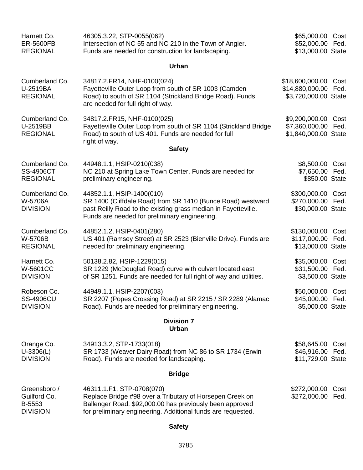| Harnett Co.<br><b>ER-5600FB</b><br><b>REGIONAL</b>        | 46305.3.22, STP-0055(062)<br>Intersection of NC 55 and NC 210 in the Town of Angier.<br>Funds are needed for construction for landscaping.                                                                        | \$65,000.00 Cost<br>\$52,000.00 Fed.<br>\$13,000.00 State       |              |
|-----------------------------------------------------------|-------------------------------------------------------------------------------------------------------------------------------------------------------------------------------------------------------------------|-----------------------------------------------------------------|--------------|
|                                                           | Urban                                                                                                                                                                                                             |                                                                 |              |
| Cumberland Co.<br>U-2519BA<br><b>REGIONAL</b>             | 34817.2.FR14, NHF-0100(024)<br>Fayetteville Outer Loop from south of SR 1003 (Camden<br>Road) to south of SR 1104 (Strickland Bridge Road). Funds<br>are needed for full right of way.                            | \$18,600,000.00 Cost<br>\$14,880,000.00<br>\$3,720,000.00 State | Fed.         |
| Cumberland Co.<br>U-2519BB<br><b>REGIONAL</b>             | 34817.2.FR15, NHF-0100(025)<br>Fayetteville Outer Loop from south of SR 1104 (Strickland Bridge<br>Road) to south of US 401. Funds are needed for full<br>right of way.<br><b>Safety</b>                          | \$9,200,000.00<br>\$7,360,000.00<br>\$1,840,000.00 State        | Cost<br>Fed. |
|                                                           |                                                                                                                                                                                                                   |                                                                 |              |
| Cumberland Co.<br><b>SS-4906CT</b><br><b>REGIONAL</b>     | 44948.1.1, HSIP-0210(038)<br>NC 210 at Spring Lake Town Center. Funds are needed for<br>preliminary engineering.                                                                                                  | \$8,500.00 Cost<br>\$7,650.00 Fed.<br>\$850.00 State            |              |
| Cumberland Co.<br>W-5706A<br><b>DIVISION</b>              | 44852.1.1, HSIP-1400(010)<br>SR 1400 (Cliffdale Road) from SR 1410 (Bunce Road) westward<br>past Reilly Road to the existing grass median in Fayetteville.<br>Funds are needed for preliminary engineering.       | \$300,000.00 Cost<br>\$270,000.00 Fed.<br>\$30,000.00 State     |              |
| Cumberland Co.<br>W-5706B<br><b>REGIONAL</b>              | 44852.1.2, HSIP-0401(280)<br>US 401 (Ramsey Street) at SR 2523 (Bienville Drive). Funds are<br>needed for preliminary engineering.                                                                                | \$130,000.00<br>\$117,000.00 Fed.<br>\$13,000.00 State          | Cost         |
| Harnett Co.<br><b>W-5601CC</b><br><b>DIVISION</b>         | 50138.2.82, HSIP-1229(015)<br>SR 1229 (McDouglad Road) curve with culvert located east<br>of SR 1251. Funds are needed for full right of way and utilities.                                                       | \$35,000.00<br>\$31,500.00 Fed.<br>\$3,500.00 State             | Cost         |
| Robeson Co.<br><b>SS-4906CU</b><br><b>DIVISION</b>        | 44949.1.1, HSIP-2207(003)<br>SR 2207 (Popes Crossing Road) at SR 2215 / SR 2289 (Alamac<br>Road). Funds are needed for preliminary engineering.                                                                   | \$50,000.00 Cost<br>\$45,000.00 Fed.<br>\$5,000.00 State        |              |
| <b>Division 7</b><br><b>Urban</b>                         |                                                                                                                                                                                                                   |                                                                 |              |
| Orange Co.<br>$U-3306(L)$<br><b>DIVISION</b>              | 34913.3.2, STP-1733(018)<br>SR 1733 (Weaver Dairy Road) from NC 86 to SR 1734 (Erwin<br>Road). Funds are needed for landscaping.                                                                                  | \$58,645.00<br>\$46,916.00 Fed.<br>\$11,729.00 State            | Cost         |
| <b>Bridge</b>                                             |                                                                                                                                                                                                                   |                                                                 |              |
| Greensboro /<br>Guilford Co.<br>B-5553<br><b>DIVISION</b> | 46311.1.F1, STP-0708(070)<br>Replace Bridge #98 over a Tributary of Horsepen Creek on<br>Ballenger Road. \$92,000.00 has previously been approved<br>for preliminary engineering. Additional funds are requested. | \$272,000.00<br>\$272,000.00                                    | Cost<br>Fed. |

# **Safety**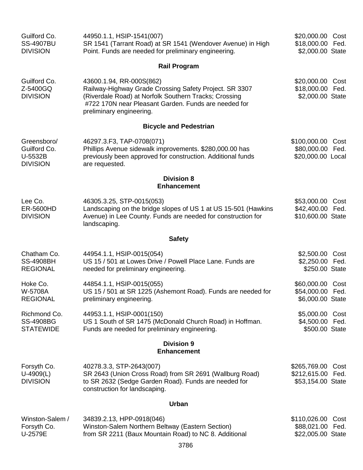| Guilford Co.<br><b>SS-4907BU</b><br><b>DIVISION</b>       | 44950.1.1, HSIP-1541(007)<br>SR 1541 (Tarrant Road) at SR 1541 (Wendover Avenue) in High<br>Point. Funds are needed for preliminary engineering.                                                                                | \$20,000.00 Cost<br>\$18,000.00 Fed.<br>\$2,000.00 State      |
|-----------------------------------------------------------|---------------------------------------------------------------------------------------------------------------------------------------------------------------------------------------------------------------------------------|---------------------------------------------------------------|
|                                                           | <b>Rail Program</b>                                                                                                                                                                                                             |                                                               |
| Guilford Co.<br>Z-5400GQ<br><b>DIVISION</b>               | 43600.1.94, RR-000S(862)<br>Railway-Highway Grade Crossing Safety Project. SR 3307<br>(Riverdale Road) at Norfolk Southern Tracks; Crossing<br>#722 170N near Pleasant Garden. Funds are needed for<br>preliminary engineering. | \$20,000.00<br>Cost<br>\$18,000.00 Fed.<br>\$2,000.00 State   |
|                                                           | <b>Bicycle and Pedestrian</b>                                                                                                                                                                                                   |                                                               |
| Greensboro/<br>Guilford Co.<br>U-5532B<br><b>DIVISION</b> | 46297.3.F3, TAP-0708(071)<br>Phillips Avenue sidewalk improvements. \$280,000.00 has<br>previously been approved for construction. Additional funds<br>are requested.                                                           | \$100,000.00<br>Cost<br>\$80,000.00 Fed.<br>\$20,000.00 Local |
|                                                           | <b>Division 8</b><br><b>Enhancement</b>                                                                                                                                                                                         |                                                               |
| Lee Co.<br>ER-5600HD<br><b>DIVISION</b>                   | 46305.3.25, STP-0015(053)<br>Landscaping on the bridge slopes of US 1 at US 15-501 (Hawkins<br>Avenue) in Lee County. Funds are needed for construction for<br>landscaping.                                                     | \$53,000.00 Cost<br>\$42,400.00 Fed.<br>\$10,600.00 State     |
|                                                           | <b>Safety</b>                                                                                                                                                                                                                   |                                                               |
| Chatham Co.<br><b>SS-4908BH</b><br><b>REGIONAL</b>        | 44954.1.1, HSIP-0015(054)<br>US 15 / 501 at Lowes Drive / Powell Place Lane. Funds are<br>needed for preliminary engineering.                                                                                                   | \$2,500.00<br>Cost<br>\$2,250.00 Fed.<br>\$250.00 State       |
| Hoke Co.<br>W-5708A<br><b>REGIONAL</b>                    | 44854.1.1, HSIP-0015(055)<br>US 15 / 501 at SR 1225 (Ashemont Road). Funds are needed for<br>preliminary engineering.                                                                                                           | \$60,000.00<br>Cost<br>\$54,000.00 Fed.<br>\$6,000.00 State   |
| Richmond Co.<br><b>SS-4908BG</b><br><b>STATEWIDE</b>      | 44953.1.1, HSIP-0001(150)<br>US 1 South of SR 1475 (McDonald Church Road) in Hoffman.<br>Funds are needed for preliminary engineering.                                                                                          | \$5,000.00 Cost<br>\$4,500.00 Fed.<br>\$500.00 State          |
|                                                           | <b>Division 9</b><br><b>Enhancement</b>                                                                                                                                                                                         |                                                               |
| Forsyth Co.<br>$U-4909(L)$<br><b>DIVISION</b>             | 40278.3.3, STP-2643(007)<br>SR 2643 (Union Cross Road) from SR 2691 (Wallburg Road)<br>to SR 2632 (Sedge Garden Road). Funds are needed for<br>construction for landscaping.                                                    | \$265,769.00 Cost<br>\$212,615.00 Fed.<br>\$53,154.00 State   |
|                                                           | <b>Urban</b>                                                                                                                                                                                                                    |                                                               |
| Winston-Salem /<br>Forsyth Co.<br>U-2579E                 | 34839.2.13, HPP-0918(046)<br>Winston-Salem Northern Beltway (Eastern Section)<br>from SR 2211 (Baux Mountain Road) to NC 8. Additional<br>3786                                                                                  | \$110,026.00<br>Cost<br>\$88,021.00 Fed.<br>\$22,005.00 State |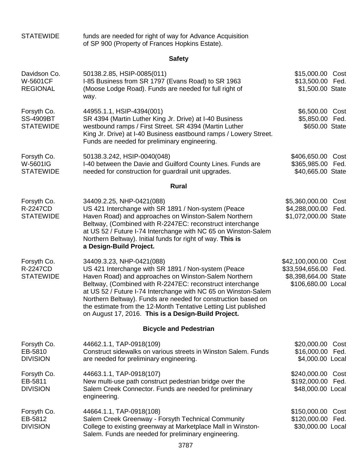| <b>STATEWIDE</b>                                    | funds are needed for right of way for Advance Acquisition<br>of SP 900 (Property of Frances Hopkins Estate).                                                                                                                                                                                                                                                                                                                                                       |                                                                                          |      |
|-----------------------------------------------------|--------------------------------------------------------------------------------------------------------------------------------------------------------------------------------------------------------------------------------------------------------------------------------------------------------------------------------------------------------------------------------------------------------------------------------------------------------------------|------------------------------------------------------------------------------------------|------|
|                                                     | <b>Safety</b>                                                                                                                                                                                                                                                                                                                                                                                                                                                      |                                                                                          |      |
| Davidson Co.<br><b>W-5601CF</b><br><b>REGIONAL</b>  | 50138.2.85, HSIP-0085(011)<br>I-85 Business from SR 1797 (Evans Road) to SR 1963<br>(Moose Lodge Road). Funds are needed for full right of<br>way.                                                                                                                                                                                                                                                                                                                 | \$15,000.00 Cost<br>\$13,500.00<br>Fed.<br>\$1,500.00 State                              |      |
| Forsyth Co.<br><b>SS-4909BT</b><br><b>STATEWIDE</b> | 44955.1.1, HSIP-4394(001)<br>SR 4394 (Martin Luther King Jr. Drive) at I-40 Business<br>westbound ramps / First Street. SR 4394 (Martin Luther<br>King Jr. Drive) at I-40 Business eastbound ramps / Lowery Street.<br>Funds are needed for preliminary engineering.                                                                                                                                                                                               | \$6,500.00<br>Cost<br>\$5,850.00<br>Fed.<br>\$650.00 State                               |      |
| Forsyth Co.<br>W-5601IG<br><b>STATEWIDE</b>         | 50138.3.242, HSIP-0040(048)<br>I-40 between the Davie and Guilford County Lines. Funds are<br>needed for construction for guardrail unit upgrades.                                                                                                                                                                                                                                                                                                                 | \$406,650.00 Cost<br>\$365,985.00<br>\$40,665.00 State                                   | Fed. |
|                                                     | <b>Rural</b>                                                                                                                                                                                                                                                                                                                                                                                                                                                       |                                                                                          |      |
| Forsyth Co.<br>R-2247CD<br><b>STATEWIDE</b>         | 34409.2.25, NHP-0421(088)<br>US 421 Interchange with SR 1891 / Non-system (Peace<br>Haven Road) and approaches on Winston-Salem Northern<br>Beltway, (Combined with R-2247EC: reconstruct interchange<br>at US 52 / Future I-74 Interchange with NC 65 on Winston-Salem<br>Northern Beltway). Initial funds for right of way. This is<br>a Design-Build Project.                                                                                                   | \$5,360,000.00<br>\$4,288,000.00 Fed.<br>\$1,072,000.00 State                            | Cost |
| Forsyth Co.<br><b>R-2247CD</b><br><b>STATEWIDE</b>  | 34409.3.23, NHP-0421(088)<br>US 421 Interchange with SR 1891 / Non-system (Peace<br>Haven Road) and approaches on Winston-Salem Northern<br>Beltway, (Combined with R-2247EC: reconstruct interchange<br>at US 52 / Future I-74 Interchange with NC 65 on Winston-Salem<br>Northern Beltway). Funds are needed for construction based on<br>the estimate from the 12-Month Tentative Letting List published<br>on August 17, 2016. This is a Design-Build Project. | \$42,100,000.00<br>\$33,594,656.00<br>Fed.<br>\$8,398,664.00 State<br>\$106,680.00 Local | Cost |
|                                                     | <b>Bicycle and Pedestrian</b>                                                                                                                                                                                                                                                                                                                                                                                                                                      |                                                                                          |      |
| Forsyth Co.<br>EB-5810<br><b>DIVISION</b>           | 44662.1.1, TAP-0918(109)<br>Construct sidewalks on various streets in Winston Salem. Funds<br>are needed for preliminary engineering.                                                                                                                                                                                                                                                                                                                              | \$20,000.00 Cost<br>\$16,000.00 Fed.<br>\$4,000.00 Local                                 |      |
| Forsyth Co.<br>EB-5811<br><b>DIVISION</b>           | 44663.1.1, TAP-0918(107)<br>New multi-use path construct pedestrian bridge over the<br>Salem Creek Connector. Funds are needed for preliminary<br>engineering.                                                                                                                                                                                                                                                                                                     | \$240,000.00 Cost<br>\$192,000.00<br>Fed.<br>\$48,000.00 Local                           |      |
| Forsyth Co.<br>EB-5812<br><b>DIVISION</b>           | 44664.1.1, TAP-0918(108)<br>Salem Creek Greenway - Forsyth Technical Community<br>College to existing greenway at Marketplace Mall in Winston-<br>Salem. Funds are needed for preliminary engineering.                                                                                                                                                                                                                                                             | \$150,000.00 Cost<br>\$120,000.00<br>Fed.<br>\$30,000.00 Local                           |      |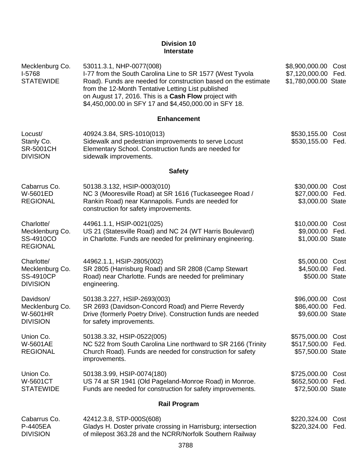#### **Division 10 Interstate**

| Mecklenburg Co.<br>I-5768<br><b>STATEWIDE</b>                        | 53011.3.1, NHP-0077(008)<br>I-77 from the South Carolina Line to SR 1577 (West Tyvola<br>Road). Funds are needed for construction based on the estimate<br>from the 12-Month Tentative Letting List published<br>on August 17, 2016. This is a Cash Flow project with<br>\$4,450,000.00 in SFY 17 and \$4,450,000.00 in SFY 18. | \$8,900,000.00 Cost<br>\$7,120,000.00 Fed.<br>\$1,780,000.00 State |
|----------------------------------------------------------------------|---------------------------------------------------------------------------------------------------------------------------------------------------------------------------------------------------------------------------------------------------------------------------------------------------------------------------------|--------------------------------------------------------------------|
|                                                                      | <b>Enhancement</b>                                                                                                                                                                                                                                                                                                              |                                                                    |
| Locust/<br>Stanly Co.<br><b>SR-5001CH</b><br><b>DIVISION</b>         | 40924.3.84, SRS-1010(013)<br>Sidewalk and pedestrian improvements to serve Locust<br>Elementary School. Construction funds are needed for<br>sidewalk improvements.                                                                                                                                                             | \$530,155.00<br>Cost<br>\$530,155.00 Fed.                          |
|                                                                      | <b>Safety</b>                                                                                                                                                                                                                                                                                                                   |                                                                    |
| Cabarrus Co.<br>W-5601ED<br><b>REGIONAL</b>                          | 50138.3.132, HSIP-0003(010)<br>NC 3 (Mooresville Road) at SR 1616 (Tuckaseegee Road /<br>Rankin Road) near Kannapolis. Funds are needed for<br>construction for safety improvements.                                                                                                                                            | \$30,000.00 Cost<br>\$27,000.00 Fed.<br>\$3,000.00 State           |
| Charlotte/<br>Mecklenburg Co.<br>SS-4910CO<br><b>REGIONAL</b>        | 44961.1.1, HSIP-0021(025)<br>US 21 (Statesville Road) and NC 24 (WT Harris Boulevard)<br>in Charlotte. Funds are needed for preliminary engineering.                                                                                                                                                                            | \$10,000.00 Cost<br>\$9,000.00 Fed.<br>\$1,000.00 State            |
| Charlotte/<br>Mecklenburg Co.<br><b>SS-4910CP</b><br><b>DIVISION</b> | 44962.1.1, HSIP-2805(002)<br>SR 2805 (Harrisburg Road) and SR 2808 (Camp Stewart<br>Road) near Charlotte. Funds are needed for preliminary<br>engineering.                                                                                                                                                                      | \$5,000.00 Cost<br>\$4,500.00 Fed.<br>\$500.00 State               |
| Davidson/<br>Mecklenburg Co.<br><b>W-5601HR</b><br><b>DIVISION</b>   | 50138.3.227, HSIP-2693(003)<br>SR 2693 (Davidson-Concord Road) and Pierre Reverdy<br>Drive (formerly Poetry Drive). Construction funds are needed<br>for safety improvements.                                                                                                                                                   | \$96,000.00<br>Cost<br>\$86,400.00<br>Fed.<br>\$9,600.00 State     |
| Union Co.<br><b>W-5601AE</b><br><b>REGIONAL</b>                      | 50138.3.32, HSIP-0522(005)<br>NC 522 from South Carolina Line northward to SR 2166 (Trinity<br>Church Road). Funds are needed for construction for safety<br>improvements.                                                                                                                                                      | \$575,000.00<br>Cost<br>\$517,500.00<br>Fed.<br>\$57,500.00 State  |
| Union Co.<br><b>W-5601CT</b><br><b>STATEWIDE</b>                     | 50138.3.99, HSIP-0074(180)<br>US 74 at SR 1941 (Old Pageland-Monroe Road) in Monroe.<br>Funds are needed for construction for safety improvements.                                                                                                                                                                              | \$725,000.00<br>Cost<br>\$652,500.00<br>Fed.<br>\$72,500.00 State  |
|                                                                      | <b>Rail Program</b>                                                                                                                                                                                                                                                                                                             |                                                                    |
| Cabarrus Co.<br>P-4405EA<br><b>DIVISION</b>                          | 42412.3.8, STP-000S(608)<br>Gladys H. Doster private crossing in Harrisburg; intersection<br>of milepost 363.28 and the NCRR/Norfolk Southern Railway                                                                                                                                                                           | \$220,324.00<br>Cost<br>\$220,324.00<br>Fed.                       |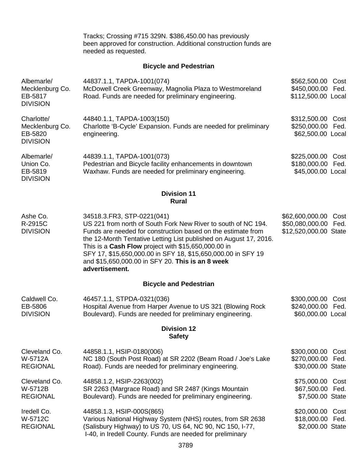Tracks; Crossing #715 329N. \$386,450.00 has previously been approved for construction. Additional construction funds are needed as requested.

# **Bicycle and Pedestrian**

| Albemarle/<br>Mecklenburg Co.<br>EB-5817<br><b>DIVISION</b> | 44837.1.1, TAPDA-1001(074)<br>McDowell Creek Greenway, Magnolia Plaza to Westmoreland<br>Road. Funds are needed for preliminary engineering.                                                                                                                                                                                                                                                                                    | \$562,500.00 Cost<br>\$450,000.00<br>Fed.<br>\$112,500.00 Local             |
|-------------------------------------------------------------|---------------------------------------------------------------------------------------------------------------------------------------------------------------------------------------------------------------------------------------------------------------------------------------------------------------------------------------------------------------------------------------------------------------------------------|-----------------------------------------------------------------------------|
| Charlotte/<br>Mecklenburg Co.<br>EB-5820<br><b>DIVISION</b> | 44840.1.1, TAPDA-1003(150)<br>Charlotte 'B-Cycle' Expansion. Funds are needed for preliminary<br>engineering.                                                                                                                                                                                                                                                                                                                   | \$312,500.00<br>Cost<br>\$250,000.00<br>Fed.<br>\$62,500.00 Local           |
| Albemarle/<br>Union Co.<br>EB-5819<br><b>DIVISION</b>       | 44839.1.1, TAPDA-1001(073)<br>Pedestrian and Bicycle facility enhancements in downtown<br>Waxhaw. Funds are needed for preliminary engineering.                                                                                                                                                                                                                                                                                 | \$225,000.00<br>Cost<br>\$180,000.00 Fed.<br>\$45,000.00 Local              |
|                                                             | <b>Division 11</b><br><b>Rural</b>                                                                                                                                                                                                                                                                                                                                                                                              |                                                                             |
| Ashe Co.<br>R-2915C<br><b>DIVISION</b>                      | 34518.3. FR3, STP-0221 (041)<br>US 221 from north of South Fork New River to south of NC 194.<br>Funds are needed for construction based on the estimate from<br>the 12-Month Tentative Letting List published on August 17, 2016.<br>This is a Cash Flow project with \$15,650,000.00 in<br>SFY 17, \$15,650,000.00 in SFY 18, \$15,650,000.00 in SFY 19<br>and \$15,650,000.00 in SFY 20. This is an 8 week<br>advertisement. | \$62,600,000.00<br>Cost<br>\$50,080,000.00<br>Fed.<br>\$12,520,000.00 State |
|                                                             | <b>Bicycle and Pedestrian</b>                                                                                                                                                                                                                                                                                                                                                                                                   |                                                                             |
| Caldwell Co.<br>EB-5806<br><b>DIVISION</b>                  | 46457.1.1, STPDA-0321(036)<br>Hospital Avenue from Harper Avenue to US 321 (Blowing Rock<br>Boulevard). Funds are needed for preliminary engineering.                                                                                                                                                                                                                                                                           | \$300,000.00<br>Cost<br>\$240,000.00 Fed.<br>\$60,000.00 Local              |
|                                                             | <b>Division 12</b><br><b>Safety</b>                                                                                                                                                                                                                                                                                                                                                                                             |                                                                             |
| Cleveland Co.<br>W-5712A<br><b>REGIONAL</b>                 | 44858.1.1, HSIP-0180(006)<br>NC 180 (South Post Road) at SR 2202 (Beam Road / Joe's Lake<br>Road). Funds are needed for preliminary engineering.                                                                                                                                                                                                                                                                                | \$300,000.00<br>Cost<br>\$270,000.00<br>Fed.<br>\$30,000.00 State           |
| Cleveland Co.<br>W-5712B<br><b>REGIONAL</b>                 | 44858.1.2, HSIP-2263(002)<br>SR 2263 (Margrace Road) and SR 2487 (Kings Mountain<br>Boulevard). Funds are needed for preliminary engineering.                                                                                                                                                                                                                                                                                   | \$75,000.00<br>Cost<br>\$67,500.00<br>Fed.<br>\$7,500.00 State              |
| Iredell Co.<br>W-5712C<br><b>REGIONAL</b>                   | 44858.1.3, HSIP-000S(865)<br>Various National Highway System (NHS) routes, from SR 2638<br>(Salisbury Highway) to US 70, US 64, NC 90, NC 150, I-77,<br>I-40, in Iredell County. Funds are needed for preliminary                                                                                                                                                                                                               | \$20,000.00<br>Cost<br>\$18,000.00<br>Fed.<br>\$2,000.00 State              |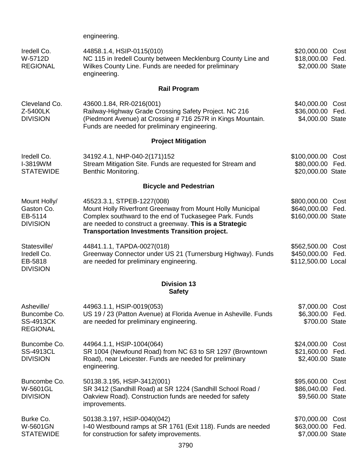engineering.

| Iredell Co.<br>W-5712D<br><b>REGIONAL</b>                         | 44858.1.4, HSIP-0115(010)<br>NC 115 in Iredell County between Mecklenburg County Line and<br>Wilkes County Line. Funds are needed for preliminary<br>engineering.                                                                                                      | \$20,000.00 Cost<br>\$18,000.00 Fed.<br>\$2,000.00 State |              |
|-------------------------------------------------------------------|------------------------------------------------------------------------------------------------------------------------------------------------------------------------------------------------------------------------------------------------------------------------|----------------------------------------------------------|--------------|
|                                                                   | <b>Rail Program</b>                                                                                                                                                                                                                                                    |                                                          |              |
| Cleveland Co.<br>Z-5400LK<br><b>DIVISION</b>                      | 43600.1.84, RR-0216(001)<br>Railway-Highway Grade Crossing Safety Project. NC 216<br>(Piedmont Avenue) at Crossing #716 257R in Kings Mountain.<br>Funds are needed for preliminary engineering.                                                                       | \$40,000.00<br>\$36,000.00 Fed.<br>\$4,000.00 State      | Cost         |
|                                                                   | <b>Project Mitigation</b>                                                                                                                                                                                                                                              |                                                          |              |
| Iredell Co.<br>I-3819WM<br><b>STATEWIDE</b>                       | 34192.4.1, NHP-040-2(171)152<br>Stream Mitigation Site. Funds are requested for Stream and<br>Benthic Monitoring.                                                                                                                                                      | \$100,000.00<br>\$80,000.00<br>\$20,000.00 State         | Cost<br>Fed. |
|                                                                   | <b>Bicycle and Pedestrian</b>                                                                                                                                                                                                                                          |                                                          |              |
| Mount Holly/<br>Gaston Co.<br>EB-5114<br><b>DIVISION</b>          | 45523.3.1, STPEB-1227(008)<br>Mount Holly Riverfront Greenway from Mount Holly Municipal<br>Complex southward to the end of Tuckasegee Park. Funds<br>are needed to construct a greenway. This is a Strategic<br><b>Transportation Investments Transition project.</b> | \$800,000.00<br>\$640,000.00<br>\$160,000.00 State       | Cost<br>Fed. |
| Statesville/<br>Iredell Co.<br>EB-5818<br><b>DIVISION</b>         | 44841.1.1, TAPDA-0027(018)<br>Greenway Connector under US 21 (Turnersburg Highway). Funds<br>are needed for preliminary engineering.                                                                                                                                   | \$562,500.00<br>\$450,000.00 Fed.<br>\$112,500.00 Local  | Cost         |
|                                                                   | <b>Division 13</b><br><b>Safety</b>                                                                                                                                                                                                                                    |                                                          |              |
| Asheville/<br>Buncombe Co.<br><b>SS-4913CK</b><br><b>REGIONAL</b> | 44963.1.1, HSIP-0019(053)<br>US 19 / 23 (Patton Avenue) at Florida Avenue in Asheville. Funds<br>are needed for preliminary engineering.                                                                                                                               | \$7,000.00 Cost<br>\$6,300.00 Fed.<br>\$700.00 State     |              |
| Buncombe Co.<br><b>SS-4913CL</b><br><b>DIVISION</b>               | 44964.1.1, HSIP-1004(064)<br>SR 1004 (Newfound Road) from NC 63 to SR 1297 (Browntown<br>Road), near Leicester. Funds are needed for preliminary<br>engineering.                                                                                                       | \$24,000.00 Cost<br>\$21,600.00 Fed.<br>\$2,400.00 State |              |
| Buncombe Co.<br>W-5601GL<br><b>DIVISION</b>                       | 50138.3.195, HSIP-3412(001)<br>SR 3412 (Sandhill Road) at SR 1224 (Sandhill School Road /<br>Oakview Road). Construction funds are needed for safety<br>improvements.                                                                                                  | \$95,600.00 Cost<br>\$86,040.00 Fed.<br>\$9,560.00 State |              |
| Burke Co.<br>W-5601GN<br><b>STATEWIDE</b>                         | 50138.3.197, HSIP-0040(042)<br>I-40 Westbound ramps at SR 1761 (Exit 118). Funds are needed<br>for construction for safety improvements.                                                                                                                               | \$70,000.00<br>\$63,000.00<br>\$7,000.00 State           | Cost<br>Fed. |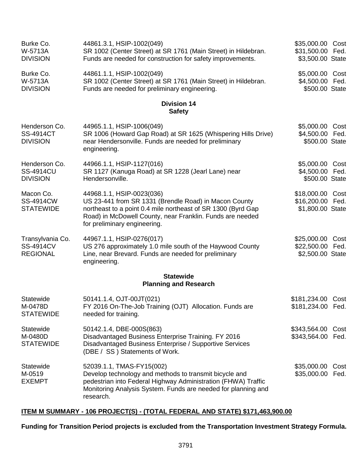| Burke Co.<br>W-5713A<br><b>DIVISION</b>                 | 44861.3.1, HSIP-1002(049)<br>SR 1002 (Center Street) at SR 1761 (Main Street) in Hildebran.<br>Funds are needed for construction for safety improvements.                                                                                       | \$35,000.00 Cost<br>\$31,500.00 Fed.<br>\$3,500.00 State |      |
|---------------------------------------------------------|-------------------------------------------------------------------------------------------------------------------------------------------------------------------------------------------------------------------------------------------------|----------------------------------------------------------|------|
| Burke Co.<br>W-5713A<br><b>DIVISION</b>                 | 44861.1.1, HSIP-1002(049)<br>SR 1002 (Center Street) at SR 1761 (Main Street) in Hildebran.<br>Funds are needed for preliminary engineering.                                                                                                    | \$5,000.00 Cost<br>\$4,500.00 Fed.<br>\$500.00 State     |      |
|                                                         | <b>Division 14</b><br><b>Safety</b>                                                                                                                                                                                                             |                                                          |      |
| Henderson Co.<br><b>SS-4914CT</b><br><b>DIVISION</b>    | 44965.1.1, HSIP-1006(049)<br>SR 1006 (Howard Gap Road) at SR 1625 (Whispering Hills Drive)<br>near Hendersonville. Funds are needed for preliminary<br>engineering.                                                                             | \$5,000.00 Cost<br>\$4,500.00 Fed.<br>\$500.00 State     |      |
| Henderson Co.<br><b>SS-4914CU</b><br><b>DIVISION</b>    | 44966.1.1, HSIP-1127(016)<br>SR 1127 (Kanuga Road) at SR 1228 (Jearl Lane) near<br>Hendersonville.                                                                                                                                              | \$5,000.00 Cost<br>\$4,500.00 Fed.<br>\$500.00 State     |      |
| Macon Co.<br><b>SS-4914CW</b><br><b>STATEWIDE</b>       | 44968.1.1, HSIP-0023(036)<br>US 23-441 from SR 1331 (Brendle Road) in Macon County<br>northeast to a point 0.4 mile northeast of SR 1300 (Byrd Gap<br>Road) in McDowell County, near Franklin. Funds are needed<br>for preliminary engineering. | \$18,000.00 Cost<br>\$16,200.00 Fed.<br>\$1,800.00 State |      |
| Transylvania Co.<br><b>SS-4914CV</b><br><b>REGIONAL</b> | 44967.1.1, HSIP-0276(017)<br>US 276 approximately 1.0 mile south of the Haywood County<br>Line, near Brevard. Funds are needed for preliminary<br>engineering.                                                                                  | \$25,000.00<br>\$22,500.00 Fed.<br>\$2,500.00 State      | Cost |
|                                                         | <b>Statewide</b><br><b>Planning and Research</b>                                                                                                                                                                                                |                                                          |      |
| Statewide<br>M-0478D<br><b>STATEWIDE</b>                | 50141.1.4, OJT-00JT(021)<br>FY 2016 On-The-Job Training (OJT) Allocation. Funds are<br>needed for training.                                                                                                                                     | \$181,234.00 Cost<br>\$181,234.00 Fed.                   |      |
| Statewide<br>M-0480D<br><b>STATEWIDE</b>                | 50142.1.4, DBE-000S(863)<br>Disadvantaged Business Enterprise Training. FY 2016<br>Disadvantaged Business Enterprise / Supportive Services<br>(DBE / SS) Statements of Work.                                                                    | \$343,564.00<br>\$343,564.00 Fed.                        | Cost |
| Statewide<br>M-0519<br><b>EXEMPT</b>                    | 52039.1.1, TMAS-FY15(002)<br>Develop technology and methods to transmit bicycle and<br>pedestrian into Federal Highway Administration (FHWA) Traffic<br>Monitoring Analysis System. Funds are needed for planning and<br>research.              | \$35,000.00<br>\$35,000.00 Fed.                          | Cost |

# **ITEM M SUMMARY - 106 PROJECT(S) - (TOTAL FEDERAL AND STATE) \$171,463,900.00**

# **Funding for Transition Period projects is excluded from the Transportation Investment Strategy Formula.**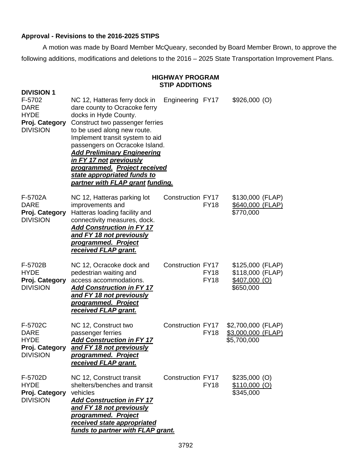# **Approval - Revisions to the 2016-2025 STIPS**

A motion was made by Board Member McQueary, seconded by Board Member Brown, to approve the following additions, modifications and deletions to the 2016 – 2025 State Transportation Improvement Plans.

#### **HIGHWAY PROGRAM STIP ADDITIONS**

| <b>DIVISION 1</b><br>F-5702<br><b>DARE</b><br><b>HYDE</b><br>Proj. Category<br><b>DIVISION</b> | NC 12, Hatteras ferry dock in<br>dare county to Ocracoke ferry<br>docks in Hyde County.<br>Construct two passenger ferries<br>to be used along new route.<br>Implement transit system to aid<br>passengers on Ocracoke Island.<br><b>Add Preliminary Engineering</b><br><u>in FY 17 not previously</u><br>programmed. Project received<br>state appropriated funds to<br>partner with FLAP grant funding. | Engineering FY17         |                            | $$926,000$ (O)                                                      |  |
|------------------------------------------------------------------------------------------------|-----------------------------------------------------------------------------------------------------------------------------------------------------------------------------------------------------------------------------------------------------------------------------------------------------------------------------------------------------------------------------------------------------------|--------------------------|----------------------------|---------------------------------------------------------------------|--|
| F-5702A<br><b>DARE</b><br>Proj. Category<br><b>DIVISION</b>                                    | NC 12, Hatteras parking lot<br>improvements and<br>Hatteras loading facility and<br>connectivity measures, dock.<br><b>Add Construction in FY 17</b><br><u>and FY 18 not previously</u><br>programmed. Project<br>received FLAP grant.                                                                                                                                                                    | <b>Construction FY17</b> | <b>FY18</b>                | \$130,000 (FLAP)<br>\$640,000 (FLAP)<br>\$770,000                   |  |
| F-5702B<br><b>HYDE</b><br>Proj. Category<br><b>DIVISION</b>                                    | NC 12, Ocracoke dock and<br>pedestrian waiting and<br>access accommodations.<br><b>Add Construction in FY 17</b><br>and FY 18 not previously<br>programmed. Project<br>received FLAP grant.                                                                                                                                                                                                               | Construction FY17        | <b>FY18</b><br><b>FY18</b> | \$125,000 (FLAP)<br>\$118,000 (FLAP)<br>$$407,000$ (O)<br>\$650,000 |  |
| F-5702C<br><b>DARE</b><br><b>HYDE</b><br>Proj. Category<br><b>DIVISION</b>                     | NC 12, Construct two<br>passenger ferries<br><b>Add Construction in FY 17</b><br>and FY 18 not previously<br>programmed. Project<br>received FLAP grant.                                                                                                                                                                                                                                                  | <b>Construction FY17</b> | <b>FY18</b>                | \$2,700,000 (FLAP)<br>\$3,000,000 (FLAP)<br>\$5,700,000             |  |
| F-5702D<br><b>HYDE</b><br>Proj. Category<br><b>DIVISION</b>                                    | NC 12, Construct transit<br>shelters/benches and transit<br>vehicles<br><b>Add Construction in FY 17</b><br>and FY 18 not previously<br>programmed. Project<br>received state appropriated<br>funds to partner with FLAP grant.                                                                                                                                                                           | <b>Construction FY17</b> | <b>FY18</b>                | $$235,000$ (O)<br>$$110,000$ (O)<br>\$345,000                       |  |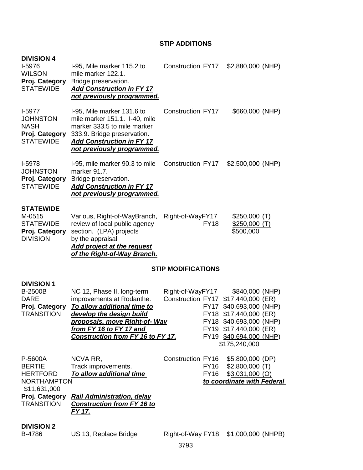# **STIP ADDITIONS**

| <b>DIVISION 4</b><br>I-5976<br><b>WILSON</b><br>Proj. Category<br><b>STATEWIDE</b>        | I-95, Mile marker 115.2 to<br>mile marker 122.1.<br>Bridge preservation.<br><b>Add Construction in FY 17</b><br>not previously programmed.                                                                          | <b>Construction FY17</b>                     |                            | \$2,880,000 (NHP)                                                                                                                                                                     |  |
|-------------------------------------------------------------------------------------------|---------------------------------------------------------------------------------------------------------------------------------------------------------------------------------------------------------------------|----------------------------------------------|----------------------------|---------------------------------------------------------------------------------------------------------------------------------------------------------------------------------------|--|
| $I-5977$<br><b>JOHNSTON</b><br><b>NASH</b><br>Proj. Category<br><b>STATEWIDE</b>          | I-95, Mile marker 131.6 to<br>mile marker 151.1. I-40, mile<br>marker 333.5 to mile marker<br>333.9. Bridge preservation.<br><b>Add Construction in FY 17</b><br>not previously programmed.                         | Construction FY17                            |                            | \$660,000 (NHP)                                                                                                                                                                       |  |
| <b>I-5978</b><br><b>JOHNSTON</b><br>Proj. Category<br><b>STATEWIDE</b>                    | I-95, mile marker 90.3 to mile<br>marker 91.7.<br>Bridge preservation.<br><b>Add Construction in FY 17</b><br>not previously programmed.                                                                            | Construction FY17                            |                            | $$2,500,000$ (NHP)                                                                                                                                                                    |  |
| <b>STATEWIDE</b><br>M-0515<br><b>STATEWIDE</b><br>Proj. Category<br><b>DIVISION</b>       | Various, Right-of-WayBranch,<br>review of local public agency<br>section. (LPA) projects<br>by the appraisal<br><b>Add project at the request</b><br>of the Right-of-Way Branch.                                    | Right-of-WayFY17                             | <b>FY18</b>                | \$250,000(T)<br>\$250,000(T)<br>\$500,000                                                                                                                                             |  |
|                                                                                           |                                                                                                                                                                                                                     | <b>STIP MODIFICATIONS</b>                    |                            |                                                                                                                                                                                       |  |
| <b>DIVISION 1</b><br><b>B-2500B</b><br><b>DARE</b><br>Proj. Category<br><b>TRANSITION</b> | NC 12, Phase II, long-term<br>improvements at Rodanthe.<br>To allow additional time to<br>develop the design build<br>proposals, move Right-of- Way<br>from FY 16 to FY 17 and<br>Construction from FY 16 to FY 17. | Right-of-WayFY17<br><b>Construction FY17</b> | <b>FY17</b>                | \$840,000 (NHP)<br>\$17,440,000 (ER)<br>\$40,693,000 (NHP)<br>FY18 \$17,440,000 (ER)<br>FY18 \$40,693,000 (NHP)<br>FY19 \$17,440,000 (ER)<br>FY19 \$40,694,000 (NHP)<br>\$175,240,000 |  |
| P-5600A<br><b>BERTIE</b><br><b>HERTFORD</b><br><b>NORTHAMPTON</b>                         | NCVA RR,<br>Track improvements.<br>To allow additional time                                                                                                                                                         | Construction FY16                            | <b>FY16</b><br><b>FY16</b> | \$5,800,000 (DP)<br>$$2,800,000$ (T)<br>$$3,031,000$ (O)<br>to coordinate with Federal                                                                                                |  |
| \$11,631,000<br>Proj. Category<br><b>TRANSITION</b>                                       | <b>Rail Administration, delay</b><br><b>Construction from FY 16 to</b><br><u>FY 17.</u>                                                                                                                             |                                              |                            |                                                                                                                                                                                       |  |
| <b>DIVISION 2</b><br>B-4786                                                               | US 13, Replace Bridge                                                                                                                                                                                               | Right-of-Way FY18                            |                            | \$1,000,000 (NHPB)                                                                                                                                                                    |  |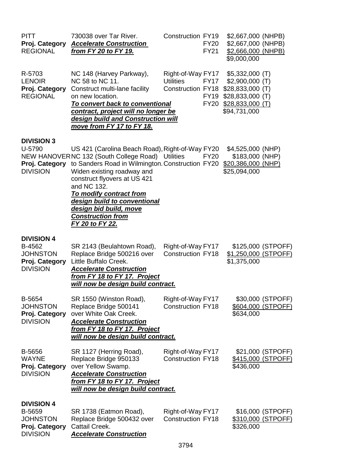| <b>PITT</b><br>Proj. Category<br><b>REGIONAL</b>                                    | 730038 over Tar River.<br><b>Accelerate Construction</b><br>from FY 20 to FY 19.                                                                                                                                                                                                                                                                                                                   | <b>Construction FY19</b>                      | <b>FY20</b><br><b>FY21</b>                | \$2,667,000 (NHPB)<br>\$2,667,000 (NHPB)<br>\$2,666,000 (NHPB)<br>\$9,000,000                                                        |                                                |
|-------------------------------------------------------------------------------------|----------------------------------------------------------------------------------------------------------------------------------------------------------------------------------------------------------------------------------------------------------------------------------------------------------------------------------------------------------------------------------------------------|-----------------------------------------------|-------------------------------------------|--------------------------------------------------------------------------------------------------------------------------------------|------------------------------------------------|
| R-5703<br><b>LENOIR</b><br>Proj. Category<br><b>REGIONAL</b>                        | NC 148 (Harvey Parkway),<br>NC 58 to NC 11.<br>Construct multi-lane facility<br>on new location.<br>To convert back to conventional<br>contract, project will no longer be<br>design build and Construction will<br>move from FY 17 to FY 18.                                                                                                                                                      | Right-of-Way FY17<br><b>Utilities</b>         | <b>FY17</b><br><b>FY19</b><br><b>FY20</b> | $$5,332,000$ (T)<br>$$2,900,000$ (T)<br>Construction FY18 \$28,833,000 (T)<br>$$28,833,000$ (T)<br>$$28,833,000$ (T)<br>\$94,731,000 |                                                |
| <b>DIVISION 3</b><br>U-5790<br>Proj. Category<br><b>DIVISION</b>                    | US 421 (Carolina Beach Road), Right-of-Way FY20<br>NEW HANOVERNC 132 (South College Road) Utilities<br>to Sanders Road in Wilmington. Construction FY20 \$20,386,000 (NHP)<br>Widen existing roadway and<br>construct flyovers at US 421<br>and NC 132.<br>To modify contract from<br>design build to conventional<br>design bid build, move<br><b>Construction from</b><br><u>FY 20 to FY 22.</u> |                                               | <b>FY20</b>                               | \$4,525,000 (NHP)<br>\$183,000 (NHP)<br>\$25,094,000                                                                                 |                                                |
| <b>DIVISION 4</b><br>B-4562<br><b>JOHNSTON</b><br>Proj. Category<br><b>DIVISION</b> | SR 2143 (Beulahtown Road),<br>Replace Bridge 500216 over<br>Little Buffalo Creek.<br><b>Accelerate Construction</b><br>from FY 18 to FY 17. Project<br>will now be design build contract.                                                                                                                                                                                                          | Right-of-Way FY17<br><b>Construction FY18</b> |                                           | \$1,250,000 (STPOFF)<br>\$1,375,000                                                                                                  | \$125,000 (STPOFF)                             |
| B-5654<br><b>JOHNSTON</b><br>Proj. Category<br><b>DIVISION</b>                      | SR 1550 (Winston Road),<br>Replace Bridge 500141<br>over White Oak Creek.<br><b>Accelerate Construction</b><br>from FY 18 to FY 17. Project<br>will now be design build contract.                                                                                                                                                                                                                  | Right-of-Way FY17<br><b>Construction FY18</b> |                                           | \$634,000                                                                                                                            | \$30,000 (STPOFF)<br>\$604,000 (STPOFF)        |
| B-5656<br><b>WAYNE</b><br>Proj. Category<br><b>DIVISION</b>                         | SR 1127 (Herring Road),<br>Replace Bridge 950133<br>over Yellow Swamp.<br><b>Accelerate Construction</b><br>from FY 18 to FY 17. Project<br>will now be design build contract.                                                                                                                                                                                                                     | Right-of-Way FY17<br><b>Construction FY18</b> |                                           | \$436,000                                                                                                                            | \$21,000 (STPOFF)<br><u>\$415,000 (STPOFF)</u> |
| <b>DIVISION 4</b><br>B-5659<br><b>JOHNSTON</b><br>Proj. Category<br><b>DIVISION</b> | SR 1738 (Eatmon Road),<br>Replace Bridge 500432 over<br>Cattail Creek.<br><b>Accelerate Construction</b>                                                                                                                                                                                                                                                                                           | Right-of-Way FY17<br><b>Construction FY18</b> |                                           | \$326,000                                                                                                                            | \$16,000 (STPOFF)<br>\$310,000 (STPOFF)        |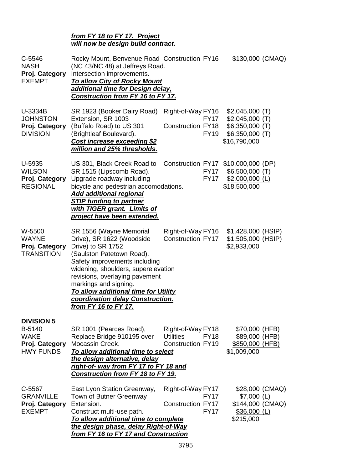#### *from FY 18 to FY 17. Project will now be design build contract.*

| $C-5546$<br><b>NASH</b><br>Proj. Category<br><b>EXEMPT</b>                       | Rocky Mount, Benvenue Road Construction FY16<br>(NC 43/NC 48) at Jeffreys Road.<br>Intersection improvements.<br><b>To allow City of Rocky Mount</b><br>additional time for Design delay,<br>Construction from FY 16 to FY 17.                                                                                                                       |                                                                                  | \$130,000 (CMAQ)                                                                             |  |
|----------------------------------------------------------------------------------|------------------------------------------------------------------------------------------------------------------------------------------------------------------------------------------------------------------------------------------------------------------------------------------------------------------------------------------------------|----------------------------------------------------------------------------------|----------------------------------------------------------------------------------------------|--|
| U-3334B<br><b>JOHNSTON</b><br>Proj. Category<br><b>DIVISION</b>                  | SR 1923 (Booker Dairy Road)<br>Extension, SR 1003<br>(Buffalo Road) to US 301<br>(Brightleaf Boulevard).<br>Cost increase exceeding \$2<br>million and 25% thresholds.                                                                                                                                                                               | Right-of-Way FY16<br><b>FY17</b><br><b>Construction FY18</b><br><b>FY19</b>      | $$2,045,000$ (T)<br>$$2,045,000$ (T)<br>$$6,350,000$ (T)<br>$$6,350,000$ (T)<br>\$16,790,000 |  |
| U-5935<br><b>WILSON</b><br>Proj. Category<br><b>REGIONAL</b>                     | US 301, Black Creek Road to<br>SR 1515 (Lipscomb Road).<br>Upgrade roadway including<br>bicycle and pedestrian accomodations.<br><b>Add additional regional</b><br><b>STIP funding to partner</b><br>with TIGER grant. Limits of<br><b>project have been extended.</b>                                                                               | Construction FY17 \$10,000,000 (DP)<br><b>FY17</b><br><b>FY17</b>                | $$6,500,000$ (T)<br>$$2,000,000$ (L)<br>\$18,500,000                                         |  |
| W-5500<br><b>WAYNE</b><br>Proj. Category<br><b>TRANSITION</b>                    | SR 1556 (Wayne Memorial<br>Drive), SR 1622 (Woodside<br>Drive) to SR 1752<br>(Saulston Patetown Road).<br>Safety improvements including<br>widening, shoulders, superelevation<br>revisions, overlaying pavement<br>markings and signing.<br>To allow additional time for Utility<br>coordination delay Construction.<br><u>from FY 16 to FY 17.</u> | Right-of-Way FY16<br><b>Construction FY17</b>                                    | \$1,428,000 (HSIP)<br>\$1,505,000 (HSIP)<br>\$2,933,000                                      |  |
| <b>DIVISION 5</b><br>B-5140<br><b>WAKE</b><br>Proj. Category<br><b>HWY FUNDS</b> | SR 1001 (Pearces Road),<br>Replace Bridge 910195 over<br>Mocassin Creek.<br>To allow additional time to select<br>the design alternative, delay<br><u>right-of- way from FY 17 to FY 18 and</u><br>Construction from FY 18 to FY 19.                                                                                                                 | Right-of-Way FY18<br><b>Utilities</b><br><b>FY18</b><br><b>Construction FY19</b> | \$70,000 (HFB)<br>\$89,000 (HFB)<br>\$850,000 (HFB)<br>\$1,009,000                           |  |
| C-5567<br><b>GRANVILLE</b><br>Proj. Category<br><b>EXEMPT</b>                    | East Lyon Station Greenway,<br>Town of Butner Greenway<br>Extension.<br>Construct multi-use path.<br>To allow additional time to complete<br>the design phase, delay Right-of-Way<br>from FY 16 to FY 17 and Construction                                                                                                                            | Right-of-Way FY17<br><b>FY17</b><br><b>Construction FY17</b><br><b>FY17</b>      | \$28,000 (CMAQ)<br>$$7,000$ (L)<br>\$144,000 (CMAQ)<br>$$36,000$ (L)<br>\$215,000            |  |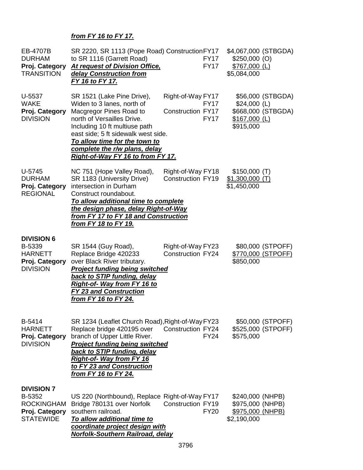# *from FY 16 to FY 17.*

| EB-4707B<br><b>DURHAM</b><br>Proj. Category<br><b>TRANSITION</b>                       | SR 2220, SR 1113 (Pope Road) Construction FY17<br>to SR 1116 (Garrett Road)<br><b>At request of Division Office,</b><br>delay Construction from<br>FY 16 to FY 17.                                                                                                                                      | <b>FY17</b><br><b>FY17</b>                                                  | \$4,067,000 (STBGDA)<br>$$250,000$ (O)<br>$$767,000$ (L)<br>\$5,084,000                 |
|----------------------------------------------------------------------------------------|---------------------------------------------------------------------------------------------------------------------------------------------------------------------------------------------------------------------------------------------------------------------------------------------------------|-----------------------------------------------------------------------------|-----------------------------------------------------------------------------------------|
| U-5537<br><b>WAKE</b><br>Proj. Category<br><b>DIVISION</b>                             | SR 1521 (Lake Pine Drive),<br>Widen to 3 lanes, north of<br>Macgregor Pines Road to<br>north of Versailles Drive.<br>Including 10 ft multiuse path<br>east side; 5 ft sidewalk west side.<br>To allow time for the town to<br>complete the r/w plans, delay<br><b>Right-of-Way FY 16 to from FY 17.</b> | Right-of-Way FY17<br><b>FY17</b><br><b>Construction FY17</b><br><b>FY17</b> | \$56,000 (STBGDA)<br>$$24,000$ (L)<br>\$668,000 (STBGDA)<br>$$167,000$ (L)<br>\$915,000 |
| $U-5745$<br><b>DURHAM</b><br>Proj. Category<br><b>REGIONAL</b>                         | NC 751 (Hope Valley Road),<br>SR 1183 (University Drive)<br>intersection in Durham<br>Construct roundabout.<br>To allow additional time to complete<br>the design phase, delay Right-of-Way<br>from FY 17 to FY 18 and Construction<br><u>from FY 18 to FY 19.</u>                                      | Right-of-Way FY18<br><b>Construction FY19</b>                               | \$150,000(T)<br>$$1,300,000$ (T)<br>\$1,450,000                                         |
| <b>DIVISION 6</b><br>B-5339<br><b>HARNETT</b><br>Proj. Category<br><b>DIVISION</b>     | SR 1544 (Guy Road),<br>Replace Bridge 420233<br>over Black River tributary.<br><b>Project funding being switched</b><br><b>back to STIP funding, delay</b><br>Right-of- Way from FY 16 to<br><b>FY 23 and Construction</b><br>from FY 16 to FY 24.                                                      | Right-of-Way FY23<br><b>Construction FY24</b>                               | \$80,000 (STPOFF)<br>\$770,000 (STPOFF)<br>\$850,000                                    |
| B-5414<br><b>HARNETT</b><br>Proj. Category<br><b>DIVISION</b>                          | SR 1234 (Leaflet Church Road), Right-of-Way FY23<br>Replace bridge 420195 over<br>branch of Upper Little River.<br>Project funding being switched<br>back to STIP funding, delay<br><b>Right-of- Way from FY 16</b><br>to FY 23 and Construction<br>from FY 16 to FY 24.                                | <b>Construction FY24</b><br><b>FY24</b>                                     | \$50,000 (STPOFF)<br>\$525,000 (STPOFF)<br>\$575,000                                    |
| <b>DIVISION 7</b><br>B-5352<br><b>ROCKINGHAM</b><br>Proj. Category<br><b>STATEWIDE</b> | US 220 (Northbound), Replace Right-of-Way FY17<br>Bridge 780131 over Norfolk<br>southern railroad.<br>To allow additional time to<br>coordinate project design with<br>Norfolk-Southern Railroad, delay                                                                                                 | <b>Construction FY19</b><br><b>FY20</b>                                     | \$240,000 (NHPB)<br>\$975,000 (NHPB)<br>\$975,000 (NHPB)<br>\$2,190,000                 |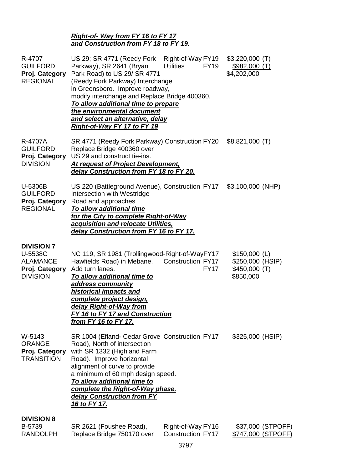# *Right-of- Way from FY 16 to FY 17 and Construction from FY 18 to FY 19.*

| R-4707<br><b>GUILFORD</b><br>Proj. Category<br><b>REGIONAL</b>                       | US 29; SR 4771 (Reedy Fork<br>Parkway), SR 2641 (Bryan<br>Park Road) to US 29/ SR 4771<br>(Reedy Fork Parkway) Interchange<br>in Greensboro. Improve roadway,<br>modify interchange and Replace Bridge 400360.<br>To allow additional time to prepare<br>the environmental document<br>and select an alternative, delay<br>Right-of-Way FY 17 to FY 19 | Right-of-Way FY19<br><b>Utilities</b><br><b>FY19</b> | $$3,220,000$ (T)<br>\$982,000(T)<br>\$4,202,000                 |
|--------------------------------------------------------------------------------------|--------------------------------------------------------------------------------------------------------------------------------------------------------------------------------------------------------------------------------------------------------------------------------------------------------------------------------------------------------|------------------------------------------------------|-----------------------------------------------------------------|
| R-4707A<br><b>GUILFORD</b><br>Proj. Category<br><b>DIVISION</b>                      | SR 4771 (Reedy Fork Parkway), Construction FY20<br>Replace Bridge 400360 over<br>US 29 and construct tie-ins.<br><b>At request of Project Development,</b><br>delay Construction from FY 18 to FY 20.                                                                                                                                                  |                                                      | $$8,821,000$ (T)                                                |
| U-5306B<br><b>GUILFORD</b><br>Proj. Category<br><b>REGIONAL</b>                      | US 220 (Battleground Avenue), Construction FY17<br>Intersection with Westridge<br>Road and approaches<br>To allow additional time<br>for the City to complete Right-of-Way<br>acquisition and relocate Utilities,<br>delay Construction from FY 16 to FY 17.                                                                                           |                                                      | $$3,100,000$ (NHP)                                              |
| <b>DIVISION 7</b><br>U-5538C<br><b>ALAMANCE</b><br>Proj. Category<br><b>DIVISION</b> | NC 119, SR 1981 (Trollingwood-Right-of-WayFY17<br>Hawfields Road) in Mebane.<br>Add turn lanes.<br>To allow additional time to<br><u>address community</u><br>historical impacts and<br><u>complete project design,</u><br>delay Right-of-Way from<br>FY 16 to FY 17 and Construction<br>from FY 16 to FY 17.                                          | <b>Construction FY17</b><br><b>FY17</b>              | $$150,000$ (L)<br>\$250,000 (HSIP)<br>\$450,000(T)<br>\$850,000 |
| W-5143<br><b>ORANGE</b><br>Proj. Category<br><b>TRANSITION</b>                       | SR 1004 (Efland- Cedar Grove Construction FY17<br>Road), North of intersection<br>with SR 1332 (Highland Farm<br>Road). Improve horizontal<br>alignment of curve to provide<br>a minimum of 60 mph design speed.<br>To allow additional time to<br>complete the Right-of-Way phase,<br>delay Construction from FY<br><u>16 to FY 17.</u>               |                                                      | \$325,000 (HSIP)                                                |
| <b>DIVISION 8</b><br>B-5739<br><b>RANDOLPH</b>                                       | SR 2621 (Foushee Road),<br>Replace Bridge 750170 over                                                                                                                                                                                                                                                                                                  | Right-of-Way FY16<br><b>Construction FY17</b>        | \$37,000 (STPOFF)<br>\$747,000 (STPOFF)                         |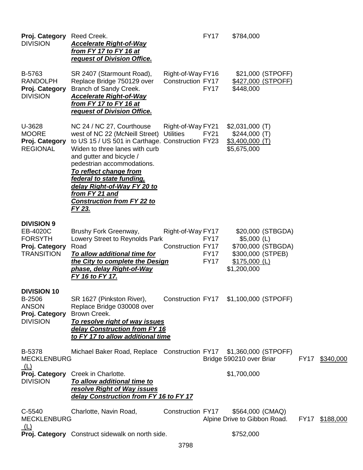| Proj. Category Reed Creek.<br><b>DIVISION</b>                                          | <b>Accelerate Right-of-Way</b><br>from FY 17 to FY 16 at<br>request of Division Office.                                                                                                                                                                                                                                                                                   |                                               | <b>FY17</b>                               | \$784,000                                                           |                                         |      |                |
|----------------------------------------------------------------------------------------|---------------------------------------------------------------------------------------------------------------------------------------------------------------------------------------------------------------------------------------------------------------------------------------------------------------------------------------------------------------------------|-----------------------------------------------|-------------------------------------------|---------------------------------------------------------------------|-----------------------------------------|------|----------------|
| B-5763<br><b>RANDOLPH</b><br>Proj. Category<br><b>DIVISION</b>                         | SR 2407 (Starmount Road),<br>Replace Bridge 750129 over<br>Branch of Sandy Creek.<br><b>Accelerate Right-of-Way</b><br>from FY 17 to FY 16 at<br>request of Division Office.                                                                                                                                                                                              | Right-of-Way FY16<br><b>Construction FY17</b> | <b>FY17</b>                               | \$448,000                                                           | \$21,000 (STPOFF)<br>\$427,000 (STPOFF) |      |                |
| U-3628<br><b>MOORE</b><br>Proj. Category<br><b>REGIONAL</b>                            | NC 24 / NC 27, Courthouse<br>west of NC 22 (McNeill Street)<br>to US 15 / US 501 in Carthage. Construction FY23<br>Widen to three lanes with curb<br>and gutter and bicycle /<br>pedestrian accommodations.<br>To reflect change from<br>federal to state funding,<br>delay Right-of-Way FY 20 to<br>from FY 21 and<br><b>Construction from FY 22 to</b><br><u>FY 23.</u> | Right-of-Way FY21<br><b>Utilities</b>         | <b>FY21</b>                               | $$2,031,000$ (T)<br>\$244,000(T)<br>$$3,400,000$ (T)<br>\$5,675,000 |                                         |      |                |
| <b>DIVISION 9</b><br>EB-4020C<br><b>FORSYTH</b><br>Proj. Category<br><b>TRANSITION</b> | Brushy Fork Greenway,<br>Lowery Street to Reynolds Park<br>Road<br>To allow additional time for<br>the City to complete the Design<br>phase, delay Right-of-Way<br>FY 16 to FY 17.                                                                                                                                                                                        | Right-of-Way FY17<br><b>Construction FY17</b> | <b>FY17</b><br><b>FY17</b><br><b>FY17</b> | $$5,000$ (L)<br>\$300,000 (STPEB)<br>$$175,000$ (L)<br>\$1,200,000  | \$20,000 (STBGDA)<br>\$700,000 (STBGDA) |      |                |
| <b>DIVISION 10</b><br>B-2506<br><b>ANSON</b><br>Proj. Category<br><b>DIVISION</b>      | SR 1627 (Pinkston River),<br>Replace Bridge 030008 over<br>Brown Creek.<br>To resolve right of way issues<br>delay Construction from FY 16<br>to FY 17 to allow additional time                                                                                                                                                                                           | Construction FY17 \$1,100,000 (STPOFF)        |                                           |                                                                     |                                         |      |                |
| B-5378<br><b>MECKLENBURG</b>                                                           | Michael Baker Road, Replace Construction FY17 \$1,360,000 (STPOFF)                                                                                                                                                                                                                                                                                                        |                                               |                                           | Bridge 590210 over Briar                                            |                                         | FY17 | \$340,000      |
| (L)<br><b>DIVISION</b>                                                                 | Proj. Category Creek in Charlotte.<br>To allow additional time to<br>resolve Right of Way issues<br>delay Construction from FY 16 to FY 17                                                                                                                                                                                                                                |                                               |                                           | \$1,700,000                                                         |                                         |      |                |
| C-5540<br><b>MECKLENBURG</b>                                                           | Charlotte, Navin Road,                                                                                                                                                                                                                                                                                                                                                    | Construction FY17                             |                                           | \$564,000 (CMAQ)<br>Alpine Drive to Gibbon Road.                    |                                         |      | FY17 \$188,000 |
| <u>(L)</u>                                                                             | Proj. Category Construct sidewalk on north side.                                                                                                                                                                                                                                                                                                                          |                                               |                                           | \$752,000                                                           |                                         |      |                |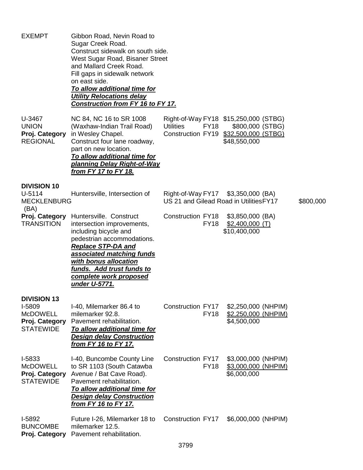| <b>EXEMPT</b>                                                                         | Gibbon Road, Nevin Road to<br>Sugar Creek Road.<br>Construct sidewalk on south side.<br>West Sugar Road, Bisaner Street<br>and Mallard Creek Road.<br>Fill gaps in sidewalk network<br>on east side.<br>To allow additional time for<br><b>Utility Relocations delay</b><br>Construction from FY 16 to FY 17. |                                                                               |                                                                                                                    |           |
|---------------------------------------------------------------------------------------|---------------------------------------------------------------------------------------------------------------------------------------------------------------------------------------------------------------------------------------------------------------------------------------------------------------|-------------------------------------------------------------------------------|--------------------------------------------------------------------------------------------------------------------|-----------|
| U-3467<br><b>UNION</b><br>Proj. Category<br><b>REGIONAL</b>                           | NC 84, NC 16 to SR 1008<br>(Waxhaw-Indian Trail Road)<br>in Wesley Chapel.<br>Construct four lane roadway,<br>part on new location.<br>To allow additional time for<br><u>planning Delay Right-of-Way</u><br>from FY 17 to FY 18.                                                                             | <b>Utilities</b><br><b>FY18</b>                                               | Right-of-Way FY18 \$15,250,000 (STBG)<br>\$800,000 (STBG)<br>Construction FY19 \$32,500,000 (STBG)<br>\$48,550,000 |           |
| <b>DIVISION 10</b><br>$U-5114$<br><b>MECKLENBURG</b>                                  | Huntersville, Intersection of                                                                                                                                                                                                                                                                                 | Right-of-Way FY17 \$3,350,000 (BA)<br>US 21 and Gilead Road in Utilities FY17 |                                                                                                                    | \$800,000 |
| (BA)<br>Proj. Category<br><b>TRANSITION</b>                                           | Huntersville. Construct<br>intersection improvements,<br>including bicycle and<br>pedestrian accommodations.<br><b>Replace STP-DA and</b><br>associated matching funds<br>with bonus allocation<br>funds. Add trust funds to<br>complete work proposed<br>under U-5771.                                       | <b>Construction FY18</b><br><b>FY18</b>                                       | \$3,850,000 (BA)<br>$$2,400,000$ (T)<br>\$10,400,000                                                               |           |
| <b>DIVISION 13</b><br>I-5809<br><b>McDOWELL</b><br>Proj. Category<br><b>STATEWIDE</b> | I-40, Milemarker 86.4 to<br>milemarker 92.8.<br>Pavement rehabilitation.<br>To allow additional time for<br><b>Design delay Construction</b><br>from FY 16 to FY 17.                                                                                                                                          | Construction FY17<br><b>FY18</b>                                              | \$2,250,000 (NHPIM)<br>\$2,250,000 (NHPIM)<br>\$4,500,000                                                          |           |
| I-5833<br><b>McDOWELL</b><br>Proj. Category<br><b>STATEWIDE</b>                       | I-40, Buncombe County Line<br>to SR 1103 (South Catawba<br>Avenue / Bat Cave Road).<br>Pavement rehabilitation.<br>To allow additional time for<br><b>Design delay Construction</b><br><u>from FY 16 to FY 17.</u>                                                                                            | Construction FY17<br><b>FY18</b>                                              | \$3,000,000 (NHPIM)<br>\$3,000,000 (NHPIM)<br>\$6,000,000                                                          |           |
| I-5892<br><b>BUNCOMBE</b><br>Proj. Category                                           | Future I-26, Milemarker 18 to<br>milemarker 12.5.<br>Pavement rehabilitation.                                                                                                                                                                                                                                 | Construction FY17                                                             | \$6,000,000 (NHPIM)                                                                                                |           |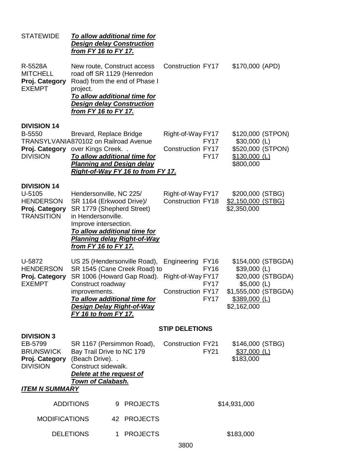| <b>STATEWIDE</b>                                                                                           | <b>Design delay Construction</b><br><u>from FY 16 to FY 17.</u>                                                                                                | To allow additional time for                                                                 |                                                                                              |                                    |                                                                                        |                                         |
|------------------------------------------------------------------------------------------------------------|----------------------------------------------------------------------------------------------------------------------------------------------------------------|----------------------------------------------------------------------------------------------|----------------------------------------------------------------------------------------------|------------------------------------|----------------------------------------------------------------------------------------|-----------------------------------------|
| R-5528A<br><b>MITCHELL</b><br>Proj. Category<br><b>EXEMPT</b>                                              | New route, Construct access<br>road off SR 1129 (Henredon<br>project.<br><b>Design delay Construction</b><br><u>from FY 16 to FY 17.</u>                       | Road) from the end of Phase I<br>To allow additional time for                                | <b>Construction FY17</b>                                                                     |                                    | \$170,000 (APD)                                                                        |                                         |
| <b>DIVISION 14</b><br>B-5550<br>TRANSYLVANIA870102 on Railroad Avenue<br>Proj. Category<br><b>DIVISION</b> | Brevard, Replace Bridge<br>over Kings Creek<br><b>Planning and Design delay</b>                                                                                | To allow additional time for                                                                 | Right-of-Way FY17<br><b>Construction FY17</b>                                                | <b>FY17</b><br><b>FY17</b>         | \$120,000 (STPON)<br>$$30,000$ (L)<br>\$520,000 (STPON)<br>$$130,000$ (L)<br>\$800,000 |                                         |
|                                                                                                            |                                                                                                                                                                | Right-of-Way FY 16 to from FY 17.                                                            |                                                                                              |                                    |                                                                                        |                                         |
| <b>DIVISION 14</b><br>U-5105<br><b>HENDERSON</b><br>Proj. Category<br><b>TRANSITION</b>                    | Hendersonville, NC 225/<br>SR 1164 (Erkwood Drive)/<br>SR 1779 (Shepherd Street)<br>in Hendersonville.<br>Improve intersection.<br><u>from FY 16 to FY 17.</u> | To allow additional time for<br><b>Planning delay Right-of-Way</b>                           | Right-of-Way FY17<br><b>Construction FY18</b>                                                |                                    | \$200,000 (STBG)<br>\$2,150,000 (STBG)<br>\$2,350,000                                  |                                         |
| U-5872<br><b>HENDERSON</b><br>Proj. Category<br><b>EXEMPT</b>                                              | Construct roadway<br>improvements.<br><b>Design Delay Right-of-Way</b><br>FY 16 to from FY 17.                                                                 | US 25 (Hendersonville Road),<br>SR 1545 (Cane Creek Road) to<br>To allow additional time for | Engineering FY16<br>SR 1006 (Howard Gap Road). Right-of-Way FY17<br><b>Construction FY17</b> | <b>FY16</b><br><b>FY17</b><br>FY17 | $$39,000$ (L)<br>$$5,000$ (L)<br>\$1,555,000 (STBGDA)<br>\$389,000 (L)<br>\$2,162,000  | \$154,000 (STBGDA)<br>\$20,000 (STBGDA) |
|                                                                                                            |                                                                                                                                                                |                                                                                              | <b>STIP DELETIONS</b>                                                                        |                                    |                                                                                        |                                         |
| <b>DIVISION 3</b><br>EB-5799<br><b>BRUNSWICK</b><br>Proj. Category<br><b>DIVISION</b>                      | SR 1167 (Persimmon Road),<br>Bay Trail Drive to NC 179<br>(Beach Drive). .<br>Construct sidewalk.<br>Delete at the request of                                  |                                                                                              | Construction FY21                                                                            | <b>FY21</b>                        | \$146,000 (STBG)<br>$$37,000$ (L)<br>\$183,000                                         |                                         |
| <b>ITEM N SUMMARY</b>                                                                                      | <b>Town of Calabash.</b>                                                                                                                                       |                                                                                              |                                                                                              |                                    |                                                                                        |                                         |
|                                                                                                            | <b>ADDITIONS</b>                                                                                                                                               | 9 PROJECTS                                                                                   |                                                                                              |                                    | \$14,931,000                                                                           |                                         |
| <b>MODIFICATIONS</b>                                                                                       |                                                                                                                                                                | 42 PROJECTS                                                                                  |                                                                                              |                                    |                                                                                        |                                         |
|                                                                                                            | <b>DELETIONS</b>                                                                                                                                               | 1 PROJECTS                                                                                   | 3800                                                                                         |                                    | \$183,000                                                                              |                                         |
|                                                                                                            |                                                                                                                                                                |                                                                                              |                                                                                              |                                    |                                                                                        |                                         |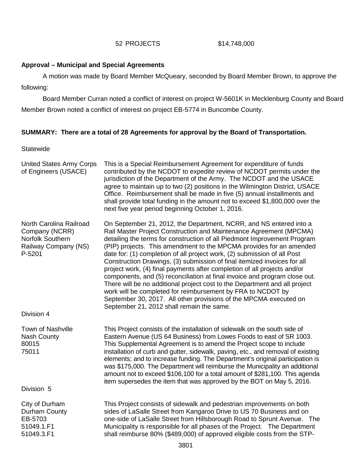#### 52 PROJECTS \$14,748,000

#### **Approval – Municipal and Special Agreements**

A motion was made by Board Member McQueary, seconded by Board Member Brown, to approve the following:

Board Member Curran noted a conflict of interest on project W-5601K in Mecklenburg County and Board Member Brown noted a conflict of interest on project EB-5774 in Buncombe County.

## **SUMMARY: There are a total of 28 Agreements for approval by the Board of Transportation.**

#### **Statewide**

| <b>United States Army Corps</b><br>of Engineers (USACE)                                         | This is a Special Reimbursement Agreement for expenditure of funds<br>contributed by the NCDOT to expedite review of NCDOT permits under the<br>jurisdiction of the Department of the Army. The NCDOT and the USACE<br>agree to maintain up to two (2) positions in the Wilmington District, USACE<br>Office. Reimbursement shall be made in five (5) annual installments and<br>shall provide total funding in the amount not to exceed \$1,800,000 over the<br>next five year period beginning October 1, 2016.                                                                                                                                                                                                                                                                                                                                                            |
|-------------------------------------------------------------------------------------------------|------------------------------------------------------------------------------------------------------------------------------------------------------------------------------------------------------------------------------------------------------------------------------------------------------------------------------------------------------------------------------------------------------------------------------------------------------------------------------------------------------------------------------------------------------------------------------------------------------------------------------------------------------------------------------------------------------------------------------------------------------------------------------------------------------------------------------------------------------------------------------|
| North Carolina Railroad<br>Company (NCRR)<br>Norfolk Southern<br>Railway Company (NS)<br>P-5201 | On September 21, 2012, the Department, NCRR, and NS entered into a<br>Rail Master Project Construction and Maintenance Agreement (MPCMA)<br>detailing the terms for construction of all Piedmont Improvement Program<br>(PIP) projects. This amendment to the MPCMA provides for an amended<br>date for: (1) completion of all project work, (2) submission of all Post<br>Construction Drawings, (3) submission of final itemized invoices for all<br>project work, (4) final payments after completion of all projects and/or<br>components, and (5) reconciliation at final invoice and program close out.<br>There will be no additional project cost to the Department and all project<br>work will be completed for reimbursement by FRA to NCDOT by<br>September 30, 2017. All other provisions of the MPCMA executed on<br>September 21, 2012 shall remain the same. |
| Division 4                                                                                      |                                                                                                                                                                                                                                                                                                                                                                                                                                                                                                                                                                                                                                                                                                                                                                                                                                                                              |
| <b>Town of Nashville</b><br><b>Nash County</b><br>80015<br>75011                                | This Project consists of the installation of sidewalk on the south side of<br>Eastern Avenue (US 64 Business) from Lowes Foods to east of SR 1003.<br>This Supplemental Agreement is to amend the Project scope to include<br>installation of curb and gutter, sidewalk, paving, etc., and removal of existing<br>elements; and to increase funding. The Department's original participation is<br>was \$175,000. The Department will reimburse the Municipality an additional<br>amount not to exceed \$106,100 for a total amount of \$281,100. This agenda<br>item supersedes the item that was approved by the BOT on May 5, 2016.                                                                                                                                                                                                                                       |
| Division 5                                                                                      |                                                                                                                                                                                                                                                                                                                                                                                                                                                                                                                                                                                                                                                                                                                                                                                                                                                                              |
| City of Durham<br>Durham County<br>EB-5703<br>51049.1.F1<br>51049.3.F1                          | This Project consists of sidewalk and pedestrian improvements on both<br>sides of LaSalle Street from Kangaroo Drive to US 70 Business and on<br>one-side of LaSalle Street from Hillsborough Road to Sprunt Avenue. The<br>Municipality is responsible for all phases of the Project. The Department<br>shall reimburse 80% (\$489,000) of approved eligible costs from the STP-                                                                                                                                                                                                                                                                                                                                                                                                                                                                                            |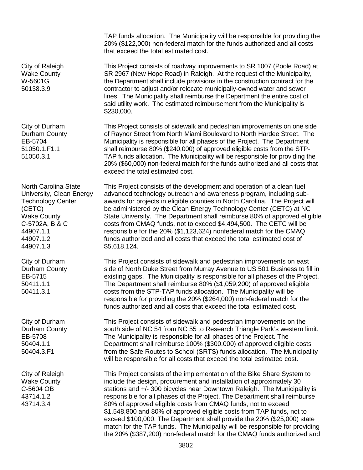TAP funds allocation. The Municipality will be responsible for providing the 20% (\$122,000) non-federal match for the funds authorized and all costs that exceed the total estimated cost.

This Project consists of roadway improvements to SR 1007 (Poole Road) at SR 2967 (New Hope Road) in Raleigh. At the request of the Municipality, the Department shall include provisions in the construction contract for the contractor to adjust and/or relocate municipally-owned water and sewer lines. The Municipality shall reimburse the Department the entire cost of said utility work. The estimated reimbursement from the Municipality is \$230,000.

This Project consists of sidewalk and pedestrian improvements on one side of Raynor Street from North Miami Boulevard to North Hardee Street. The Municipality is responsible for all phases of the Project. The Department shall reimburse 80% (\$240,000) of approved eligible costs from the STP-TAP funds allocation. The Municipality will be responsible for providing the 20% (\$60,000) non-federal match for the funds authorized and all costs that exceed the total estimated cost.

This Project consists of the development and operation of a clean fuel advanced technology outreach and awareness program, including subawards for projects in eligible counties in North Carolina. The Project will be administered by the Clean Energy Technology Center (CETC) at NC State University. The Department shall reimburse 80% of approved eligible costs from CMAQ funds, not to exceed \$4,494,500. The CETC will be responsible for the 20% (\$1,123,624) nonfederal match for the CMAQ funds authorized and all costs that exceed the total estimated cost of \$5,618,124.

This Project consists of sidewalk and pedestrian improvements on east side of North Duke Street from Murray Avenue to US 501 Business to fill in existing gaps. The Municipality is responsible for all phases of the Project. The Department shall reimburse 80% (\$1,059,200) of approved eligible costs from the STP-TAP funds allocation. The Municipality will be responsible for providing the 20% (\$264,000) non-federal match for the funds authorized and all costs that exceed the total estimated cost.

This Project consists of sidewalk and pedestrian improvements on the south side of NC 54 from NC 55 to Research Triangle Park's western limit. The Municipality is responsible for all phases of the Project. The Department shall reimburse 100% (\$300,000) of approved eligible costs from the Safe Routes to School (SRTS) funds allocation. The Municipality will be responsible for all costs that exceed the total estimated cost.

This Project consists of the implementation of the Bike Share System to include the design, procurement and installation of approximately 30 stations and +/- 300 bicycles near Downtown Raleigh. The Municipality is responsible for all phases of the Project. The Department shall reimburse 80% of approved eligible costs from CMAQ funds, not to exceed \$1,548,800 and 80% of approved eligible costs from TAP funds, not to exceed \$100,000. The Department shall provide the 20% (\$25,000) state match for the TAP funds. The Municipality will be responsible for providing the 20% (\$387,200) non-federal match for the CMAQ funds authorized and

City of Raleigh Wake County W-5601G 50138.3.9

City of Durham Durham County EB-5704 51050.1.F1.1 51050.3.1

North Carolina State University, Clean Energy Technology Center (CETC) Wake County C-5702A, B & C 44907.1.1 44907.1.2 44907.1.3

City of Durham Durham County EB-5715 50411.1.1 50411.3.1

City of Durham Durham County EB-5708 50404.1.1 50404.3.F1

City of Raleigh Wake County C-5604 OB 43714.1.2 43714.3.4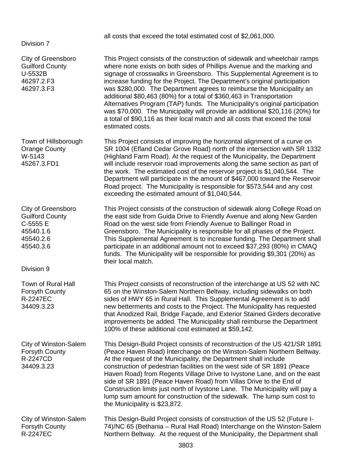| Division 7                                                                                                    | all costs that exceed the total estimated cost of \$2,061,000.                                                                                                                                                                                                                                                                                                                                                                                                                                                                                                                                                                                                                                                                  |
|---------------------------------------------------------------------------------------------------------------|---------------------------------------------------------------------------------------------------------------------------------------------------------------------------------------------------------------------------------------------------------------------------------------------------------------------------------------------------------------------------------------------------------------------------------------------------------------------------------------------------------------------------------------------------------------------------------------------------------------------------------------------------------------------------------------------------------------------------------|
| City of Greensboro<br><b>Guilford County</b><br>U-5532B<br>46297.2.F3<br>46297.3.F3                           | This Project consists of the construction of sidewalk and wheelchair ramps<br>where none exists on both sides of Phillips Avenue and the marking and<br>signage of crosswalks in Greensboro. This Supplemental Agreement is to<br>increase funding for the Project. The Department's original participation<br>was \$280,000. The Department agrees to reimburse the Municipality an<br>additional \$80,463 (80%) for a total of \$360,463 in Transportation<br>Alternatives Program (TAP) funds. The Municipality's original participation<br>was \$70,000. The Municipality will provide an additional \$20,116 (20%) for<br>a total of \$90,116 as their local match and all costs that exceed the total<br>estimated costs. |
| Town of Hillsborough<br><b>Orange County</b><br>W-5143<br>45267.3.FD1                                         | This Project consists of improving the horizontal alignment of a curve on<br>SR 1004 (Efland Cedar Grove Road) north of the intersection with SR 1332<br>(Highland Farm Road). At the request of the Municipality, the Department<br>will include reservoir road improvements along the same section as part of<br>the work. The estimated cost of the reservoir project is \$1,040,544. The<br>Department will participate in the amount of \$467,000 toward the Reservoir<br>Road project. The Municipality is responsible for \$573,544 and any cost<br>exceeding the estimated amount of \$1,040,544.                                                                                                                       |
| City of Greensboro<br><b>Guilford County</b><br>C-5555 E<br>45540.1.6<br>45540.2.6<br>45540.3.6<br>Division 9 | This Project consists of the construction of sidewalk along College Road on<br>the east side from Guida Drive to Friendly Avenue and along New Garden<br>Road on the west side from Friendly Avenue to Ballinger Road in<br>Greensboro. The Municipality is responsible for all phases of the Project.<br>This Supplemental Agreement is to increase funding. The Department shall<br>participate in an additional amount not to exceed \$37,293 (80%) in CMAQ<br>funds. The Municipality will be responsible for providing \$9,301 (20%) as<br>their local match.                                                                                                                                                              |
| Town of Rural Hall<br><b>Forsyth County</b><br>R-2247EC<br>34409.3.23                                         | This Project consists of reconstruction of the interchange at US 52 with NC<br>65 on the Winston-Salem Northern Beltway, including sidewalks on both<br>sides of HWY 65 in Rural Hall. This Supplemental Agreement is to add<br>new betterments and costs to the Project. The Municipality has requested<br>that Anodized Rail, Bridge Façade, and Exterior Stained Girders decorative<br>improvements be added. The Municipality shall reimburse the Department<br>100% of these additional cost estimated at \$59,142.                                                                                                                                                                                                        |
| City of Winston-Salem<br>Forsyth County<br>R-2247CD<br>34409.3.23                                             | This Design-Build Project consists of reconstruction of the US 421/SR 1891<br>(Peace Haven Road) Interchange on the Winston-Salem Northern Beltway.<br>At the request of the Municipality, the Department shall include<br>construction of pedestrian facilities on the west side of SR 1891 (Peace<br>Haven Road) from Regents Village Drive to Ivystone Lane, and on the east<br>side of SR 1891 (Peace Haven Road) from Villas Drive to the End of<br>Construction limits just north of Ivystone Lane. The Municipality will pay a<br>lump sum amount for construction of the sidewalk. The lump sum cost to<br>the Municipality is \$23,872.                                                                                |
| City of Winston-Salem<br><b>Forsyth County</b><br><b>R-2247EC</b>                                             | This Design-Build Project consists of construction of the US 52 (Future I-<br>74)/NC 65 (Bethania - Rural Hall Road) Interchange on the Winston-Salem<br>Northern Beltway. At the request of the Municipality, the Department shall                                                                                                                                                                                                                                                                                                                                                                                                                                                                                             |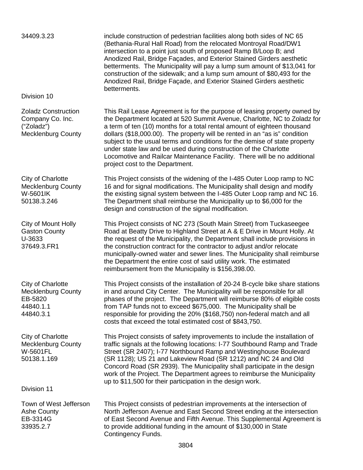| 34409.3.23<br>Division 10                                                                 | include construction of pedestrian facilities along both sides of NC 65<br>(Bethania-Rural Hall Road) from the relocated Montroyal Road/DW1<br>intersection to a point just south of proposed Ramp B/Loop B; and<br>Anodized Rail, Bridge Façades, and Exterior Stained Girders aesthetic<br>betterments. The Municipality will pay a lump sum amount of \$13,041 for<br>construction of the sidewalk; and a lump sum amount of \$80,493 for the<br>Anodized Rail, Bridge Façade, and Exterior Stained Girders aesthetic<br>betterments.                                         |
|-------------------------------------------------------------------------------------------|----------------------------------------------------------------------------------------------------------------------------------------------------------------------------------------------------------------------------------------------------------------------------------------------------------------------------------------------------------------------------------------------------------------------------------------------------------------------------------------------------------------------------------------------------------------------------------|
| <b>Zoladz Construction</b><br>Company Co. Inc.<br>("Zoladz")<br><b>Mecklenburg County</b> | This Rail Lease Agreement is for the purpose of leasing property owned by<br>the Department located at 520 Summit Avenue, Charlotte, NC to Zoladz for<br>a term of ten (10) months for a total rental amount of eighteen thousand<br>dollars (\$18,000.00). The property will be rented in an "as is" condition<br>subject to the usual terms and conditions for the demise of state property<br>under state law and be used during construction of the Charlotte<br>Locomotive and Railcar Maintenance Facility. There will be no additional<br>project cost to the Department. |
| City of Charlotte<br><b>Mecklenburg County</b><br>W-5601IK<br>50138.3.246                 | This Project consists of the widening of the I-485 Outer Loop ramp to NC<br>16 and for signal modifications. The Municipality shall design and modify<br>the existing signal system between the I-485 Outer Loop ramp and NC 16.<br>The Department shall reimburse the Municipality up to \$6,000 for the<br>design and construction of the signal modification.                                                                                                                                                                                                                 |
| City of Mount Holly<br><b>Gaston County</b><br>U-3633<br>37649.3.FR1                      | This Project consists of NC 273 (South Main Street) from Tuckaseegee<br>Road at Beatty Drive to Highland Street at A & E Drive in Mount Holly. At<br>the request of the Municipality, the Department shall include provisions in<br>the construction contract for the contractor to adjust and/or relocate<br>municipally-owned water and sewer lines. The Municipality shall reimburse<br>the Department the entire cost of said utility work. The estimated<br>reimbursement from the Municipality is \$156,398.00.                                                            |
| City of Charlotte<br><b>Mecklenburg County</b><br>EB-5820<br>44840.1.1<br>44840.3.1       | This Project consists of the installation of 20-24 B-cycle bike share stations<br>in and around City Center. The Municipality will be responsible for all<br>phases of the project. The Department will reimburse 80% of eligible costs<br>from TAP funds not to exceed \$675,000. The Municipality shall be<br>responsible for providing the 20% (\$168,750) non-federal match and all<br>costs that exceed the total estimated cost of \$843,750.                                                                                                                              |
| City of Charlotte<br><b>Mecklenburg County</b><br><b>W-5601FL</b><br>50138.1.169          | This Project consists of safety improvements to include the installation of<br>traffic signals at the following locations: I-77 Southbound Ramp and Trade<br>Street (SR 2407); I-77 Northbound Ramp and Westinghouse Boulevard<br>(SR 1128); US 21 and Lakeview Road (SR 1212) and NC 24 and Old<br>Concord Road (SR 2939). The Municipality shall participate in the design<br>work of the Project. The Department agrees to reimburse the Municipality<br>up to \$11,500 for their participation in the design work.                                                           |
| Division 11                                                                               |                                                                                                                                                                                                                                                                                                                                                                                                                                                                                                                                                                                  |
| Town of West Jefferson<br><b>Ashe County</b><br>EB-3314G<br>33935.2.7                     | This Project consists of pedestrian improvements at the intersection of<br>North Jefferson Avenue and East Second Street ending at the intersection<br>of East Second Avenue and Fifth Avenue. This Supplemental Agreement is<br>to provide additional funding in the amount of \$130,000 in State<br>Contingency Funds.                                                                                                                                                                                                                                                         |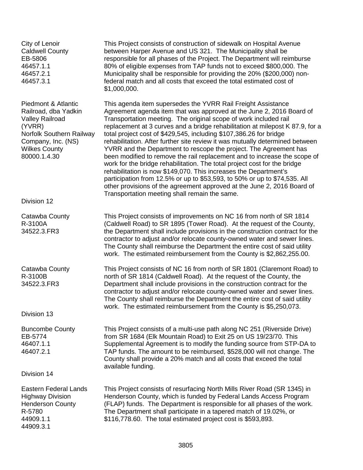City of Lenoir Caldwell County EB-5806 46457.1.1 46457.2.1 46457.3.1

Piedmont & Atlantic Railroad, dba Yadkin Valley Railroad (YVRR) Norfolk Southern Railway Company, Inc. (NS) Wilkes County 80000.1.4.30

Division 12

Catawba County R-3100A 34522.3.FR3

Catawba County R-3100B 34522.3.FR3

Division 13

Buncombe County EB-5774 46407.1.1 46407.2.1

Division 14

Eastern Federal Lands Highway Division Henderson County R-5780 44909.1.1 44909.3.1

This Project consists of construction of sidewalk on Hospital Avenue between Harper Avenue and US 321. The Municipality shall be responsible for all phases of the Project. The Department will reimburse 80% of eligible expenses from TAP funds not to exceed \$800,000. The Municipality shall be responsible for providing the 20% (\$200,000) nonfederal match and all costs that exceed the total estimated cost of \$1,000,000.

This agenda item supersedes the YVRR Rail Freight Assistance Agreement agenda item that was approved at the June 2, 2016 Board of Transportation meeting. The original scope of work included rail replacement at 3 curves and a bridge rehabilitation at milepost K 87.9, for a total project cost of \$429,545, including \$107,386.26 for bridge rehabilitation. After further site review it was mutually determined between YVRR and the Department to rescope the project. The Agreement has been modified to remove the rail replacement and to increase the scope of work for the bridge rehabilitation. The total project cost for the bridge rehabilitation is now \$149,070. This increases the Department's participation from 12.5% or up to \$53,593, to 50% or up to \$74,535. All other provisions of the agreement approved at the June 2, 2016 Board of Transportation meeting shall remain the same.

This Project consists of improvements on NC 16 from north of SR 1814 (Caldwell Road) to SR 1895 (Tower Road). At the request of the County, the Department shall include provisions in the construction contract for the contractor to adjust and/or relocate county-owned water and sewer lines. The County shall reimburse the Department the entire cost of said utility work. The estimated reimbursement from the County is \$2,862,255.00.

This Project consists of NC 16 from north of SR 1801 (Claremont Road) to north of SR 1814 (Caldwell Road). At the request of the County, the Department shall include provisions in the construction contract for the contractor to adjust and/or relocate county-owned water and sewer lines. The County shall reimburse the Department the entire cost of said utility work. The estimated reimbursement from the County is \$5,250,073.

This Project consists of a multi-use path along NC 251 (Riverside Drive) from SR 1684 (Elk Mountain Road) to Exit 25 on US 19/23/70. This Supplemental Agreement is to modify the funding source from STP-DA to TAP funds. The amount to be reimbursed, \$528,000 will not change. The County shall provide a 20% match and all costs that exceed the total available funding.

This Project consists of resurfacing North Mills River Road (SR 1345) in Henderson County, which is funded by Federal Lands Access Program (FLAP) funds. The Department is responsible for all phases of the work. The Department shall participate in a tapered match of 19.02%, or \$116,778.60. The total estimated project cost is \$593,893.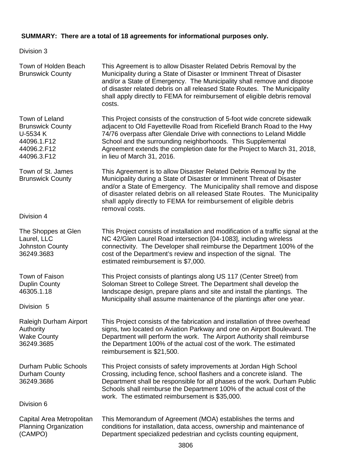# **SUMMARY: There are a total of 18 agreements for informational purposes only.**

# Division 3

| Town of Holden Beach<br><b>Brunswick County</b>                                                    | This Agreement is to allow Disaster Related Debris Removal by the<br>Municipality during a State of Disaster or Imminent Threat of Disaster<br>and/or a State of Emergency. The Municipality shall remove and dispose<br>of disaster related debris on all released State Routes. The Municipality<br>shall apply directly to FEMA for reimbursement of eligible debris removal<br>costs.               |
|----------------------------------------------------------------------------------------------------|---------------------------------------------------------------------------------------------------------------------------------------------------------------------------------------------------------------------------------------------------------------------------------------------------------------------------------------------------------------------------------------------------------|
| Town of Leland<br><b>Brunswick County</b><br>U-5534 K<br>44096.1.F12<br>44096.2.F12<br>44096.3.F12 | This Project consists of the construction of 5-foot wide concrete sidewalk<br>adjacent to Old Fayetteville Road from Ricefield Branch Road to the Hwy<br>74/76 overpass after Glendale Drive with connections to Leland Middle<br>School and the surrounding neighborhoods. This Supplemental<br>Agreement extends the completion date for the Project to March 31, 2018,<br>in lieu of March 31, 2016. |
| Town of St. James<br><b>Brunswick County</b>                                                       | This Agreement is to allow Disaster Related Debris Removal by the<br>Municipality during a State of Disaster or Imminent Threat of Disaster<br>and/or a State of Emergency. The Municipality shall remove and dispose<br>of disaster related debris on all released State Routes. The Municipality<br>shall apply directly to FEMA for reimbursement of eligible debris<br>removal costs.               |
| Division 4                                                                                         |                                                                                                                                                                                                                                                                                                                                                                                                         |
| The Shoppes at Glen<br>Laurel, LLC<br><b>Johnston County</b><br>36249.3683                         | This Project consists of installation and modification of a traffic signal at the<br>NC 42/Glen Laurel Road intersection [04-1083], including wireless<br>connectivity. The Developer shall reimburse the Department 100% of the<br>cost of the Department's review and inspection of the signal. The<br>estimated reimbursement is \$7,000.                                                            |
| Town of Faison<br><b>Duplin County</b><br>46305.1.18<br>Division 5                                 | This Project consists of plantings along US 117 (Center Street) from<br>Soloman Street to College Street. The Department shall develop the<br>landscape design, prepare plans and site and install the plantings. The<br>Municipality shall assume maintenance of the plantings after one year.                                                                                                         |
| Raleigh Durham Airport<br>Authority<br><b>Wake County</b><br>36249.3685                            | This Project consists of the fabrication and installation of three overhead<br>signs, two located on Aviation Parkway and one on Airport Boulevard. The<br>Department will perform the work. The Airport Authority shall reimburse<br>the Department 100% of the actual cost of the work. The estimated<br>reimbursement is \$21,500.                                                                   |
| Durham Public Schools<br>Durham County<br>36249.3686                                               | This Project consists of safety improvements at Jordan High School<br>Crossing, including fence, school flashers and a concrete island. The<br>Department shall be responsible for all phases of the work. Durham Public<br>Schools shall reimburse the Department 100% of the actual cost of the<br>work. The estimated reimbursement is \$35,000.                                                     |
| Division 6                                                                                         |                                                                                                                                                                                                                                                                                                                                                                                                         |
| Capital Area Metropolitan<br>Planning Organization<br>(CAMPO)                                      | This Memorandum of Agreement (MOA) establishes the terms and<br>conditions for installation, data access, ownership and maintenance of<br>Department specialized pedestrian and cyclists counting equipment,                                                                                                                                                                                            |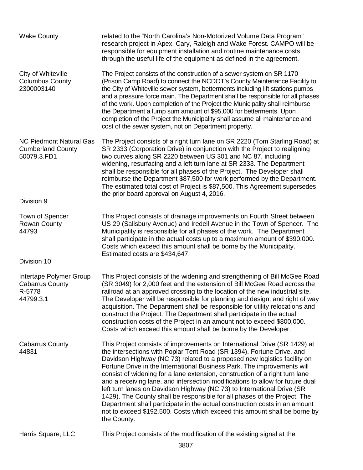| <b>Wake County</b>                                                        | related to the "North Carolina's Non-Motorized Volume Data Program"<br>research project in Apex, Cary, Raleigh and Wake Forest. CAMPO will be<br>responsible for equipment installation and routine maintenance costs<br>through the useful life of the equipment as defined in the agreement.                                                                                                                                                                                                                                                                                                                                                                                                                                                                                                             |
|---------------------------------------------------------------------------|------------------------------------------------------------------------------------------------------------------------------------------------------------------------------------------------------------------------------------------------------------------------------------------------------------------------------------------------------------------------------------------------------------------------------------------------------------------------------------------------------------------------------------------------------------------------------------------------------------------------------------------------------------------------------------------------------------------------------------------------------------------------------------------------------------|
| City of Whiteville<br><b>Columbus County</b><br>2300003140                | The Project consists of the construction of a sewer system on SR 1170<br>(Prison Camp Road) to connect the NCDOT's County Maintenance Facility to<br>the City of Whiteville sewer system, betterments including lift stations pumps<br>and a pressure force main. The Department shall be responsible for all phases<br>of the work. Upon completion of the Project the Municipality shall reimburse<br>the Department a lump sum amount of \$95,000 for betterments. Upon<br>completion of the Project the Municipality shall assume all maintenance and<br>cost of the sewer system, not on Department property.                                                                                                                                                                                         |
| <b>NC Piedmont Natural Gas</b><br><b>Cumberland County</b><br>50079.3.FD1 | The Project consists of a right turn lane on SR 2220 (Tom Starling Road) at<br>SR 2333 (Corporation Drive) in conjunction with the Project to realigning<br>two curves along SR 2220 between US 301 and NC 87, including<br>widening, resurfacing and a left turn lane at SR 2333. The Department<br>shall be responsible for all phases of the Project. The Developer shall<br>reimburse the Department \$87,500 for work performed by the Department.<br>The estimated total cost of Project is \$87,500. This Agreement supersedes<br>the prior board approval on August 4, 2016.                                                                                                                                                                                                                       |
| Division 9                                                                |                                                                                                                                                                                                                                                                                                                                                                                                                                                                                                                                                                                                                                                                                                                                                                                                            |
| Town of Spencer<br><b>Rowan County</b><br>44793                           | This Project consists of drainage improvements on Fourth Street between<br>US 29 (Salisbury Avenue) and Iredell Avenue in the Town of Spencer. The<br>Municipality is responsible for all phases of the work. The Department<br>shall participate in the actual costs up to a maximum amount of \$390,000.<br>Costs which exceed this amount shall be borne by the Municipality.<br>Estimated costs are \$434,647.                                                                                                                                                                                                                                                                                                                                                                                         |
| Division 10                                                               |                                                                                                                                                                                                                                                                                                                                                                                                                                                                                                                                                                                                                                                                                                                                                                                                            |
| Intertape Polymer Group<br><b>Cabarrus County</b><br>R-5778<br>44799.3.1  | This Project consists of the widening and strengthening of Bill McGee Road<br>(SR 3049) for 2,000 feet and the extension of Bill McGee Road across the<br>railroad at an approved crossing to the location of the new industrial site.<br>The Developer will be responsible for planning and design, and right of way<br>acquisition. The Department shall be responsible for utility relocations and<br>construct the Project. The Department shall participate in the actual<br>construction costs of the Project in an amount not to exceed \$800,000.<br>Costs which exceed this amount shall be borne by the Developer.                                                                                                                                                                               |
| <b>Cabarrus County</b><br>44831                                           | This Project consists of improvements on International Drive (SR 1429) at<br>the intersections with Poplar Tent Road (SR 1394), Fortune Drive, and<br>Davidson Highway (NC 73) related to a proposed new logistics facility on<br>Fortune Drive in the International Business Park. The improvements will<br>consist of widening for a lane extension, construction of a right turn lane<br>and a receiving lane, and intersection modifications to allow for future dual<br>left turn lanes on Davidson Highway (NC 73) to International Drive (SR<br>1429). The County shall be responsible for all phases of the Project. The<br>Department shall participate in the actual construction costs in an amount<br>not to exceed \$192,500. Costs which exceed this amount shall be borne by<br>the County. |
| Harris Square, LLC                                                        | This Project consists of the modification of the existing signal at the                                                                                                                                                                                                                                                                                                                                                                                                                                                                                                                                                                                                                                                                                                                                    |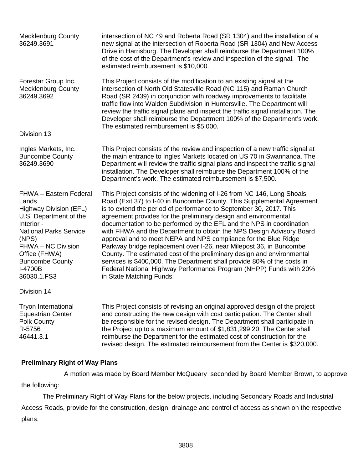| <b>Mecklenburg County</b><br>36249.3691                                                                                                                                                                                                       | intersection of NC 49 and Roberta Road (SR 1304) and the installation of a<br>new signal at the intersection of Roberta Road (SR 1304) and New Access<br>Drive in Harrisburg. The Developer shall reimburse the Department 100%<br>of the cost of the Department's review and inspection of the signal. The<br>estimated reimbursement is \$10,000.                                                                                                                                                                                                                                                                                                                                                                                                                                                                                        |
|-----------------------------------------------------------------------------------------------------------------------------------------------------------------------------------------------------------------------------------------------|--------------------------------------------------------------------------------------------------------------------------------------------------------------------------------------------------------------------------------------------------------------------------------------------------------------------------------------------------------------------------------------------------------------------------------------------------------------------------------------------------------------------------------------------------------------------------------------------------------------------------------------------------------------------------------------------------------------------------------------------------------------------------------------------------------------------------------------------|
| Forestar Group Inc.<br><b>Mecklenburg County</b><br>36249.3692<br>Division 13                                                                                                                                                                 | This Project consists of the modification to an existing signal at the<br>intersection of North Old Statesville Road (NC 115) and Ramah Church<br>Road (SR 2439) in conjunction with roadway improvements to facilitate<br>traffic flow into Walden Subdivision in Huntersville. The Department will<br>review the traffic signal plans and inspect the traffic signal installation. The<br>Developer shall reimburse the Department 100% of the Department's work.<br>The estimated reimbursement is \$5,000.                                                                                                                                                                                                                                                                                                                             |
| Ingles Markets, Inc.<br><b>Buncombe County</b><br>36249.3690                                                                                                                                                                                  | This Project consists of the review and inspection of a new traffic signal at<br>the main entrance to Ingles Markets located on US 70 in Swannanoa. The<br>Department will review the traffic signal plans and inspect the traffic signal<br>installation. The Developer shall reimburse the Department 100% of the<br>Department's work. The estimated reimbursement is \$7,500.                                                                                                                                                                                                                                                                                                                                                                                                                                                          |
| FHWA - Eastern Federal<br>Lands<br><b>Highway Division (EFL)</b><br>U.S. Department of the<br>Interior -<br><b>National Parks Service</b><br>(NPS)<br>FHWA - NC Division<br>Office (FHWA)<br><b>Buncombe County</b><br>I-4700B<br>36030.1.FS3 | This Project consists of the widening of I-26 from NC 146, Long Shoals<br>Road (Exit 37) to I-40 in Buncombe County. This Supplemental Agreement<br>is to extend the period of performance to September 30, 2017. This<br>agreement provides for the preliminary design and environmental<br>documentation to be performed by the EFL and the NPS in coordination<br>with FHWA and the Department to obtain the NPS Design Advisory Board<br>approval and to meet NEPA and NPS compliance for the Blue Ridge<br>Parkway bridge replacement over I-26, near Milepost 36, in Buncombe<br>County. The estimated cost of the preliminary design and environmental<br>services is \$400,000. The Department shall provide 80% of the costs in<br>Federal National Highway Performance Program (NHPP) Funds with 20%<br>in State Matching Funds. |
| Division 14                                                                                                                                                                                                                                   |                                                                                                                                                                                                                                                                                                                                                                                                                                                                                                                                                                                                                                                                                                                                                                                                                                            |
| <b>Tryon International</b><br><b>Equestrian Center</b><br>Polk County<br>R-5756<br>46441.3.1                                                                                                                                                  | This Project consists of revising an original approved design of the project<br>and constructing the new design with cost participation. The Center shall<br>be responsible for the revised design. The Department shall participate in<br>the Project up to a maximum amount of \$1,831,299.20. The Center shall<br>reimburse the Department for the estimated cost of construction for the<br>revised design. The estimated reimbursement from the Center is \$320,000.                                                                                                                                                                                                                                                                                                                                                                  |

# **Preliminary Right of Way Plans**

A motion was made by Board Member McQueary seconded by Board Member Brown, to approve

the following:

The Preliminary Right of Way Plans for the below projects, including Secondary Roads and Industrial Access Roads, provide for the construction, design, drainage and control of access as shown on the respective plans.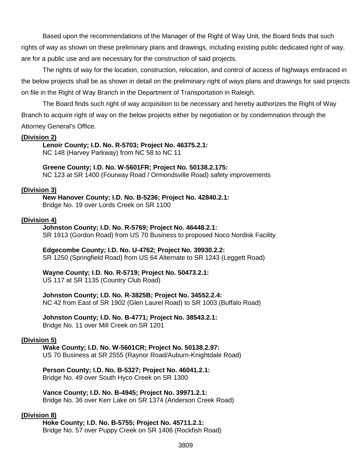Based upon the recommendations of the Manager of the Right of Way Unit, the Board finds that such rights of way as shown on these preliminary plans and drawings, including existing public dedicated right of way, are for a public use and are necessary for the construction of said projects.

The rights of way for the location, construction, relocation, and control of access of highways embraced in the below projects shall be as shown in detail on the preliminary right of ways plans and drawings for said projects on file in the Right of Way Branch in the Department of Transportation in Raleigh.

The Board finds such right of way acquisition to be necessary and hereby authorizes the Right of Way Branch to acquire right of way on the below projects either by negotiation or by condemnation through the

Attorney General's Office.

#### **(Division 2)**

**Lenoir County; I.D. No. R-5703; Project No. 46375.2.1:** NC 148 (Harvey Parkway) from NC 58 to NC 11

**Greene County; I.D. No. W-5601FR; Project No. 50138.2.175:** NC 123 at SR 1400 (Fourway Road / Ormondsville Road) safety improvements

#### **(Division 3)**

**New Hanover County; I.D. No. B-5236; Project No. 42840.2.1:** Bridge No. 19 over Lords Creek on SR 1100

#### **(Division 4)**

**Johnston County; I.D. No. R-5769; Project No. 46448.2.1:** SR 1913 (Gordon Road) from US 70 Business to proposed Noco Nordisk Facility

**Edgecombe County; I.D. No. U-4762; Project No. 39930.2.2:** SR 1250 (Springfield Road) from US 64 Alternate to SR 1243 (Leggett Road)

**Wayne County; I.D. No. R-5719; Project No. 50473.2.1:**

US 117 at SR 1135 (Country Club Road)

**Johnston County; I.D. No. R-3825B; Project No. 34552.2.4:**

NC 42 from East of SR 1902 (Glen Laurel Road) to SR 1003 (Buffalo Road)

#### **Johnston County; I.D. No. B-4771; Project No. 38543.2.1:**

Bridge No. 11 over Mill Creek on SR 1201

#### **(Division 5)**

**Wake County; I.D. No. W-5601CR; Project No. 50138.2.97:** US 70 Business at SR 2555 (Raynor Road/Auburn-Knightdale Road)

**Person County; I.D. No. B-5327; Project No. 46041.2.1:** Bridge No. 49 over South Hyco Creek on SR 1300

**Vance County; I.D. No. B-4945; Project No. 39971.2.1:** Bridge No. 36 over Kerr Lake on SR 1374 (Anderson Creek Road)

#### **(Division 8)**

**Hoke County; I.D. No. B-5755; Project No. 45711.2.1:** Bridge No. 57 over Puppy Creek on SR 1406 (Rockfish Road)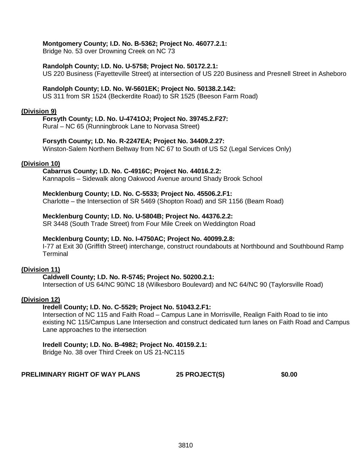#### **Montgomery County; I.D. No. B-5362; Project No. 46077.2.1:**

Bridge No. 53 over Drowning Creek on NC 73

#### **Randolph County; I.D. No. U-5758; Project No. 50172.2.1:**

US 220 Business (Fayetteville Street) at intersection of US 220 Business and Presnell Street in Asheboro

#### **Randolph County; I.D. No. W-5601EK; Project No. 50138.2.142:**

US 311 from SR 1524 (Beckerdite Road) to SR 1525 (Beeson Farm Road)

#### **(Division 9)**

#### **Forsyth County; I.D. No. U-4741OJ; Project No. 39745.2.F27:**

Rural – NC 65 (Runningbrook Lane to Norvasa Street)

#### **Forsyth County; I.D. No. R-2247EA; Project No. 34409.2.27:**

Winston-Salem Northern Beltway from NC 67 to South of US 52 (Legal Services Only)

#### **(Division 10)**

#### **Cabarrus County; I.D. No. C-4916C; Project No. 44016.2.2:**

Kannapolis – Sidewalk along Oakwood Avenue around Shady Brook School

#### **Mecklenburg County; I.D. No. C-5533; Project No. 45506.2.F1:**

Charlotte – the Intersection of SR 5469 (Shopton Road) and SR 1156 (Beam Road)

#### **Mecklenburg County; I.D. No. U-5804B; Project No. 44376.2.2:**

SR 3448 (South Trade Street) from Four Mile Creek on Weddington Road

#### **Mecklenburg County; I.D. No. I-4750AC; Project No. 40099.2.8:**

I-77 at Exit 30 (Griffith Street) interchange, construct roundabouts at Northbound and Southbound Ramp **Terminal** 

#### **(Division 11)**

#### **Caldwell County; I.D. No. R-5745; Project No. 50200.2.1:**

Intersection of US 64/NC 90/NC 18 (Wilkesboro Boulevard) and NC 64/NC 90 (Taylorsville Road)

#### **(Division 12)**

#### **Iredell County; I.D. No. C-5529; Project No. 51043.2.F1:**

Intersection of NC 115 and Faith Road – Campus Lane in Morrisville, Realign Faith Road to tie into existing NC 115/Campus Lane Intersection and construct dedicated turn lanes on Faith Road and Campus Lane approaches to the intersection

#### **Iredell County; I.D. No. B-4982; Project No. 40159.2.1:**

Bridge No. 38 over Third Creek on US 21-NC115

#### **PRELIMINARY RIGHT OF WAY PLANS 25 PROJECT(S) \$0.00**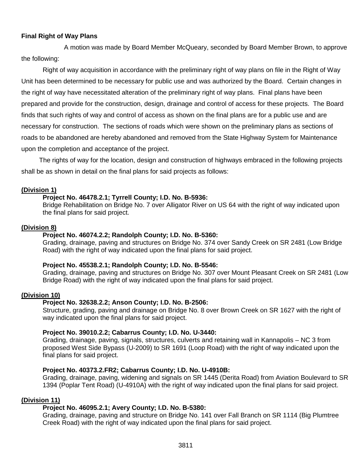# **Final Right of Way Plans**

A motion was made by Board Member McQueary, seconded by Board Member Brown, to approve the following:

Right of way acquisition in accordance with the preliminary right of way plans on file in the Right of Way Unit has been determined to be necessary for public use and was authorized by the Board. Certain changes in the right of way have necessitated alteration of the preliminary right of way plans. Final plans have been prepared and provide for the construction, design, drainage and control of access for these projects. The Board finds that such rights of way and control of access as shown on the final plans are for a public use and are necessary for construction. The sections of roads which were shown on the preliminary plans as sections of roads to be abandoned are hereby abandoned and removed from the State Highway System for Maintenance upon the completion and acceptance of the project.

The rights of way for the location, design and construction of highways embraced in the following projects shall be as shown in detail on the final plans for said projects as follows:

#### **(Division 1)**

#### **Project No. 46478.2.1; Tyrrell County; I.D. No. B-5936:**

Bridge Rehabilitation on Bridge No. 7 over Alligator River on US 64 with the right of way indicated upon the final plans for said project.

#### **(Division 8)**

#### **Project No. 46074.2.2; Randolph County; I.D. No. B-5360:**

Grading, drainage, paving and structures on Bridge No. 374 over Sandy Creek on SR 2481 (Low Bridge Road) with the right of way indicated upon the final plans for said project.

#### **Project No. 45538.2.1; Randolph County; I.D. No. B-5546:**

Grading, drainage, paving and structures on Bridge No. 307 over Mount Pleasant Creek on SR 2481 (Low Bridge Road) with the right of way indicated upon the final plans for said project.

#### **(Division 10)**

#### **Project No. 32638.2.2; Anson County; I.D. No. B-2506:**

Structure, grading, paving and drainage on Bridge No. 8 over Brown Creek on SR 1627 with the right of way indicated upon the final plans for said project.

#### **Project No. 39010.2.2; Cabarrus County; I.D. No. U-3440:**

Grading, drainage, paving, signals, structures, culverts and retaining wall in Kannapolis – NC 3 from proposed West Side Bypass (U-2009) to SR 1691 (Loop Road) with the right of way indicated upon the final plans for said project.

#### **Project No. 40373.2.FR2; Cabarrus County; I.D. No. U-4910B:**

Grading, drainage, paving, widening and signals on SR 1445 (Derita Road) from Aviation Boulevard to SR 1394 (Poplar Tent Road) (U-4910A) with the right of way indicated upon the final plans for said project.

#### **(Division 11)**

#### **Project No. 46095.2.1; Avery County; I.D. No. B-5380:**

Grading, drainage, paving and structure on Bridge No. 141 over Fall Branch on SR 1114 (Big Plumtree Creek Road) with the right of way indicated upon the final plans for said project.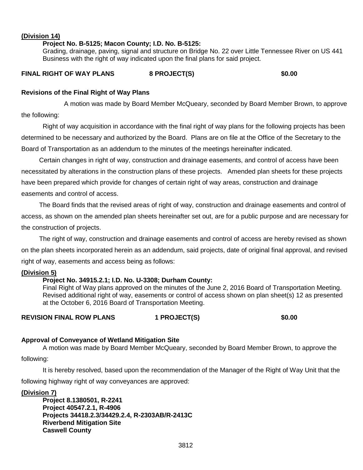#### **(Division 14)**

#### **Project No. B-5125; Macon County; I.D. No. B-5125:**

Grading, drainage, paving, signal and structure on Bridge No. 22 over Little Tennessee River on US 441 Business with the right of way indicated upon the final plans for said project.

#### **FINAL RIGHT OF WAY PLANS 8 PROJECT(S) \$0.00**

#### **Revisions of the Final Right of Way Plans**

A motion was made by Board Member McQueary, seconded by Board Member Brown, to approve the following:

Right of way acquisition in accordance with the final right of way plans for the following projects has been determined to be necessary and authorized by the Board. Plans are on file at the Office of the Secretary to the Board of Transportation as an addendum to the minutes of the meetings hereinafter indicated.

Certain changes in right of way, construction and drainage easements, and control of access have been necessitated by alterations in the construction plans of these projects. Amended plan sheets for these projects have been prepared which provide for changes of certain right of way areas, construction and drainage easements and control of access.

The Board finds that the revised areas of right of way, construction and drainage easements and control of access, as shown on the amended plan sheets hereinafter set out, are for a public purpose and are necessary for the construction of projects.

The right of way, construction and drainage easements and control of access are hereby revised as shown on the plan sheets incorporated herein as an addendum, said projects, date of original final approval, and revised right of way, easements and access being as follows:

#### **(Division 5)**

#### **Project No. 34915.2.1; I.D. No. U-3308; Durham County:**

Final Right of Way plans approved on the minutes of the June 2, 2016 Board of Transportation Meeting. Revised additional right of way, easements or control of access shown on plan sheet(s) 12 as presented at the October 6, 2016 Board of Transportation Meeting.

# REVISION FINAL ROW PLANS 1 PROJECT(S) \$0.00

#### **Approval of Conveyance of Wetland Mitigation Site**

A motion was made by Board Member McQueary, seconded by Board Member Brown, to approve the

following:

It is hereby resolved, based upon the recommendation of the Manager of the Right of Way Unit that the following highway right of way conveyances are approved:

**(Division 7)**

**Project 8.1380501, R-2241 Project 40547.2.1, R-4906 Projects 34418.2.3/34429.2.4, R-2303AB/R-2413C Riverbend Mitigation Site Caswell County**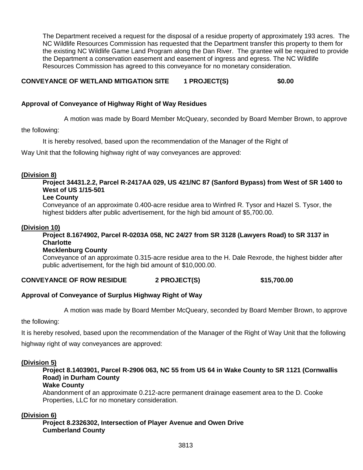The Department received a request for the disposal of a residue property of approximately 193 acres. The NC Wildlife Resources Commission has requested that the Department transfer this property to them for the existing NC Wildlife Game Land Program along the Dan River. The grantee will be required to provide the Department a conservation easement and easement of ingress and egress. The NC Wildlife Resources Commission has agreed to this conveyance for no monetary consideration.

# **CONVEYANCE OF WETLAND MITIGATION SITE 1 PROJECT(S) \$0.00**

#### **Approval of Conveyance of Highway Right of Way Residues**

A motion was made by Board Member McQueary, seconded by Board Member Brown, to approve

the following:

It is hereby resolved, based upon the recommendation of the Manager of the Right of

Way Unit that the following highway right of way conveyances are approved:

#### **(Division 8)**

**Project 34431.2.2, Parcel R-2417AA 029, US 421/NC 87 (Sanford Bypass) from West of SR 1400 to West of US 1/15-501**

#### **Lee County**

Conveyance of an approximate 0.400-acre residue area to Winfred R. Tysor and Hazel S. Tysor, the highest bidders after public advertisement, for the high bid amount of \$5,700.00.

#### **(Division 10)**

### **Project 8.1674902, Parcel R-0203A 058, NC 24/27 from SR 3128 (Lawyers Road) to SR 3137 in Charlotte**

#### **Mecklenburg County**

Conveyance of an approximate 0.315-acre residue area to the H. Dale Rexrode, the highest bidder after public advertisement, for the high bid amount of \$10,000.00.

#### **CONVEYANCE OF ROW RESIDUE 2 PROJECT(S) \$15,700.00**

#### **Approval of Conveyance of Surplus Highway Right of Way**

A motion was made by Board Member McQueary, seconded by Board Member Brown, to approve

the following:

It is hereby resolved, based upon the recommendation of the Manager of the Right of Way Unit that the following highway right of way conveyances are approved:

#### **(Division 5)**

# **Project 8.1403901, Parcel R-2906 063, NC 55 from US 64 in Wake County to SR 1121 (Cornwallis Road) in Durham County**

#### **Wake County**

Abandonment of an approximate 0.212-acre permanent drainage easement area to the D. Cooke Properties, LLC for no monetary consideration.

#### **(Division 6)**

**Project 8.2326302, Intersection of Player Avenue and Owen Drive Cumberland County**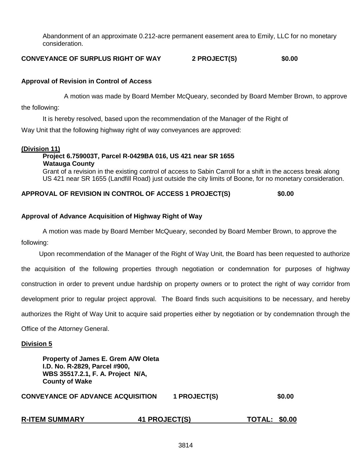Abandonment of an approximate 0.212-acre permanent easement area to Emily, LLC for no monetary consideration.

**CONVEYANCE OF SURPLUS RIGHT OF WAY 2 PROJECT(S) \$0.00**

#### **Approval of Revision in Control of Access**

A motion was made by Board Member McQueary, seconded by Board Member Brown, to approve

the following:

It is hereby resolved, based upon the recommendation of the Manager of the Right of

Way Unit that the following highway right of way conveyances are approved:

#### **(Division 11)**

# **Project 6.759003T, Parcel R-0429BA 016, US 421 near SR 1655 Watauga County**

Grant of a revision in the existing control of access to Sabin Carroll for a shift in the access break along US 421 near SR 1655 (Landfill Road) just outside the city limits of Boone, for no monetary consideration.

#### **APPROVAL OF REVISION IN CONTROL OF ACCESS 1 PROJECT(S) \$0.00**

#### **Approval of Advance Acquisition of Highway Right of Way**

A motion was made by Board Member McQueary, seconded by Board Member Brown, to approve the following:

Upon recommendation of the Manager of the Right of Way Unit, the Board has been requested to authorize the acquisition of the following properties through negotiation or condemnation for purposes of highway construction in order to prevent undue hardship on property owners or to protect the right of way corridor from development prior to regular project approval. The Board finds such acquisitions to be necessary, and hereby authorizes the Right of Way Unit to acquire said properties either by negotiation or by condemnation through the Office of the Attorney General.

#### **Division 5**

| Property of James E. Grem A/W Oleta<br>I.D. No. R-2829, Parcel #900,<br>WBS 35517.2.1, F. A. Project N/A,<br><b>County of Wake</b> |              |        |
|------------------------------------------------------------------------------------------------------------------------------------|--------------|--------|
| <b>CONVEYANCE OF ADVANCE ACQUISITION</b>                                                                                           | 1 PROJECT(S) | \$0.00 |
|                                                                                                                                    |              |        |

**R-ITEM SUMMARY 41 PROJECT(S) TOTAL: \$0.00**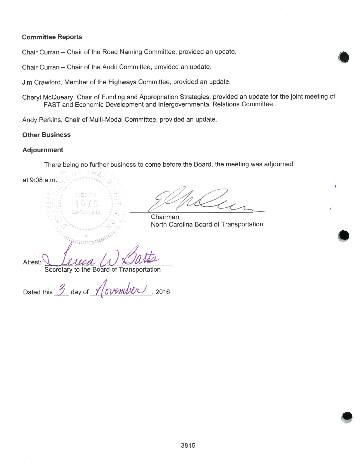#### **Committee Reports**

Chair Curran - Chair of the Road Naming Committee, provided an update.

Chair Curran - Chair of the Audit Committee, provided an update.

Jim Crawford, Member of the Highways Committee, provided an update.

Cheryl McQueary, Chair of Funding and Appropriation Strategies, provided an update for the joint meeting of FAST and Economic Development and Intergovernmental Relations Committee.

Andy Perkins, Chair of Multi-Modal Committee, provided an update.

#### **Other Business**

#### **Adjournment**

There being no further business to come before the Board, the meeting was adjourned

at 9:08 a.m. NORTH Chairman. North Carolina Board of Transportation Attest: Secretary to the Board of Transportation

nrember 2016 Dated this  $\frac{3}{2}$  day of  $\frac{3}{2}$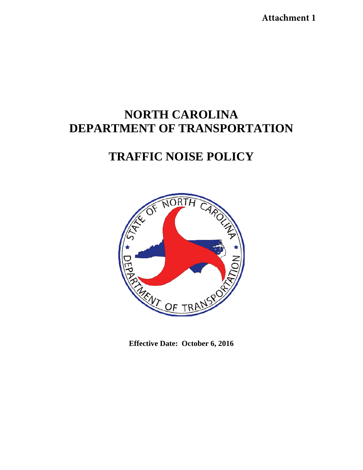**Attachment 1**

# **NORTH CAROLINA DEPARTMENT OF TRANSPORTATION**

# **TRAFFIC NOISE POLICY**



**Effective Date: October 6, 2016**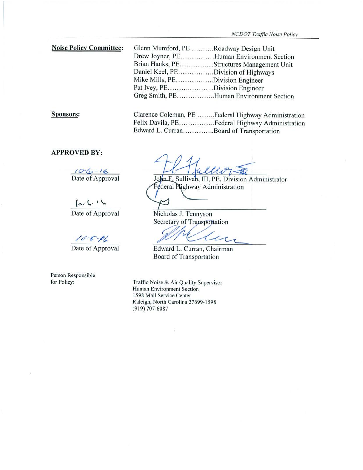| <b>Noise Policy Committee:</b> | Glenn Mumford, PE Roadway Design Unit |                                           |
|--------------------------------|---------------------------------------|-------------------------------------------|
|                                |                                       | Drew Joyner, PEHuman Environment Section  |
|                                |                                       | Brian Hanks, PEStructures Management Unit |
|                                | Daniel Keel, PEDivision of Highways   |                                           |
|                                | Mike Mills, PEDivision Engineer       |                                           |
|                                | Pat Ivey, PEDivision Engineer         |                                           |
|                                |                                       | Greg Smith, PEHuman Environment Section   |

| <b>Sponsors:</b> | Clarence Coleman, PE Federal Highway Administration |
|------------------|-----------------------------------------------------|
|                  | Felix Davila, PEFederal Highway Administration      |
|                  | Edward L. CurranBoard of Transportation             |

#### **APPROVED BY:**

 $10-6-16$ Date of Approval

 $10 - 6 = 16$ Date of Approval

 $10 - 8 - 66$ 

Date of Approval

Person Responsible for Policy:

uo  $\overline{\mathcal{M}}$ 

John E. Sullivan, III, PE, Division Administrator Federal Nighway Administration

Nicholas J. Tennyson Secretary of Transportation

 $\overline{\mathcal{C}}$ 

Edward L. Curran, Chairman Board of Transportation

Traffic Noise & Air Quality Supervisor Human Environment Section 1598 Mail Service Center Raleigh, North Carolina 27699-1598  $(919) 707 - 6087$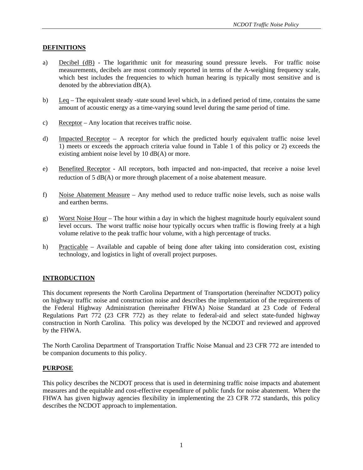#### **DEFINITIONS**

- a) Decibel (dB) The logarithmic unit for measuring sound pressure levels. For traffic noise measurements, decibels are most commonly reported in terms of the A-weighing frequency scale, which best includes the frequencies to which human hearing is typically most sensitive and is denoted by the abbreviation dB(A).
- b) Leq The equivalent steady -state sound level which, in a defined period of time, contains the same amount of acoustic energy as a time-varying sound level during the same period of time.
- c) Receptor Any location that receives traffic noise.
- d) Impacted Receptor A receptor for which the predicted hourly equivalent traffic noise level 1) meets or exceeds the approach criteria value found in Table 1 of this policy or 2) exceeds the existing ambient noise level by 10 dB(A) or more.
- e) Benefited Receptor All receptors, both impacted and non-impacted, that receive a noise level reduction of 5 dB(A) or more through placement of a noise abatement measure.
- f) Noise Abatement Measure Any method used to reduce traffic noise levels, such as noise walls and earthen berms.
- g) Worst Noise Hour The hour within a day in which the highest magnitude hourly equivalent sound level occurs. The worst traffic noise hour typically occurs when traffic is flowing freely at a high volume relative to the peak traffic hour volume, with a high percentage of trucks.
- h) Practicable Available and capable of being done after taking into consideration cost, existing technology, and logistics in light of overall project purposes.

#### **INTRODUCTION**

This document represents the North Carolina Department of Transportation (hereinafter NCDOT) policy on highway traffic noise and construction noise and describes the implementation of the requirements of the Federal Highway Administration (hereinafter FHWA) Noise Standard at 23 Code of Federal Regulations Part 772 (23 CFR 772) as they relate to federal-aid and select state-funded highway construction in North Carolina. This policy was developed by the NCDOT and reviewed and approved by the FHWA.

The North Carolina Department of Transportation Traffic Noise Manual and 23 CFR 772 are intended to be companion documents to this policy.

#### **PURPOSE**

This policy describes the NCDOT process that is used in determining traffic noise impacts and abatement measures and the equitable and cost-effective expenditure of public funds for noise abatement. Where the FHWA has given highway agencies flexibility in implementing the 23 CFR 772 standards, this policy describes the NCDOT approach to implementation.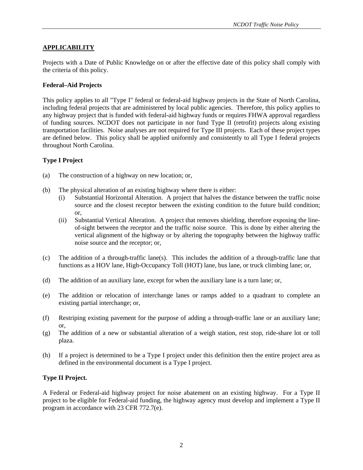#### **APPLICABILITY**

Projects with a Date of Public Knowledge on or after the effective date of this policy shall comply with the criteria of this policy.

#### **Federal–Aid Projects**

This policy applies to all "Type I" federal or federal-aid highway projects in the State of North Carolina, including federal projects that are administered by local public agencies. Therefore, this policy applies to any highway project that is funded with federal-aid highway funds or requires FHWA approval regardless of funding sources. NCDOT does not participate in nor fund Type II (retrofit) projects along existing transportation facilities. Noise analyses are not required for Type III projects. Each of these project types are defined below. This policy shall be applied uniformly and consistently to all Type I federal projects throughout North Carolina.

#### **Type I Project**

- (a) The construction of a highway on new location; or,
- (b) The physical alteration of an existing highway where there is either:
	- (i) Substantial Horizontal Alteration. A project that halves the distance between the traffic noise source and the closest receptor between the existing condition to the future build condition; or,
	- (ii) Substantial Vertical Alteration. A project that removes shielding, therefore exposing the lineof-sight between the receptor and the traffic noise source. This is done by either altering the vertical alignment of the highway or by altering the topography between the highway traffic noise source and the receptor; or,
- (c) The addition of a through-traffic lane(s). This includes the addition of a through-traffic lane that functions as a HOV lane, High-Occupancy Toll (HOT) lane, bus lane, or truck climbing lane; or,
- (d) The addition of an auxiliary lane, except for when the auxiliary lane is a turn lane; or,
- (e) The addition or relocation of interchange lanes or ramps added to a quadrant to complete an existing partial interchange; or,
- (f) Restriping existing pavement for the purpose of adding a through-traffic lane or an auxiliary lane; or,
- (g) The addition of a new or substantial alteration of a weigh station, rest stop, ride-share lot or toll plaza.
- (h) If a project is determined to be a Type I project under this definition then the entire project area as defined in the environmental document is a Type I project.

#### **Type II Project.**

A Federal or Federal-aid highway project for noise abatement on an existing highway. For a Type II project to be eligible for Federal-aid funding, the highway agency must develop and implement a Type II program in accordance with 23 CFR 772.7(e).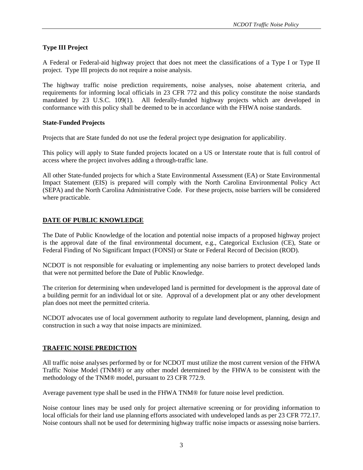### **Type III Project**

A Federal or Federal-aid highway project that does not meet the classifications of a Type I or Type II project. Type III projects do not require a noise analysis.

The highway traffic noise prediction requirements, noise analyses, noise abatement criteria, and requirements for informing local officials in 23 CFR 772 and this policy constitute the noise standards mandated by 23 U.S.C. 109(1). All federally-funded highway projects which are developed in conformance with this policy shall be deemed to be in accordance with the FHWA noise standards.

#### **State-Funded Projects**

Projects that are State funded do not use the federal project type designation for applicability.

This policy will apply to State funded projects located on a US or Interstate route that is full control of access where the project involves adding a through-traffic lane.

All other State-funded projects for which a State Environmental Assessment (EA) or State Environmental Impact Statement (EIS) is prepared will comply with the North Carolina Environmental Policy Act (SEPA) and the North Carolina Administrative Code. For these projects, noise barriers will be considered where practicable.

#### **DATE OF PUBLIC KNOWLEDGE**

The Date of Public Knowledge of the location and potential noise impacts of a proposed highway project is the approval date of the final environmental document, e.g., Categorical Exclusion (CE), State or Federal Finding of No Significant Impact (FONSI) or State or Federal Record of Decision (ROD).

NCDOT is not responsible for evaluating or implementing any noise barriers to protect developed lands that were not permitted before the Date of Public Knowledge.

The criterion for determining when undeveloped land is permitted for development is the approval date of a building permit for an individual lot or site. Approval of a development plat or any other development plan does not meet the permitted criteria.

NCDOT advocates use of local government authority to regulate land development, planning, design and construction in such a way that noise impacts are minimized.

#### **TRAFFIC NOISE PREDICTION**

All traffic noise analyses performed by or for NCDOT must utilize the most current version of the FHWA Traffic Noise Model (TNM®) or any other model determined by the FHWA to be consistent with the methodology of the TNM® model, pursuant to 23 CFR 772.9.

Average pavement type shall be used in the FHWA TNM® for future noise level prediction.

Noise contour lines may be used only for project alternative screening or for providing information to local officials for their land use planning efforts associated with undeveloped lands as per 23 CFR 772.17. Noise contours shall not be used for determining highway traffic noise impacts or assessing noise barriers.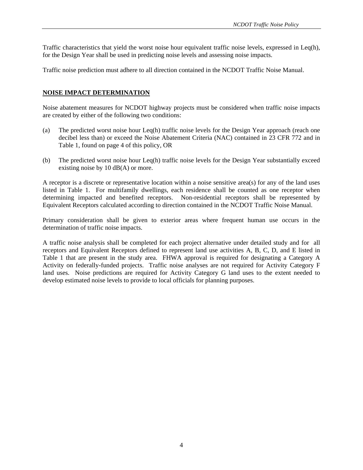Traffic characteristics that yield the worst noise hour equivalent traffic noise levels, expressed in Leq(h), for the Design Year shall be used in predicting noise levels and assessing noise impacts.

Traffic noise prediction must adhere to all direction contained in the NCDOT Traffic Noise Manual.

#### **NOISE IMPACT DETERMINATION**

Noise abatement measures for NCDOT highway projects must be considered when traffic noise impacts are created by either of the following two conditions:

- (a) The predicted worst noise hour Leq(h) traffic noise levels for the Design Year approach (reach one decibel less than) or exceed the Noise Abatement Criteria (NAC) contained in 23 CFR 772 and in Table 1, found on page 4 of this policy, OR
- (b) The predicted worst noise hour Leq(h) traffic noise levels for the Design Year substantially exceed existing noise by 10 dB(A) or more.

A receptor is a discrete or representative location within a noise sensitive area(s) for any of the land uses listed in Table 1. For multifamily dwellings, each residence shall be counted as one receptor when determining impacted and benefited receptors. Non-residential receptors shall be represented by Equivalent Receptors calculated according to direction contained in the NCDOT Traffic Noise Manual.

Primary consideration shall be given to exterior areas where frequent human use occurs in the determination of traffic noise impacts.

A traffic noise analysis shall be completed for each project alternative under detailed study and for all receptors and Equivalent Receptors defined to represent land use activities A, B, C, D, and E listed in Table 1 that are present in the study area. FHWA approval is required for designating a Category A Activity on federally-funded projects. Traffic noise analyses are not required for Activity Category F land uses. Noise predictions are required for Activity Category G land uses to the extent needed to develop estimated noise levels to provide to local officials for planning purposes.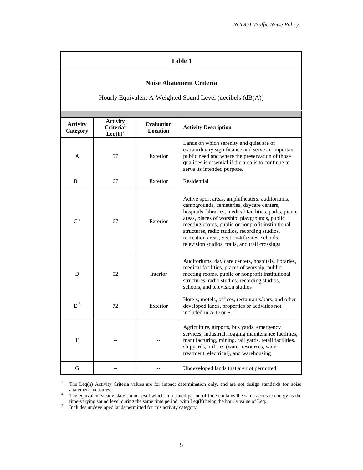### **Table 1**

#### **Noise Abatement Criteria**

Hourly Equivalent A-Weighted Sound Level (decibels (dB(A))

| <b>Activity</b><br>Category | <b>Activity</b><br>Criteria <sup>1</sup><br>$\text{Leq}(h)^2$ | <b>Evaluation</b><br>Location | <b>Activity Description</b>                                                                                                                                                                                                                                                                                                                                                                                       |  |  |
|-----------------------------|---------------------------------------------------------------|-------------------------------|-------------------------------------------------------------------------------------------------------------------------------------------------------------------------------------------------------------------------------------------------------------------------------------------------------------------------------------------------------------------------------------------------------------------|--|--|
| A                           | 57                                                            | Exterior                      | Lands on which serenity and quiet are of<br>extraordinary significance and serve an important<br>public need and where the preservation of those<br>qualities is essential if the area is to continue to<br>serve its intended purpose.                                                                                                                                                                           |  |  |
| $B^3$                       | 67                                                            | Exterior                      | Residential                                                                                                                                                                                                                                                                                                                                                                                                       |  |  |
| $C^3$                       | 67                                                            | Exterior                      | Active sport areas, amphitheaters, auditoriums,<br>campgrounds, cemeteries, daycare centers,<br>hospitals, libraries, medical facilities, parks, picnic<br>areas, places of worship, playgrounds, public<br>meeting rooms, public or nonprofit institutional<br>structures, radio studios, recording studios,<br>recreation areas, Section4(f) sites, schools,<br>television studios, trails, and trail crossings |  |  |
| D                           | 52                                                            | Interior                      | Auditoriums, day care centers, hospitals, libraries,<br>medical facilities, places of worship, public<br>meeting rooms, public or nonprofit institutional<br>structures, radio studios, recording studios,<br>schools, and television studios                                                                                                                                                                     |  |  |
| $E^3$                       | 72                                                            | Exterior                      | Hotels, motels, offices, restaurants/bars, and other<br>developed lands, properties or activities not<br>included in A-D or F                                                                                                                                                                                                                                                                                     |  |  |
| $\mathbf{F}$                |                                                               |                               | Agriculture, airports, bus yards, emergency<br>services, industrial, logging maintenance facilities,<br>manufacturing, mining, rail yards, retail facilities,<br>shipyards, utilities (water resources, water<br>treatment, electrical), and warehousing                                                                                                                                                          |  |  |
| G                           |                                                               |                               | Undeveloped lands that are not permitted                                                                                                                                                                                                                                                                                                                                                                          |  |  |

1 The Leq(h) Activity Criteria values are for impact determination only, and are not design standards for noise abatement measures.

 The equivalent steady-state sound level which in a stated period of time contains the same acoustic energy as the time-varying sound level during the same time period, with Leq(h) being the hourly value of Leq.<br>3 Includes undeveloped lands permitted for this activity category.

Includes undeveloped lands permitted for this activity category.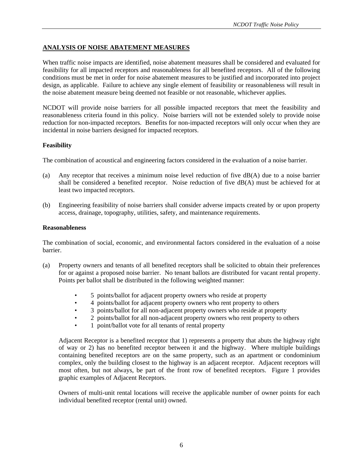# **ANALYSIS OF NOISE ABATEMENT MEASURES**

When traffic noise impacts are identified, noise abatement measures shall be considered and evaluated for feasibility for all impacted receptors and reasonableness for all benefited receptors. All of the following conditions must be met in order for noise abatement measures to be justified and incorporated into project design, as applicable. Failure to achieve any single element of feasibility or reasonableness will result in the noise abatement measure being deemed not feasible or not reasonable, whichever applies.

NCDOT will provide noise barriers for all possible impacted receptors that meet the feasibility and reasonableness criteria found in this policy. Noise barriers will not be extended solely to provide noise reduction for non-impacted receptors. Benefits for non-impacted receptors will only occur when they are incidental in noise barriers designed for impacted receptors.

## **Feasibility**

The combination of acoustical and engineering factors considered in the evaluation of a noise barrier.

- (a) Any receptor that receives a minimum noise level reduction of five dB(A) due to a noise barrier shall be considered a benefited receptor. Noise reduction of five dB(A) must be achieved for at least two impacted receptors.
- (b) Engineering feasibility of noise barriers shall consider adverse impacts created by or upon property access, drainage, topography, utilities, safety, and maintenance requirements.

### **Reasonableness**

The combination of social, economic, and environmental factors considered in the evaluation of a noise barrier.

- (a) Property owners and tenants of all benefited receptors shall be solicited to obtain their preferences for or against a proposed noise barrier. No tenant ballots are distributed for vacant rental property. Points per ballot shall be distributed in the following weighted manner:
	- 5 points/ballot for adjacent property owners who reside at property
	- 4 points/ballot for adjacent property owners who rent property to others
	- 3 points/ballot for all non-adjacent property owners who reside at property
	- 2 points/ballot for all non-adjacent property owners who rent property to others
	- 1 point/ballot vote for all tenants of rental property

Adjacent Receptor is a benefited receptor that 1) represents a property that abuts the highway right of way or 2) has no benefited receptor between it and the highway. Where multiple buildings containing benefited receptors are on the same property, such as an apartment or condominium complex, only the building closest to the highway is an adjacent receptor. Adjacent receptors will most often, but not always, be part of the front row of benefited receptors. Figure 1 provides graphic examples of Adjacent Receptors.

Owners of multi-unit rental locations will receive the applicable number of owner points for each individual benefited receptor (rental unit) owned.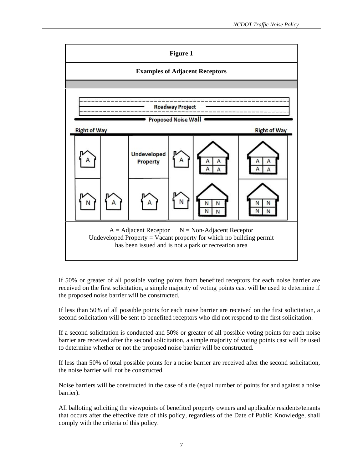

If 50% or greater of all possible voting points from benefited receptors for each noise barrier are received on the first solicitation, a simple majority of voting points cast will be used to determine if the proposed noise barrier will be constructed.

If less than 50% of all possible points for each noise barrier are received on the first solicitation, a second solicitation will be sent to benefited receptors who did not respond to the first solicitation.

If a second solicitation is conducted and 50% or greater of all possible voting points for each noise barrier are received after the second solicitation, a simple majority of voting points cast will be used to determine whether or not the proposed noise barrier will be constructed.

If less than 50% of total possible points for a noise barrier are received after the second solicitation, the noise barrier will not be constructed.

Noise barriers will be constructed in the case of a tie (equal number of points for and against a noise barrier).

All balloting soliciting the viewpoints of benefited property owners and applicable residents/tenants that occurs after the effective date of this policy, regardless of the Date of Public Knowledge, shall comply with the criteria of this policy.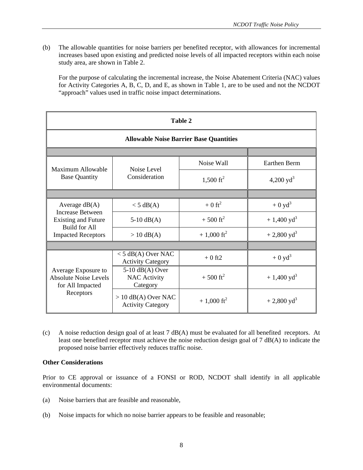(b) The allowable quantities for noise barriers per benefited receptor, with allowances for incremental increases based upon existing and predicted noise levels of all impacted receptors within each noise study area, are shown in Table 2.

For the purpose of calculating the incremental increase, the Noise Abatement Criteria (NAC) values for Activity Categories A, B, C, D, and E, as shown in Table 1, are to be used and not the NCDOT "approach" values used in traffic noise impact determinations.

| Table 2                                                                 |                                                      |                       |                       |  |  |  |
|-------------------------------------------------------------------------|------------------------------------------------------|-----------------------|-----------------------|--|--|--|
| <b>Allowable Noise Barrier Base Quantities</b>                          |                                                      |                       |                       |  |  |  |
|                                                                         |                                                      |                       |                       |  |  |  |
| Maximum Allowable                                                       | Noise Level<br>Consideration                         | Noise Wall            | Earthen Berm          |  |  |  |
| <b>Base Quantity</b>                                                    |                                                      | $1,500 \text{ ft}^2$  | 4,200 $yd^3$          |  |  |  |
|                                                                         |                                                      |                       |                       |  |  |  |
| Average $dB(A)$<br><b>Increase Between</b>                              | $<$ 5 dB(A)                                          | $+0$ ft <sup>2</sup>  | $+0$ yd <sup>3</sup>  |  |  |  |
| <b>Existing and Future</b><br><b>Build for All</b>                      | $5-10$ dB(A)                                         | $+500 \text{ ft}^2$   | $+1,400 \text{ yd}^3$ |  |  |  |
| <b>Impacted Receptors</b>                                               | $> 10$ dB(A)                                         | $+1,000 \text{ ft}^2$ | $+2,800 \text{ yd}^3$ |  |  |  |
|                                                                         |                                                      |                       |                       |  |  |  |
|                                                                         | $<$ 5 dB(A) Over NAC<br><b>Activity Category</b>     | $+0$ ft2              | $+0$ yd <sup>3</sup>  |  |  |  |
| Average Exposure to<br><b>Absolute Noise Levels</b><br>for All Impacted | $5-10$ dB(A) Over<br><b>NAC Activity</b><br>Category | $+500 \text{ ft}^2$   | $+1,400 \text{ yd}^3$ |  |  |  |
| Receptors                                                               | $> 10$ dB(A) Over NAC<br><b>Activity Category</b>    | $+1,000 \text{ ft}^2$ | $+2,800 \text{ yd}^3$ |  |  |  |

(c) A noise reduction design goal of at least 7 dB(A) must be evaluated for all benefited receptors. At least one benefited receptor must achieve the noise reduction design goal of 7 dB(A) to indicate the proposed noise barrier effectively reduces traffic noise.

### **Other Considerations**

Prior to CE approval or issuance of a FONSI or ROD, NCDOT shall identify in all applicable environmental documents:

- (a) Noise barriers that are feasible and reasonable,
- (b) Noise impacts for which no noise barrier appears to be feasible and reasonable;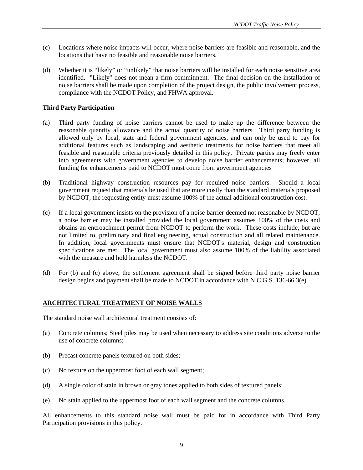- (c) Locations where noise impacts will occur, where noise barriers are feasible and reasonable, and the locations that have no feasible and reasonable noise barriers.
- (d) Whether it is "likely" or "unlikely" that noise barriers will be installed for each noise sensitive area identified. "Likely" does not mean a firm commitment. The final decision on the installation of noise barriers shall be made upon completion of the project design, the public involvement process, compliance with the NCDOT Policy, and FHWA approval.

## **Third Party Participation**

- (a) Third party funding of noise barriers cannot be used to make up the difference between the reasonable quantity allowance and the actual quantity of noise barriers. Third party funding is allowed only by local, state and federal government agencies, and can only be used to pay for additional features such as landscaping and aesthetic treatments for noise barriers that meet all feasible and reasonable criteria previously detailed in this policy. Private parties may freely enter into agreements with government agencies to develop noise barrier enhancements; however, all funding for enhancements paid to NCDOT must come from government agencies
- (b) Traditional highway construction resources pay for required noise barriers. Should a local government request that materials be used that are more costly than the standard materials proposed by NCDOT, the requesting entity must assume 100% of the actual additional construction cost.
- (c) If a local government insists on the provision of a noise barrier deemed not reasonable by NCDOT, a noise barrier may be installed provided the local government assumes 100% of the costs and obtains an encroachment permit from NCDOT to perform the work. These costs include, but are not limited to, preliminary and final engineering, actual construction and all related maintenance. In addition, local governments must ensure that NCDOT's material, design and construction specifications are met. The local government must also assume 100% of the liability associated with the measure and hold harmless the NCDOT.
- (d) For (b) and (c) above, the settlement agreement shall be signed before third party noise barrier design begins and payment shall be made to NCDOT in accordance with N.C.G.S. 136-66.3(e).

# **ARCHITECTURAL TREATMENT OF NOISE WALLS**

The standard noise wall architectural treatment consists of:

- (a) Concrete columns; Steel piles may be used when necessary to address site conditions adverse to the use of concrete columns;
- (b) Precast concrete panels textured on both sides;
- (c) No texture on the uppermost foot of each wall segment;
- (d) A single color of stain in brown or gray tones applied to both sides of textured panels;
- (e) No stain applied to the uppermost foot of each wall segment and the concrete columns.

All enhancements to this standard noise wall must be paid for in accordance with Third Party Participation provisions in this policy.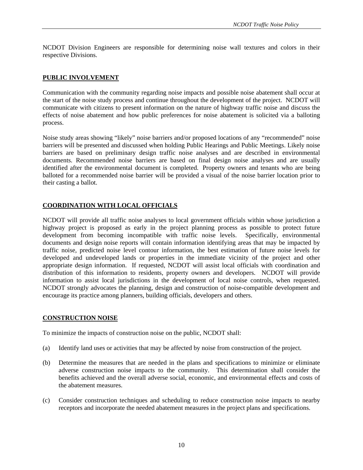NCDOT Division Engineers are responsible for determining noise wall textures and colors in their respective Divisions.

### **PUBLIC INVOLVEMENT**

Communication with the community regarding noise impacts and possible noise abatement shall occur at the start of the noise study process and continue throughout the development of the project. NCDOT will communicate with citizens to present information on the nature of highway traffic noise and discuss the effects of noise abatement and how public preferences for noise abatement is solicited via a balloting process.

Noise study areas showing "likely" noise barriers and/or proposed locations of any "recommended" noise barriers will be presented and discussed when holding Public Hearings and Public Meetings. Likely noise barriers are based on preliminary design traffic noise analyses and are described in environmental documents. Recommended noise barriers are based on final design noise analyses and are usually identified after the environmental document is completed. Property owners and tenants who are being balloted for a recommended noise barrier will be provided a visual of the noise barrier location prior to their casting a ballot.

## **COORDINATION WITH LOCAL OFFICIALS**

NCDOT will provide all traffic noise analyses to local government officials within whose jurisdiction a highway project is proposed as early in the project planning process as possible to protect future development from becoming incompatible with traffic noise levels. Specifically, environmental documents and design noise reports will contain information identifying areas that may be impacted by traffic noise, predicted noise level contour information, the best estimation of future noise levels for developed and undeveloped lands or properties in the immediate vicinity of the project and other appropriate design information. If requested, NCDOT will assist local officials with coordination and distribution of this information to residents, property owners and developers. NCDOT will provide information to assist local jurisdictions in the development of local noise controls, when requested. NCDOT strongly advocates the planning, design and construction of noise-compatible development and encourage its practice among planners, building officials, developers and others.

### **CONSTRUCTION NOISE**

To minimize the impacts of construction noise on the public, NCDOT shall:

- (a) Identify land uses or activities that may be affected by noise from construction of the project.
- (b) Determine the measures that are needed in the plans and specifications to minimize or eliminate adverse construction noise impacts to the community. This determination shall consider the benefits achieved and the overall adverse social, economic, and environmental effects and costs of the abatement measures.
- (c) Consider construction techniques and scheduling to reduce construction noise impacts to nearby receptors and incorporate the needed abatement measures in the project plans and specifications.